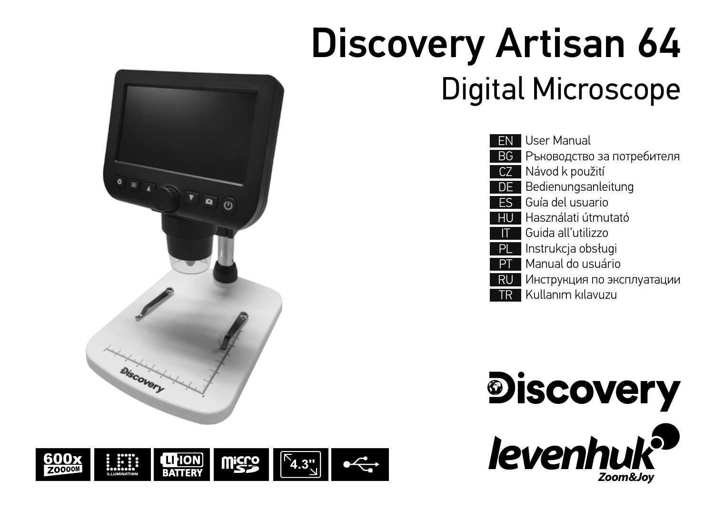# Discovery Artisan 64 Digital Microscope







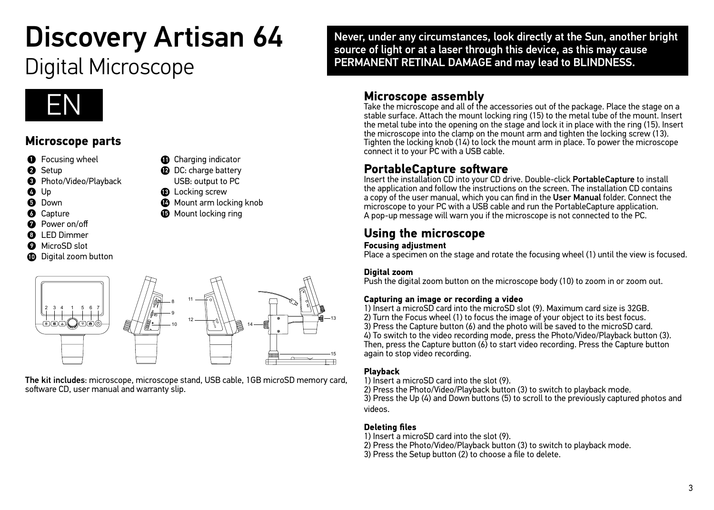# Discovery Artisan 64

## Digital Microscope



## **Microscope parts**

- **O** Focusing wheel
- Ø Setup
- Photo/Video/Playback ൈ
- ◙ Up
- A Down
- Capture
- Power on/off
- **Q** I FD Dimmer
- **MicroSD** slot
- **D** Digital zoom button



- **B** Locking screw
- **<sup>1</sup>** Mount arm locking knob
- $\bigoplus$  Mount locking ring



The kit includes: microscope, microscope stand, USB cable, 1GB microSD memory card, software CD, user manual and warranty slip.

Never, under any circumstances, look directly at the Sun, another bright source of light or at a laser through this device, as this may cause PERMANENT RETINAL DAMAGE and may lead to BLINDNESS.

## **Microscope assembly**

Take the microscope and all of the accessories out of the package. Place the stage on a stable surface. Attach the mount locking ring (15) to the metal tube of the mount. Insert the metal tube into the opening on the stage and lock it in place with the ring (15). Insert the microscope into the clamp on the mount arm and tighten the locking screw (13). Tighten the locking knob (14) to lock the mount arm in place. To power the microscope connect it to your PC with a USB cable.

## **PortableCapture software**

Insert the installation CD into your CD drive. Double-click PortableCapture to install the application and follow the instructions on the screen. The installation CD contains a copy of the user manual, which you can find in the User Manual folder. Connect the microscope to your PC with a USB cable and run the PortableCapture application. A pop-up message will warn you if the microscope is not connected to the PC.

## **Using the microscope**

#### **Focusing adjustment**

Place a specimen on the stage and rotate the focusing wheel (1) until the view is focused.

#### **Digital zoom**

Push the digital zoom button on the microscope body (10) to zoom in or zoom out.

#### **Capturing an image or recording a video**

1) Insert a microSD card into the microSD slot (9). Maximum card size is 32GB. 2) Turn the Focus wheel (1) to focus the image of your object to its best focus. 3) Press the Capture button (6) and the photo will be saved to the microSD card. 4) To switch to the video recording mode, press the Photo/Video/Playback button (3). Then, press the Capture button (6) to start video recording. Press the Capture button again to stop video recording.

#### **Playback**

1) Insert a microSD card into the slot (9).

2) Press the Photo/Video/Playback button (3) to switch to playback mode.

3) Press the Up (4) and Down buttons (5) to scroll to the previously captured photos and videos.

#### **Deleting files**

- 1) Insert a microSD card into the slot (9).
- 2) Press the Photo/Video/Playback button (3) to switch to playback mode.
- 3) Press the Setup button (2) to choose a file to delete.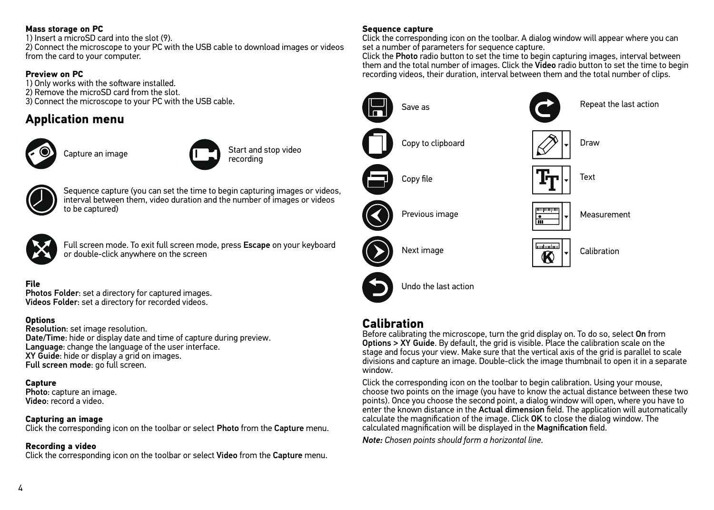#### **Mass storage on PC**

1) Insert a microSD card into the slot (9).

2) Connect the microscope to your PC with the USB cable to download images or videos from the card to your computer.

#### **Preview on PC**

- 1) Only works with the software installed.
- 2) Remove the microSD card from the slot.
- 3) Connect the microscope to your PC with the USB cable.

## **Application menu**







Sequence capture (you can set the time to begin capturing images or videos, interval between them, video duration and the number of images or videos to be captured)



Full screen mode. To exit full screen mode, press Escape on your keyboard or double-click anywhere on the screen

#### **File**

Photos Folder: set a directory for captured images. Videos Folder: set a directory for recorded videos.

#### **Options**

Resolution: set image resolution. Date/Time: hide or display date and time of capture during preview. Language: change the language of the user interface. XY Guide: hide or display a grid on images. Full screen mode: go full screen.

#### **Capture**

Photo: capture an image. Video: record a video.

#### **Capturing an image**

Click the corresponding icon on the toolbar or select Photo from the Capture menu.

#### **Recording a video**

Click the corresponding icon on the toolbar or select Video from the Capture menu.

#### **Sequence capture**

Click the corresponding icon on the toolbar. A dialog window will appear where you can set a number of parameters for sequence capture.

Click the Photo radio button to set the time to begin capturing images, interval between them and the total number of images. Click the Video radio button to set the time to begin recording videos, their duration, interval between them and the total number of clips.



## **Calibration**

Before calibrating the microscope, turn the grid display on. To do so, select On from Options > XY Guide. By default, the grid is visible. Place the calibration scale on the stage and focus your view. Make sure that the vertical axis of the grid is parallel to scale divisions and capture an image. Double-click the image thumbnail to open it in a separate window.

Click the corresponding icon on the toolbar to begin calibration. Using your mouse, choose two points on the image (you have to know the actual distance between these two points). Once you choose the second point, a dialog window will open, where you have to enter the known distance in the Actual dimension field. The application will automatically calculate the magnification of the image. Click OK to close the dialog window. The calculated magnification will be displayed in the Magnification field.

*Note: Chosen points should form a horizontal line.*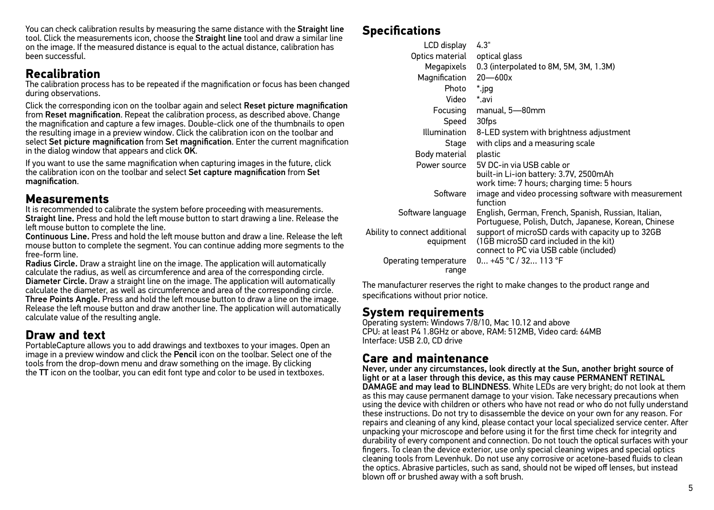You can check calibration results by measuring the same distance with the Straight line tool. Click the measurements icon, choose the Straight line tool and draw a similar line on the image. If the measured distance is equal to the actual distance, calibration has been successful.

## **Recalibration**

The calibration process has to be repeated if the magnification or focus has been changed during observations.

Click the corresponding icon on the toolbar again and select Reset picture magnification from Reset magnification. Repeat the calibration process, as described above. Change the magnification and capture a few images. Double-click one of the thumbnails to open the resulting image in a preview window. Click the calibration icon on the toolbar and select Set picture magnification from Set magnification. Enter the current magnification in the dialog window that appears and click OK.

If you want to use the same magnification when capturing images in the future, click the calibration icon on the toolbar and select Set capture magnification from Set magnification.

### **Measurements**

It is recommended to calibrate the system before proceeding with measurements. Straight line. Press and hold the left mouse button to start drawing a line. Release the left mouse button to complete the line.

Continuous Line. Press and hold the left mouse button and draw a line. Release the left mouse button to complete the segment. You can continue adding more segments to the free-form line.

Radius Circle. Draw a straight line on the image. The application will automatically calculate the radius, as well as circumference and area of the corresponding circle. Diameter Circle. Draw a straight line on the image. The application will automatically calculate the diameter, as well as circumference and area of the corresponding circle. Three Points Angle. Press and hold the left mouse button to draw a line on the image. Release the left mouse button and draw another line. The application will automatically calculate value of the resulting angle.

## **Draw and text**

PortableCapture allows you to add drawings and textboxes to your images. Open an image in a preview window and click the Pencil icon on the toolbar. Select one of the tools from the drop-down menu and draw something on the image. By clicking the TT icon on the toolbar, you can edit font type and color to be used in textboxes.

## **Specifications**

| LCD display                                | 4.3"                                                                                                                                  |
|--------------------------------------------|---------------------------------------------------------------------------------------------------------------------------------------|
| Optics material                            | optical glass                                                                                                                         |
| Megapixels                                 | 0.3 (interpolated to 8M, 5M, 3M, 1.3M)                                                                                                |
| Magnification                              | $20 - 600x$                                                                                                                           |
| Photo                                      | *.jpg                                                                                                                                 |
| Video                                      | *.avi                                                                                                                                 |
| Focusing                                   | manual, 5-80mm                                                                                                                        |
| Speed                                      | 30fps                                                                                                                                 |
| Illumination                               | 8-LED system with brightness adjustment                                                                                               |
| Stage                                      | with clips and a measuring scale                                                                                                      |
| Body material                              | plastic                                                                                                                               |
| Power source                               | 5V DC-in via USB cable or<br>built-in Li-ion battery: 3.7V, 2500mAh<br>work time: 7 hours; charging time: 5 hours                     |
| Software                                   | image and video processing software with measurement<br>function                                                                      |
| Software language                          | English, German, French, Spanish, Russian, Italian,<br>Portuguese, Polish, Dutch, Japanese, Korean, Chinese                           |
| Ability to connect additional<br>equipment | support of microSD cards with capacity up to 32GB<br>(1GB microSD card included in the kit)<br>connect to PC via USB cable (included) |
| Operating temperature<br>range             | $0 + 45$ °C / 32 113 °F                                                                                                               |

The manufacturer reserves the right to make changes to the product range and specifications without prior notice.

## **System requirements**

Operating system: Windows 7/8/10, Mac 10.12 and above CPU: at least P4 1.8GHz or above, RAM: 512MB, Video card: 64MB Interface: USB 2.0, CD drive

## **Care and maintenance**

Never, under any circumstances, look directly at the Sun, another bright source of light or at a laser through this device, as this may cause PERMANENT RETINAL DAMAGE and may lead to BLINDNESS. White LEDs are very bright; do not look at them as this may cause permanent damage to your vision. Take necessary precautions when using the device with children or others who have not read or who do not fully understand these instructions. Do not try to disassemble the device on your own for any reason. For repairs and cleaning of any kind, please contact your local specialized service center. After unpacking your microscope and before using it for the first time check for integrity and durability of every component and connection. Do not touch the optical surfaces with your fingers. To clean the device exterior, use only special cleaning wipes and special optics cleaning tools from Levenhuk. Do not use any corrosive or acetone-based fluids to clean the optics. Abrasive particles, such as sand, should not be wiped off lenses, but instead blown off or brushed away with a soft brush.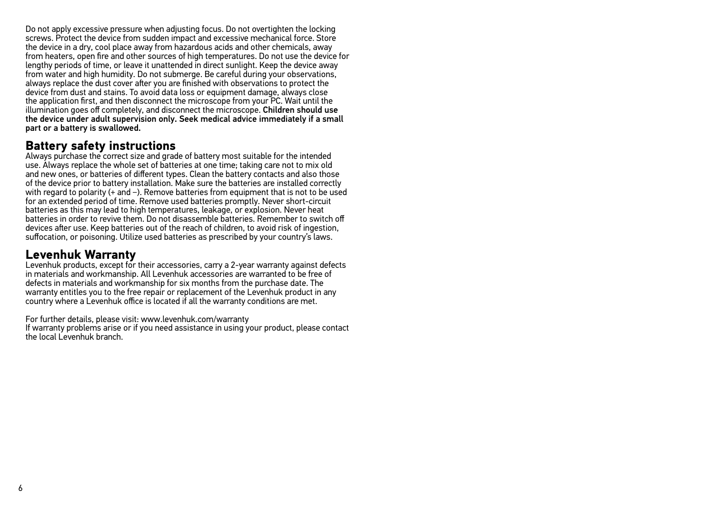Do not apply excessive pressure when adjusting focus. Do not overtighten the locking screws. Protect the device from sudden impact and excessive mechanical force. Store the device in a dry, cool place away from hazardous acids and other chemicals, away from heaters, open fire and other sources of high temperatures. Do not use the device for lengthy periods of time, or leave it unattended in direct sunlight. Keep the device away from water and high humidity. Do not submerge. Be careful during your observations. always replace the dust cover after you are finished with observations to protect the device from dust and stains. To avoid data loss or equipment damage, always close the application first, and then disconnect the microscope from your PC. Wait until the illumination goes off completely, and disconnect the microscope. Children should use the device under adult supervision only. Seek medical advice immediately if a small part or a battery is swallowed.

### **Battery safety instructions**

Always purchase the correct size and grade of battery most suitable for the intended use. Always replace the whole set of batteries at one time; taking care not to mix old and new ones, or batteries of different types. Clean the battery contacts and also those of the device prior to battery installation. Make sure the batteries are installed correctly with regard to polarity (+ and −). Remove batteries from equipment that is not to be used for an extended period of time. Remove used batteries promptly. Never short-circuit batteries as this may lead to high temperatures, leakage, or explosion. Never heat batteries in order to revive them. Do not disassemble batteries. Remember to switch off devices after use. Keep batteries out of the reach of children, to avoid risk of ingestion, suffocation, or poisoning. Utilize used batteries as prescribed by your country's laws.

### **Levenhuk Warranty**

Levenhuk products, except for their accessories, carry a 2-year warranty against defects in materials and workmanship. All Levenhuk accessories are warranted to be free of defects in materials and workmanship for six months from the purchase date. The warranty entitles you to the free repair or replacement of the Levenhuk product in any country where a Levenhuk office is located if all the warranty conditions are met.

For further details, please visit: www.levenhuk.com/warranty

If warranty problems arise or if you need assistance in using your product, please contact the local Levenhuk branch.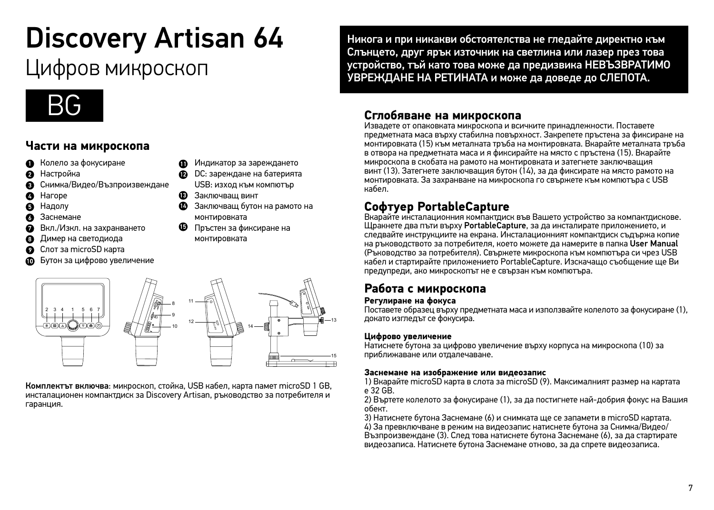# Discovery Artisan 64

## Цифров микроскоп



## **Части на микроскопа**

- Колело за фокусиране
- A Настройка
- Снимка/Видео/Възпроизвеждане
- Нагоре
- Надолу
- Заснемане
- Вкл./Изкл. на захранването ⋒
- $\bullet$ Димер на светодиода
- Слот за microSD карта Ω
- Бутон за цифрово увеличение
- Индикатор за зареждането
- **DC:** зареждане на батерията USB: изход към компютър
- **В** Заключваш винт
- Заключващ бутон на рамото на монтировката
- Пръстен за фиксиране на монтировката



Комплектът включва: микроскоп, стойка, USB кабел, карта памет microSD 1 GB, инсталационен компактдиск за Discovery Artisan, ръководство за потребителя и гаранция.

Никога и при никакви обстоятелства не гледайте директно към Слънцето, друг ярък източник на светлина или лазер през това устройство, тъй като това може да предизвика НЕВЪЗВРАТИМО УВРЕЖДАНЕ НА РЕТИНАТА и може да доведе до СЛЕПОТА.

## **Сглобяване на микроскопа**

Извадете от опаковката микроскопа и всичките принадлежности. Поставете предметната маса върху стабилна повърхност. Закрепете пръстена за фиксиране на монтировката (15) към металната тръба на монтировката. Вкарайте металната тръба в отвора на предметната маса и я фиксирайте на място с пръстена (15). Вкарайте микроскопа в скобата на рамото на монтировката и затегнете заключващия винт (13). Затегнете заключващия бутон (14), за да фиксирате на място рамото на монтировката. За захранване на микроскопа го свържете към компютъра с USB кабел.

## **Софтуер PortableCapture**

Вкарайте инсталационния компактдиск във Вашето устройство за компактдискове. Щракнете два пъти върху PortableCapture, за да инсталирате приложението, и следвайте инструкциите на екрана. Инсталационният компактдиск съдържа копие на ръководството за потребителя, което можете да намерите в папка User Manual (Ръководство за потребителя). Свържете микроскопа към компютъра си чрез USB кабел и стартирайте приложението PortableCapture. Изскачащо съобщение ще Ви предупреди, ако микроскопът не е свързан към компютъра.

## **Работа с микроскопа**

#### **Регулиране на фокуса**

Поставете образец върху предметната маса и използвайте колелото за фокусиране (1), докато изгледът се фокусира.

#### **Цифрово увеличение**

Натиснете бутона за цифрово увеличение върху корпуса на микроскопа (10) за приближаване или отдалечаване.

#### **Заснемане на изображение или видеозапис**

1) Вкарайте microSD карта в слота за microSD (9). Максималният размер на картата е 32 GB.

2) Въртете колелото за фокусиране (1), за да постигнете най-добрия фокус на Вашия обект.

3) Натиснете бутона Заснемане (6) и снимката ще се запамети в microSD картата.

4) За превключване в режим на видеозапис натиснете бутона за Снимка/Видео/ Възпроизвеждане (3). След това натиснете бутона Заснемане (6), за да стартирате видеозаписа. Натиснете бутона Заснемане отново, за да спрете видеозаписа.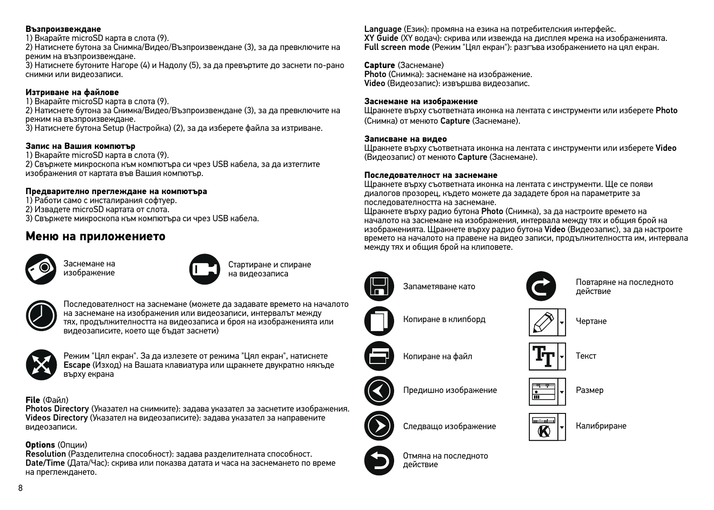#### **Възпроизвеждане**

1) Вкарайте microSD карта в слота (9). 2) Натиснете бутона за Cнимка/Видео/Възпроизвеждане (3), за да превключите на режим на възпроизвеждане.

3) Натиснете бутоните Нагоре (4) и Надолу (5), за да превъртите до заснети по-рано снимки или видеозаписи.

#### **Изтриване на файлове**

1) Вкарайте microSD карта в слота (9).

2) Натиснете бутона за Cнимка/Видео/Възпроизвеждане (3), за да превключите на режим на възпроизвеждане.

3) Натиснете бутона Setup (Настройка) (2), за да изберете файла за изтриване.

#### **Запис на Вашия компютър**

1) Вкарайте microSD карта в слота (9).

2) Свържете микроскопа към компютъра си чрез USB кабела, за да изтеглите изображения от картата във Вашия компютър.

#### **Предварително преглеждане на компютъра**

1) Работи само с инсталирания софтуер.

- 2) Извадете microSD картата от слота.
- 3) Свържете микроскопа към компютъра си чрез USB кабела.

## **Меню на приложението**



Заснемане на<br>изображение



Стартиране и спиране на видеозаписа



Последователност на заснемане (можете да задавате времето на началото на заснемане на изображения или видеозаписи, интервалът между тях, продължителността на видеозаписа и броя на изображенията или видеозаписите, което ще бъдат заснети)



Режим "Цял екран". За да излезете от режима "Цял екран", натиснете Escape (Изход) на Вашата клавиатура или щракнете двукратно някъде върху екрана

#### **File** (Файл)

Photos Directory (Указател на снимките): задава указател за заснетите изображения. Videos Directory (Указател на видеозаписите): задава указател за направените видеозаписи.

#### **Options** (Опции)

Resolution (Разделителна способност): задава разделителната способност. Date/Time (Дата/Час): скрива или показва датата и часа на заснемането по време на преглеждането.

Language (Език): промяна на езика на потребителския интерфейс. XY Guide (XY водач): скрива или извежда на дисплея мрежа на изображенията. Full screen mode (Режим "Цял екран"): разгъва изображението на цял екран.

**Capture** (Заснемане) Photo (Снимка): заснемане на изображение. Video (Видеозапис): извършва видеозапис.

#### **Заснемане на изображение**

Щракнете върху съответната иконка на лентата с инструменти или изберете Photo (Снимка) от менюто Capture (Заснемане).

#### **Записване на видео**

Щракнете върху съответната иконка на лентата с инструменти или изберете Video (Видеозапис) от менюто Capture (Заснемане).

#### **Последователност на заснемане**

Щракнете върху съответната иконка на лентата с инструменти. Ще се появи диалогов прозорец, където можете да зададете броя на параметрите за последователността на заснемане.

Щракнете върху радио бутона Photo (Снимка), за да настроите времето на началото на заснемане на изображения, интервала между тях и общия брой на изображенията. Щракнете върху радио бутона Video (Видеозапис), за да настроите времето на началото на правене на видео записи, продължителността им, интервала между тях и общия брой на клиповете.



Запаметяване като

Копиране в клипборд



Повтаряне на последното действие







Чертане





Копиране на файл

Предишно изображение

Следващо изображение





Размер









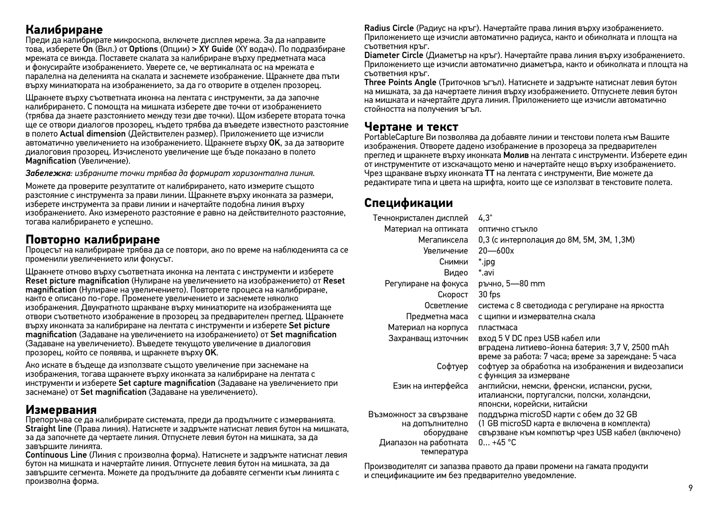## **Калибриране**

Преди да калибрирате микроскопа, включете дисплея мрежа. За да направите това, изберете On (Вкл.) от Options (Опции) > XY Guide (XY водач). По подразбиране мрежата се вижда. Поставете скалата за калибриране върху предметната маса и фокусирайте изображението. Уверете се, че вертикалната ос на мрежата е паралелна на деленията на скалата и заснемете изображение. Щракнете два пъти върху миниатюрата на изображението, за да го отворите в отделен прозорец.

Щракнете върху съответната иконка на лентата с инструменти, за да започне калибрирането. С помощта на мишката изберете две точки от изображението (трябва да знаете разстоянието между тези две точки). Щом изберете втората точка ще се отвори диалогов прозорец, където трябва да въведете известното разстояние в полето Actual dimension (Действителен размер). Приложението ще изчисли автоматично увеличението на изображението. Щракнете върху OK, за да затворите диалоговия прозорец. Изчисленото увеличение ще бъде показано в полето Magnification (Увеличение).

*Забележка: избраните точки трябва да формират хоризонтална линия.*

Можете да проверите резултатите от калибрирането, като измерите същото разстояние с инструмента за прави линии. Щракнете върху иконката за размери, изберете инструмента за прави линии и начертайте подобна линия върху изображението. Ако измереното разстояние е равно на действителното разстояние, тогава калибрирането е успешно.

## **Повторно калибриране**

Процесът на калибриране трябва да се повтори, ако по време на наблюденията са се променили увеличението или фокусът.

Щракнете отново върху съответната иконка на лентата с инструменти и изберете Reset picture magnification (Нулиране на увеличението на изображението) от Reset magnification (Нулиране на увеличението). Повторете процеса на калибриране, както е описано по-горе. Променете увеличението и заснемете няколко изображения. Двукратното щракване върху миниатюрите на изображенията ще отвори съответното изображение в прозорец за предварителен преглед. Щракнете върху иконката за калибриране на лентата с инструменти и изберете Set picture magnification (Задаване на увеличението на изображението) от Set magnification (Задаване на увеличението). Въведете текущото увеличение в диалоговия прозорец, който се появява, и щракнете върху OK.

Ако искате в бъдеще да използвате същото увеличение при заснемане на изображения, тогава щракнете върху иконката за калибриране на лентата с инструменти и изберете Set capture magnification (Задаване на увеличението при заснемане) от Set magnification (Задаване на увеличението).

## **Измервания**

Препоръчва се да калибрирате системата, преди да продължите с измерванията. Straight line (Права линия). Натиснете и задръжте натиснат левия бутон на мишката, за да започнете да чертаете линия. Отпуснете левия бутон на мишката, за да завършите линията.

Continuous Line (Линия с произволна форма). Натиснете и задръжте натиснат левия бутон на мишката и начертайте линия. Отпуснете левия бутон на мишката, за да завършите сегмента. Можете да продължите да добавяте сегменти към линията с произволна форма.

Radius Circle (Радиус на кръг). Начертайте права линия върху изображението. Приложението ще изчисли автоматично радиуса, както и обиколката и площта на съответния кръг.

Diameter Circle (Диаметър на кръг). Начертайте права линия върху изображението. Приложението ще изчисли автоматично диаметъра, както и обиколката и площта на съответния кръг.

Three Points Angle (Триточков ъгъл). Натиснете и задръжте натиснат левия бутон на мишката, за да начертаете линия върху изображението. Отпуснете левия бутон на мишката и начертайте друга линия. Приложението ще изчисли автоматично стойността на получения ъгъл.

#### **Чертане и текст**

PortableCapture Ви позволява да добавяте линии и текстови полета към Вашите изображения. Отворете дадено изображение в прозореца за предварителен преглед и щракнете върху иконката Молив на лентата с инструменти. Изберете един от инструментите от изскачащото меню и начертайте нещо върху изображението. Чрез щракване върху иконката TT на лентата с инструменти, Вие можете да редактирате типа и цвета на шрифта, които ще се използват в текстовите полета.

## **Спецификации**

| Течнокристален дисплей                                   | 4.3"                                                                                                                                      |
|----------------------------------------------------------|-------------------------------------------------------------------------------------------------------------------------------------------|
| Материал на оптиката                                     | ОПТИЧНО СТЪКЛО                                                                                                                            |
| Мегапиксела                                              | 0,3 (с интерполация до 8М, 5М, 3М, 1,3М)                                                                                                  |
| Увеличение                                               | $20 - 600x$                                                                                                                               |
| Снимки                                                   | * jpg                                                                                                                                     |
| Видео                                                    | *.avi                                                                                                                                     |
| Регулиране на фокуса                                     | ръчно, 5-80 mm                                                                                                                            |
| Скорост                                                  | 30 fps                                                                                                                                    |
| Осветление                                               | система с 8 светодиода с регулиране на яркостта                                                                                           |
| Предметна маса                                           | с щипки и измервателна скала                                                                                                              |
| Материал на корпуса                                      | пластмаса                                                                                                                                 |
| Захранващ източник                                       | вход 5 V DC през USB кабел или<br>вградена литиево-йонна батерия: 3,7 V, 2500 mAh<br>време за работа: 7 часа; време за зареждане: 5 часа  |
| Софтуер                                                  | софтуер за обработка на изображения и видеозаписи<br>с функция за измерване                                                               |
| Език на интерфейса                                       | английски, немски, френски, испански, руски,<br>италиански, португалски, полски, холандски,<br>японски, корейски, китайски                |
| Възможност за свързване<br>на допълнително<br>оборудване | поддържа microSD карти с обем до 32 GB<br>(1 GB microSD карта е включена в комплекта)<br>свързване към компютър чрез USB кабел (включено) |
| Диапазон на работната<br>температура                     | $0 + 45 °C$                                                                                                                               |

Производителят си запазва правото да прави промени на гамата продукти и спецификациите им без предварително уведомление.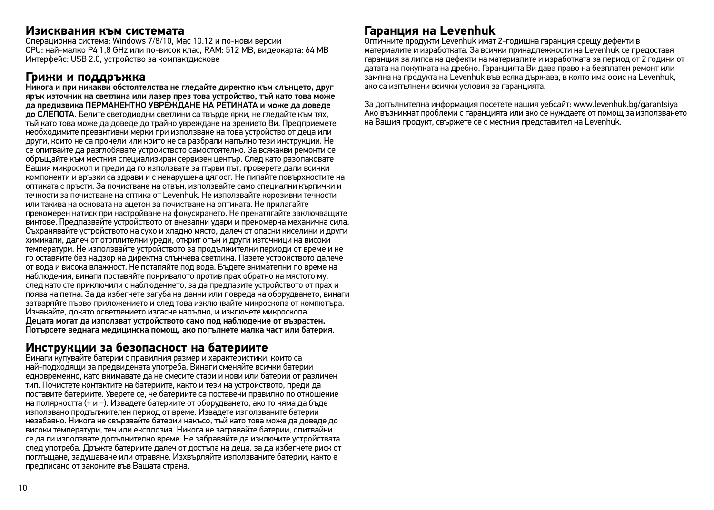#### **Изисквания към системата**

Операционна система: Windows 7/8/10, Mac 10.12 и по-нови версии CPU: най-малко P4 1,8 GHz или по-висок клас, RAM: 512 MB, видеокарта: 64 MB Интерфейс: USB 2.0, устройство за компактдискове

## **Грижи и поддръжка**

Никога и при никакви обстоятелства не гледайте директно към слънцето, друг ярък източник на светлина или лазер през това устройство, тъй като това може да предизвика ПЕРМАНЕНТНО УВРЕЖДАНЕ НА РЕТИНАТА и може да доведе до СЛЕПОТА. Белите светодиодни светлини са твърде ярки, не гледайте към тях, тъй като това може да доведе до трайно увреждане на зрението Ви. Предприемете необходимите превантивни мерки при използване на това устройство от деца или други, които не са прочели или които не са разбрали напълно тези инструкции. Не се опитвайте да разглобявате устройството самостоятелно. За всякакви ремонти се обръщайте към местния специализиран сервизен център. След като разопаковате Вашия микроскоп и преди да го използвате за първи път, проверете дали всички компоненти и връзки са здрави и с ненарушена цялост. Не пипайте повърхностите на оптиката с пръсти. За почистване на отвън, използвайте само специални кърпички и течности за почистване на оптика от Levenhuk. Не използвайте корозивни течности или такива на основата на ацетон за почистване на оптиката. Не прилагайте прекомерен натиск при настройване на фокусирането. Не пренатягайте заключващите винтове. Предпазвайте устройството от внезапни удари и прекомерна механична сила. Съхранявайте устройството на сухо и хладно място, далеч от опасни киселини и други химикали, далеч от отоплителни уреди, открит огън и други източници на високи температури. Не използвайте устройството за продължителни периоди от време и не го оставяйте без надзор на директна слънчева светлина. Пазете устройството далече от вода и висока влажност. Не потапяйте под вода. Бъдете внимателни по време на наблюдения, винаги поставяйте покривалото против прах обратно на мястото му, след като сте приключили с наблюдението, за да предпазите устройството от прах и поява на петна. За да избегнете загуба на данни или повреда на оборудването, винаги затваряйте първо приложението и след това изключвайте микроскопа от компютъра. Изчакайте, докато осветлението изгасне напълно, и изключете микроскопа. Децата могат да използват устройството само под наблюдение от възрастен. Потърсете веднага медицинска помощ, ако погълнете малка част или батерия.

## **Инструкции за безопасност на батериите**

Винаги купувайте батерии с правилния размер и характеристики, които са най-подходящи за предвидената употреба. Винаги сменяйте всички батерии едновременно, като внимавате да не смесите стари и нови или батерии от различен тип. Почистете контактите на батериите, както и тези на устройството, преди да поставите батериите. Уверете се, че батериите са поставени правилно по отношение на полярността (+ и −). Извадете батериите от оборудването, ако то няма да бъде използвано продължителен период от време. Извадете използваните батерии незабавно. Никога не свързвайте батерии накъсо, тъй като това може да доведе до високи температури, теч или експлозия. Никога не загрявайте батерии, опитвайки се да ги използвате допълнително време. Не забравяйте да изключите устройствата след употреба. Дръжте батериите далеч от достъпа на деца, за да избегнете риск от поглъщане, задушаване или отравяне. Изхвърляйте използваните батерии, както е предписано от законите във Вашата страна.

## **Гаранция на Levenhuk**

Оптичните продукти Levenhuk имат 2-годишна гаранция срещу дефекти в материалите и изработката. За всички принадлежности на Levenhuk се предоставя гаранция за липса на дефекти на материалите и изработката за период от 2 години от датата на покупката на дребно. Гаранцията Ви дава право на безплатен ремонт или замяна на продукта на Levenhuk във всяка държава, в която има офис на Levenhuk, ако са изпълнени всички условия за гаранцията.

За допълнителна информация посетете нашия уебсайт: www.levenhuk.bg/garantsiya Ако възникнат проблеми с гаранцията или ако се нуждаете от помощ за използването на Вашия продукт, свържете се с местния представител на Levenhuk.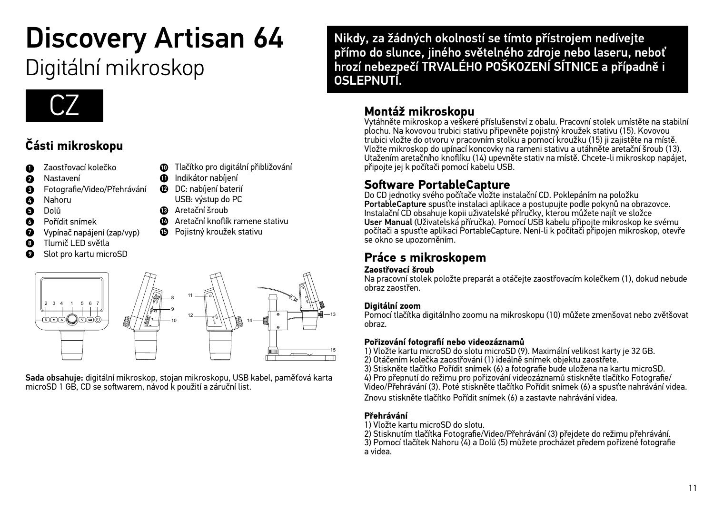## Discovery Artisan 64 Digitální mikroskop



## **Části mikroskopu**

- Zaostřovací kolečko  $\bullet$
- $\boldsymbol{Q}$ Nastavení
- Fotografie/Video/Přehrávání  $\Omega$
- $\boldsymbol{c}$ Nahoru
- **Q** Dolů
- ø Pořídit snímek
- Vypínač napájení (zap/vyp) 0
- Tlumič LED světla A
- Slot pro kartu microSD



- DC: nabíjení baterií
- USB: výstup do PC
- Aretační šroub
- Aretační knoflík ramene stativu
- **D** Pojistný kroužek stativu



Sada obsahuje: digitální mikroskop, stojan mikroskopu, USB kabel, paměťová karta microSD 1 GB, CD se softwarem, návod k použití a záruční list.

Nikdy, za žádných okolností se tímto přístrojem nedívejte přímo do slunce, jiného světelného zdroje nebo laseru, neboť hrozí nebezpečí TRVALÉHO POŠKOZENÍ SÍTNICE a případně i OSLEPNUTÍ.

## **Montáž mikroskopu**

Vytáhněte mikroskop a veškeré příslušenství z obalu. Pracovní stolek umístěte na stabilní plochu. Na kovovou trubici stativu připevněte pojistný kroužek stativu (15). Kovovou trubici vložte do otvoru v pracovním stolku a pomocí kroužku (15) ji zajistěte na místě. Vložte mikroskop do upínací koncovky na rameni stativu a utáhněte aretační šroub (13). Utažením aretačního knoflíku (14) upevněte stativ na místě. Chcete-li mikroskop napájet, připojte jej k počítači pomocí kabelu USB.

## **Software PortableCapture**

Do CD jednotky svého počítače vložte instalační CD. Poklepáním na položku PortableCapture spusťte instalaci aplikace a postupujte podle pokynů na obrazovce. Instalační CD obsahuje kopii uživatelské příručky, kterou můžete najít ve složce User Manual (Uživatelská příručka). Pomocí USB kabelu připojte mikroskop ke svému počítači a spusťte aplikaci PortableCapture. Není-li k počítači připojen mikroskop, otevře se okno se upozorněním.

## **Práce s mikroskopem**

#### **Zaostřovací šroub**

Na pracovní stolek položte preparát a otáčejte zaostřovacím kolečkem (1), dokud nebude obraz zaostřen.

#### **Digitální zoom**

Pomocí tlačítka digitálního zoomu na mikroskopu (10) můžete zmenšovat nebo zvětšovat obraz.

#### **Pořizování fotografií nebo videozáznamů**

- 1) Vložte kartu microSD do slotu microSD (9). Maximální velikost karty je 32 GB.
- 2) Otáčením kolečka zaostřování (1) ideálně snímek objektu zaostřete.
- 3) Stiskněte tlačítko Pořídit snímek (6) a fotografie bude uložena na kartu microSD.
- 4) Pro přepnutí do režimu pro pořizování videozáznamů stiskněte tlačítko Fotografie/

Video/Přehrávání (3). Poté stiskněte tlačítko Pořídit snímek (6) a spusťte nahrávání videa.

Znovu stiskněte tlačítko Pořídit snímek (6) a zastavte nahrávání videa.

### **Přehrávání**

- 1) Vložte kartu microSD do slotu.
- 2) Stisknutím tlačítka Fotografie/Video/Přehrávání (3) přejdete do režimu přehrávání.
- 3) Pomocí tlačítek Nahoru (4) a Dolů (5) můžete procházet předem pořízené fotografie a videa.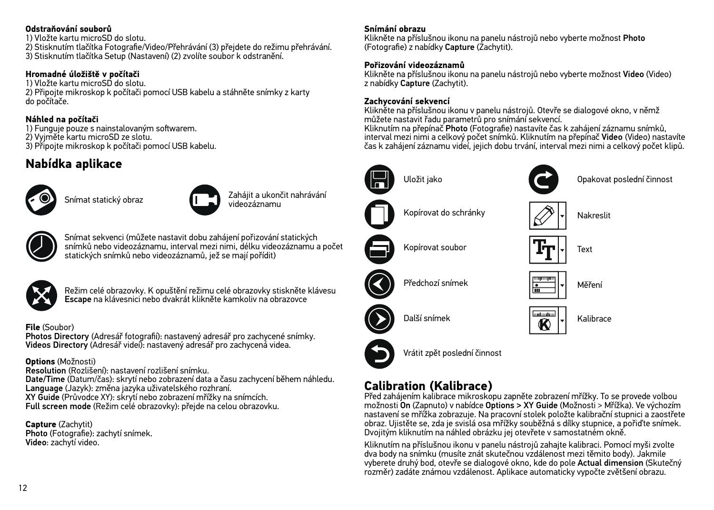#### **Odstraňování souborů**

1) Vložte kartu microSD do slotu. 2) Stisknutím tlačítka Fotografie/Video/Přehrávání (3) přejdete do režimu přehrávání. 3) Stisknutím tlačítka Setup (Nastavení) (2) zvolíte soubor k odstranění.

#### **Hromadné úložiště v počítači**

1) Vložte kartu microSD do slotu.

2) Připojte mikroskop k počítači pomocí USB kabelu a stáhněte snímky z karty do počítače.

#### **Náhled na počítači**

1) Funguje pouze s nainstalovaným softwarem.

2) Vyjměte kartu microSD ze slotu.

3) Připojte mikroskop k počítači pomocí USB kabelu.

## **Nabídka aplikace**





Snímat statický obraz **Zahájit** a ukončit nahrávání videozáznamu



Snímat sekvenci (můžete nastavit dobu zahájení pořizování statických snímků nebo videozáznamu, interval mezi nimi, délku videozáznamu a počet statických snímků nebo videozáznamů, jež se mají pořídit)



Režim celé obrazovky. K opuštění režimu celé obrazovky stiskněte klávesu Escape na klávesnici nebo dvakrát klikněte kamkoliv na obrazovce

#### **File** (Soubor)

Photos Directory (Adresář fotografií): nastavený adresář pro zachycené snímky. Videos Directory (Adresář videí): nastavený adresář pro zachycená videa.

#### **Options** (Možnosti)

Resolution (Rozlišení): nastavení rozlišení snímku. Date/Time (Datum/čas): skrytí nebo zobrazení data a času zachycení během náhledu. Language (Jazyk): změna jazyka uživatelského rozhraní. XY Guide (Průvodce XY): skrytí nebo zobrazení mřížky na snímcích. Full screen mode (Režim celé obrazovky): přejde na celou obrazovku.

**Capture** (Zachytit) Photo (Fotografie): zachytí snímek. Video: zachytí video.

#### **Snímání obrazu**

Klikněte na příslušnou ikonu na panelu nástrojů nebo vyberte možnost Photo (Fotografie) z nabídky Capture (Zachytit).

#### **Pořizování videozáznamů**

Klikněte na příslušnou ikonu na panelu nástrojů nebo vyberte možnost Video (Video) z nabídky Capture (Zachytit).

#### **Zachycování sekvencí**

Klikněte na příslušnou ikonu v panelu nástrojů. Otevře se dialogové okno, v němž můžete nastavit řadu parametrů pro snímání sekvencí.

Kliknutím na přepínač Photo (Fotografie) nastavíte čas k zahájení záznamu snímků, interval mezi nimi a celkový počet snímků. Kliknutím na přepínač Video (Video) nastavíte čas k zahájení záznamu videí, jejich dobu trvání, interval mezi nimi a celkový počet klipů.



Opakovat poslední činnost

Nakreslit

Kalibrace



mmmm

<u>minima</u> **K** 

Text

Měření

Další snímek



Vrátit zpět poslední činnost

## **Calibration (Kalibrace)**

Před zahájením kalibrace mikroskopu zapněte zobrazení mřížky. To se provede volbou možnosti On (Zapnuto) v nabídce Options > XY Guide (Možnosti > Mřížka). Ve výchozím nastavení se mřížka zobrazuje. Na pracovní stolek položte kalibrační stupnici a zaostřete obraz. Ujistěte se, zda je svislá osa mřížky souběžná s dílky stupnice, a pořiďte snímek. Dvojitým kliknutím na náhled obrázku jej otevřete v samostatném okně.

Kliknutím na příslušnou ikonu v panelu nástrojů zahajte kalibraci. Pomocí myši zvolte dva body na snímku (musíte znát skutečnou vzdálenost mezi těmito body). Jakmile vyberete druhý bod, otevře se dialogové okno, kde do pole Actual dimension (Skutečný rozměr) zadáte známou vzdálenost. Aplikace automaticky vypočte zvětšení obrazu.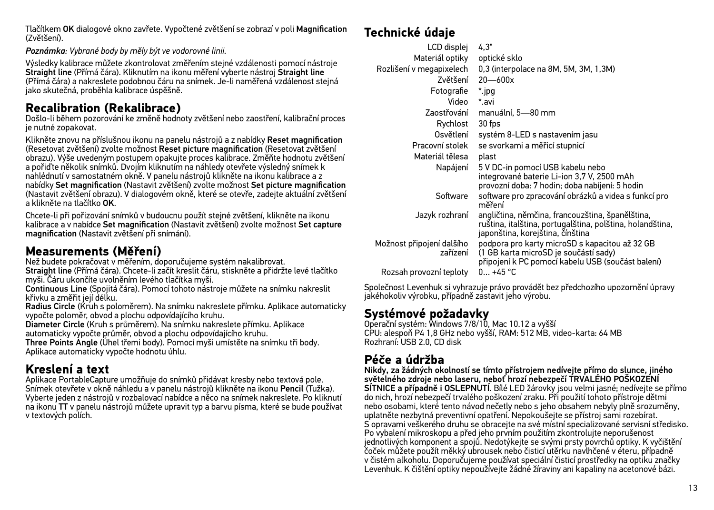Tlačítkem OK dialogové okno zavřete. Vypočtené zvětšení se zobrazí v poli Magnification (Zvětšení).

*Poznámka: Vybrané body by měly být ve vodorovné linii.*

Výsledky kalibrace můžete zkontrolovat změřením stejné vzdálenosti pomocí nástroje Straight line (Přímá čára). Kliknutím na ikonu měření vyberte nástroj Straight line (Přímá čára) a nakreslete podobnou čáru na snímek. Je-li naměřená vzdálenost stejná jako skutečná, proběhla kalibrace úspěšně.

## **Recalibration (Rekalibrace)**

Došlo-li během pozorování ke změně hodnoty zvětšení nebo zaostření, kalibrační proces je nutné zopakovat.

Klikněte znovu na příslušnou ikonu na panelu nástrojů a z nabídky Reset magnification (Resetovat zvětšení) zvolte možnost Reset picture magnification (Resetovat zvětšení obrazu). Výše uvedeným postupem opakujte proces kalibrace. Změňte hodnotu zvětšení a pořiďte několik snímků. Dvojím kliknutím na náhledy otevřete výsledný snímek k nahlédnutí v samostatném okně. V panelu nástrojů klikněte na ikonu kalibrace a z nabídky Set magnification (Nastavit zvětšení) zvolte možnost Set picture magnification (Nastavit zvětšení obrazu). V dialogovém okně, které se otevře, zadejte aktuální zvětšení a klikněte na tlačítko OK.

Chcete-li při pořizování snímků v budoucnu použít stejné zvětšení, klikněte na ikonu kalibrace a v nabídce Set magnification (Nastavit zvětšení) zvolte možnost Set capture magnification (Nastavit zvětšení při snímání).

## **Measurements (Měření)**

Než budete pokračovat v měřením, doporučujeme systém nakalibrovat.

Straight line (Přímá čára). Chcete-li začít kreslit čáru, stiskněte a přidržte levé tlačítko<br>myši. Čáru ukončíte uvolněním levého tlačítka myši.

Continuous Line (Spojitá čára). Pomocí tohoto nástroje můžete na snímku nakreslit křivku a změřit její délku.

Radius Circle (Kruh s poloměrem). Na snímku nakreslete přímku. Aplikace automaticky vypočte poloměr, obvod a plochu odpovídajícího kruhu.

Diameter Circle (Kruh s průměrem). Na snímku nakreslete přímku. Aplikace automaticky vypočte průměr, obvod a plochu odpovídajícího kruhu.

Three Points Angle (Úhel třemi body). Pomocí myši umístěte na snímku tři body. Aplikace automaticky vypočte hodnotu úhlu.

## **Kreslení a text**

Aplikace PortableCapture umožňuje do snímků přidávat kresby nebo textová pole. Snímek otevřete v okně náhledu a v panelu nástrojů klikněte na ikonu Pencil (Tužka). Vyberte jeden z nástrojů v rozbalovací nabídce a něco na snímek nakreslete. Po kliknutí na ikonu TT v panelu nástrojů můžete upravit typ a barvu písma, které se bude používat v textových polích.

## **Technické údaje**

| LCD displej<br>Materiál optiky        | 4.3"<br>optické sklo                                                                                                                              |
|---------------------------------------|---------------------------------------------------------------------------------------------------------------------------------------------------|
| Rozlišení v megapixelech<br>Zvětšení  | 0,3 (interpolace na 8M, 5M, 3M, 1,3M)<br>$20 - 600x$                                                                                              |
| Fotografie                            | * jpg                                                                                                                                             |
| Video                                 | *.avi                                                                                                                                             |
| Zaostřování                           | manuální, 5—80 mm                                                                                                                                 |
| Rychlost                              | 30 fps                                                                                                                                            |
| Osvětlení                             | systém 8-LED s nastavením jasu                                                                                                                    |
| Pracovní stolek                       | se svorkami a měřicí stupnicí                                                                                                                     |
| Materiál tělesa                       | plast                                                                                                                                             |
| Napájení                              | 5 V DC-in pomocí USB kabelu nebo<br>integrované baterie Li-ion 3,7 V, 2500 mAh<br>provozní doba: 7 hodin; doba nabíjení: 5 hodin                  |
| Software                              | software pro zpracování obrázků a videa s funkcí pro<br>měření                                                                                    |
| Jazyk rozhraní                        | angličtina, němčina, francouzština, španělština,<br>ruština, italština, portugalština, polština, holandština,<br>japonština, korejština, čínština |
| Možnost připojení dalšího<br>zařízení | podpora pro karty microSD s kapacitou až 32 GB<br>(1 GB karta microSD je součástí sady)<br>připojení k PC pomocí kabelu USB (součást balení)      |
| Rozsah provozní teploty               | $0 + 45 °C$                                                                                                                                       |
|                                       |                                                                                                                                                   |

Společnost Levenhuk si vyhrazuje právo provádět bez předchozího upozornění úpravy jakéhokoliv výrobku, případně zastavit jeho výrobu.

## **Systémové požadavky**

Operační systém: Windows 7/8/10, Mac 10.12 a vyšší CPU: alespoň P4 1,8 GHz nebo vyšší, RAM: 512 MB, video-karta: 64 MB Rozhraní: USB 2.0, CD disk

## **Péče a údržba**

Nikdy, za žádných okolností se tímto přístrojem nedívejte přímo do slunce, jiného světelného zdroje nebo laseru, neboť hrozí nebezpečí TRVALÉHO POŠKOZENÍ SÍTNICE a případně i OSLEPNUTÍ. Bílé LED žárovky jsou velmi jasné; nedívejte se přímo do nich, hrozí nebezpečí trvalého poškození zraku. Při použití tohoto přístroje dětmi nebo osobami, které tento návod nečetly nebo s jeho obsahem nebyly plně srozuměny, uplatněte nezbytná preventivní opatření. Nepokoušejte se přístroj sami rozebírat. S opravami veškerého druhu se obracejte na své místní specializované servisní středisko. Po vybalení mikroskopu a před jeho prvním použitím zkontrolujte neporušenost jednotlivých komponent a spojů. Nedotýkejte se svými prsty povrchů optiky. K vyčištění čoček můžete použít měkký ubrousek nebo čisticí utěrku navlhčené v éteru, případně v čistém alkoholu. Doporučujeme používat speciální čisticí prostředky na optiku značky Levenhuk. K čištění optiky nepoužívejte žádné žíraviny ani kapaliny na acetonové bázi.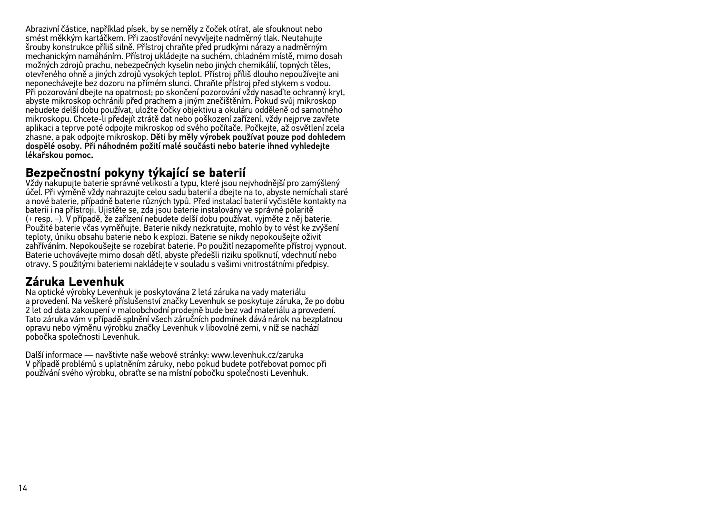Abrazivní částice, například písek, by se neměly z čoček otírat, ale sfouknout nebo smést měkkým kartáčkem. Při zaostřování nevyvíjejte nadměrný tlak. Neutahujte šrouby konstrukce příliš silně. Přístroj chraňte před prudkými nárazy a nadměrným mechanickým namáháním. Přístroj ukládejte na suchém, chladném místě, mimo dosah možných zdrojů prachu, nebezpečných kyselin nebo jiných chemikálií, topných těles, otevřeného ohně a jiných zdrojů vysokých teplot. Přístroj příliš dlouho nepoužívejte ani neponechávejte bez dozoru na přímém slunci. Chraňte přístroj před stykem s vodou. Při pozorování dbejte na opatrnost; po skončení pozorování vždy nasaďte ochranný kryt, abyste mikroskop ochránili před prachem a jiným znečištěním. Pokud svůj mikroskop nebudete delší dobu používat, uložte čočky objektivu a okuláru odděleně od samotného mikroskopu. Chcete-li předejít ztrátě dat nebo poškození zařízení, vždy nejprve zavřete aplikaci a teprve poté odpojte mikroskop od svého počítače. Počkejte, až osvětlení zcela zhasne, a pak odpojte mikroskop. Děti by měly výrobek používat pouze pod dohledem dospělé osoby. Při náhodném požití malé součásti nebo baterie ihned vyhledejte lékařskou pomoc.

## **Bezpečnostní pokyny týkající se baterií**

Vždy nakupujte baterie správné velikosti a typu, které jsou nejvhodnější pro zamýšlený účel. Při výměně vždy nahrazujte celou sadu baterií a dbejte na to, abyste nemíchali staré a nové baterie, případně baterie různých typů. Před instalací baterií vyčistěte kontakty na baterii i na přístroji. Ujistěte se, zda jsou baterie instalovány ve správné polaritě (+ resp. −). V případě, že zařízení nebudete delší dobu používat, vyjměte z něj baterie. Použité baterie včas vyměňujte. Baterie nikdy nezkratujte, mohlo by to vést ke zvýšení teploty, úniku obsahu baterie nebo k explozi. Baterie se nikdy nepokoušejte oživit zahříváním. Nepokoušejte se rozebírat baterie. Po použití nezapomeňte přístroj vypnout. Baterie uchovávejte mimo dosah dětí, abyste předešli riziku spolknutí, vdechnutí nebo otravy. S použitými bateriemi nakládejte v souladu s vašimi vnitrostátními předpisy.

### **Záruka Levenhuk**

Na optické výrobky Levenhuk je poskytována 2 letá záruka na vady materiálu a provedení. Na veškeré příslušenství značky Levenhuk se poskytuje záruka, že po dobu 2 let od data zakoupení v maloobchodní prodejně bude bez vad materiálu a provedení. Tato záruka vám v případě splnění všech záručních podmínek dává nárok na bezplatnou opravu nebo výměnu výrobku značky Levenhuk v libovolné zemi, v níž se nachází pobočka společnosti Levenhuk.

Další informace — navštivte naše webové stránky: www.levenhuk.cz/zaruka V případě problémů s uplatněním záruky, nebo pokud budete potřebovat pomoc při používání svého výrobku, obraťte se na místní pobočku společnosti Levenhuk.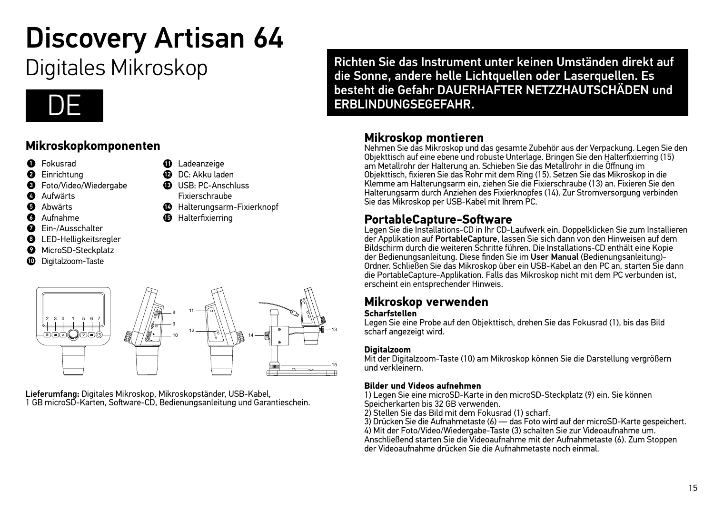## Discovery Artisan 64 Digitales Mikroskop



## **Mikroskopkomponenten**

- **O** Fokusrad
- **@** Einrichtung
- **<sup>6</sup>** Foto/Video/Wiedergabe
- **O** Aufwärts
- **A** Abwärts
- Aufnahme
- **O** Fin-/Ausschalter
- **O** LED-Helligkeitsregler
- **MicroSD-Steckplatz**
- **<sup>1</sup>** Digitalzoom-Taste



- $\bullet$  Halterungsarm-Fixierknopf
- **6** Halterfixierring



Lieferumfang: Digitales Mikroskop, Mikroskopständer, USB-Kabel, 1 GB microSD-Karten, Software-CD, Bedienungsanleitung und Garantieschein. Richten Sie das Instrument unter keinen Umständen direkt auf die Sonne, andere helle Lichtquellen oder Laserquellen. Es besteht die Gefahr DAUERHAFTER NETZZHAUTSCHÄDEN und ERBLINDUNGSEGEFAHR.

## **Mikroskop montieren**

Nehmen Sie das Mikroskop und das gesamte Zubehör aus der Verpackung. Legen Sie den Objekttisch auf eine ebene und robuste Unterlage. Bringen Sie den Halterfixierring (15) am Metallrohr der Halterung an. Schieben Sie das Metallrohr in die Öffnung im Objekttisch, fixieren Sie das Rohr mit dem Ring (15). Setzen Sie das Mikroskop in die Klemme am Halterungsarm ein, ziehen Sie die Fixierschraube (13) an. Fixieren Sie den Halterungsarm durch Anziehen des Fixierknopfes (14). Zur Stromversorgung verbinden Sie das Mikroskop per USB-Kabel mit Ihrem PC.

## **PortableCapture-Software**

Legen Sie die Installations-CD in Ihr CD-Laufwerk ein. Doppelklicken Sie zum Installieren der Applikation auf PortableCapture, lassen Sie sich dann von den Hinweisen auf dem Bildschirm durch die weiteren Schritte führen. Die Installations-CD enthält eine Kopie der Bedienungsanleitung. Diese finden Sie im User Manual (Bedienungsanleitung)- Ordner. Schließen Sie das Mikroskop über ein USB-Kabel an den PC an, starten Sie dann die PortableCapture-Applikation. Falls das Mikroskop nicht mit dem PC verbunden ist, erscheint ein entsprechender Hinweis.

## **Mikroskop verwenden**

#### **Scharfstellen**

Legen Sie eine Probe auf den Objekttisch, drehen Sie das Fokusrad (1), bis das Bild scharf angezeigt wird.

#### **Digitalzoom**

Mit der Digitalzoom-Taste (10) am Mikroskop können Sie die Darstellung vergrößern und verkleinern.

#### **Bilder und Videos aufnehmen**

1) Legen Sie eine microSD-Karte in den microSD-Steckplatz (9) ein. Sie können Speicherkarten bis 32 GB verwenden.

2) Stellen Sie das Bild mit dem Fokusrad (1) scharf.

3) Drücken Sie die Aufnahmetaste (6) — das Foto wird auf der microSD-Karte gespeichert.

4) Mit der Foto/Video/Wiedergabe-Taste (3) schalten Sie zur Videoaufnahme um. Anschließend starten Sie die Videoaufnahme mit der Aufnahmetaste (6). Zum Stoppen der Videoaufnahme drücken Sie die Aufnahmetaste noch einmal.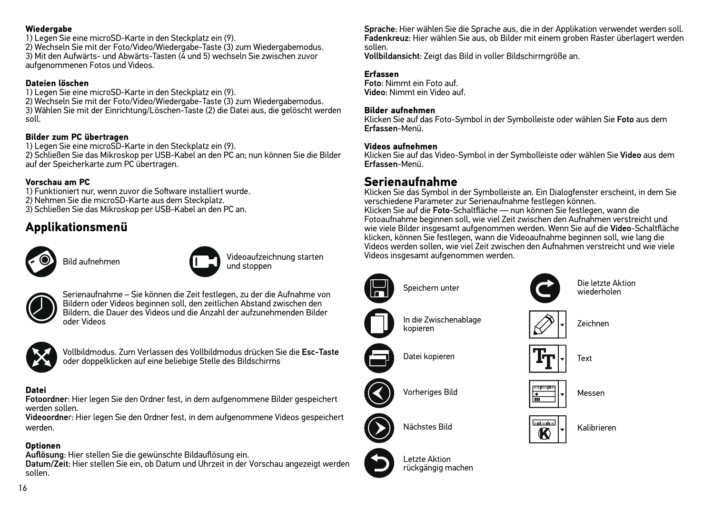#### **Wiedergabe**

1) Legen Sie eine microSD-Karte in den Steckplatz ein (9). 2) Wechseln Sie mit der Foto/Video/Wiedergabe-Taste (3) zum Wiedergabemodus. 3) Mit den Aufwärts- und Abwärts-Tasten (4 und 5) wechseln Sie zwischen zuvor aufgenommenen Fotos und Videos.

#### **Dateien löschen**

1) Legen Sie eine microSD-Karte in den Steckplatz ein (9). 2) Wechseln Sie mit der Foto/Video/Wiedergabe-Taste (3) zum Wiedergabemodus. 3) Wählen Sie mit der Einrichtung/Löschen-Taste (2) die Datei aus, die gelöscht werden soll.

#### **Bilder zum PC übertragen**

1) Legen Sie eine microSD-Karte in den Steckplatz ein (9).

2) Schließen Sie das Mikroskop per USB-Kabel an den PC an; nun können Sie die Bilder auf der Speicherkarte zum PC übertragen.

#### **Vorschau am PC**

1) Funktioniert nur, wenn zuvor die Software installiert wurde.

2) Nehmen Sie die microSD-Karte aus dem Steckplatz.

3) Schließen Sie das Mikroskop per USB-Kabel an den PC an.

## **Applikationsmenü**





und stoppen



Serienaufnahme – Sie können die Zeit festlegen, zu der die Aufnahme von Bildern oder Videos beginnen soll, den zeitlichen Abstand zwischen den Bildern, die Dauer des Videos und die Anzahl der aufzunehmenden Bilder oder Videos



Vollbildmodus. Zum Verlassen des Vollbildmodus drücken Sie die Esc-Taste oder doppelklicken auf eine beliebige Stelle des Bildschirms

#### **Datei**

Fotoordner: Hier legen Sie den Ordner fest, in dem aufgenommene Bilder gespeichert werden sollen.

Videoordner: Hier legen Sie den Ordner fest, in dem aufgenommene Videos gespeichert werden.

#### **Optionen**

Auflösung: Hier stellen Sie die gewünschte Bildauflösung ein.

Datum/Zeit: Hier stellen Sie ein, ob Datum und Uhrzeit in der Vorschau angezeigt werden sollen.

Sprache: Hier wählen Sie die Sprache aus, die in der Applikation verwendet werden soll. Fadenkreuz: Hier wählen Sie aus, ob Bilder mit einem groben Raster überlagert werden sollen.

Vollbildansicht: Zeigt das Bild in voller Bildschirmgröße an.

### **Erfassen**

Foto: Nimmt ein Foto auf. Video: Nimmt ein Video auf.

#### **Bilder aufnehmen**

Klicken Sie auf das Foto-Symbol in der Symbolleiste oder wählen Sie Foto aus dem Erfassen-Menü.

#### **Videos aufnehmen**

Klicken Sie auf das Video-Symbol in der Symbolleiste oder wählen Sie Video aus dem Erfassen-Menü.

## **Serienaufnahme**

Klicken Sie das Symbol in der Symbolleiste an. Ein Dialogfenster erscheint, in dem Sie verschiedene Parameter zur Serienaufnahme festlegen können. Klicken Sie auf die Foto-Schaltfläche — nun können Sie festlegen, wann die Fotoaufnahme beginnen soll, wie viel Zeit zwischen den Aufnahmen verstreicht und wie viele Bilder insgesamt aufgenommen werden. Wenn Sie auf die Video-Schaltfläche klicken, können Sie festlegen, wann die Videoaufnahme beginnen soll, wie lang die Videos werden sollen, wie viel Zeit zwischen den Aufnahmen verstreicht und wie viele Rild aufnehmen werden. Videoaufzeichnung starten Videos insgesamt aufgenommen werden.

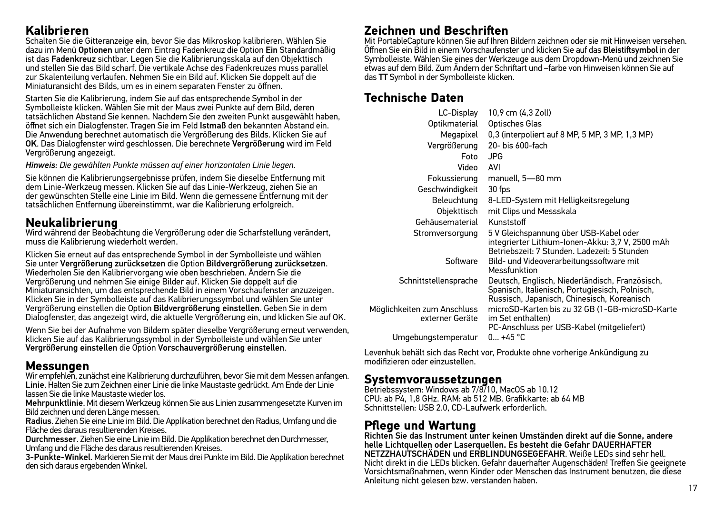## **Kalibrieren**

Schalten Sie die Gitteranzeige ein, bevor Sie das Mikroskop kalibrieren. Wählen Sie dazu im Menü Optionen unter dem Eintrag Fadenkreuz die Option Ein Standardmäßig ist das Fadenkreuz sichtbar. Legen Sie die Kalibrierungsskala auf den Objekttisch und stellen Sie das Bild scharf. Die vertikale Achse des Fadenkreuzes muss parallel zur Skalenteilung verlaufen. Nehmen Sie ein Bild auf. Klicken Sie doppelt auf die Miniaturansicht des Bilds, um es in einem separaten Fenster zu öffnen.

Starten Sie die Kalibrierung, indem Sie auf das entsprechende Symbol in der Symbolleiste klicken. Wählen Sie mit der Maus zwei Punkte auf dem Bild, deren tatsächlichen Abstand Sie kennen. Nachdem Sie den zweiten Punkt ausgewählt haben, öffnet sich ein Dialogfenster. Tragen Sie im Feld Istmaß den bekannten Abstand ein. Die Anwendung berechnet automatisch die Vergrößerung des Bilds. Klicken Sie auf OK. Das Dialogfenster wird geschlossen. Die berechnete Vergrößerung wird im Feld Vergrößerung angezeigt.

*Hinweis: Die gewählten Punkte müssen auf einer horizontalen Linie liegen.*

Sie können die Kalibrierungsergebnisse prüfen, indem Sie dieselbe Entfernung mit dem Linie-Werkzeug messen. Klicken Sie auf das Linie-Werkzeug, ziehen Sie an der gewünschten Stelle eine Linie im Bild. Wenn die gemessene Entfernung mit der tatsächlichen Entfernung übereinstimmt, war die Kalibrierung erfolgreich.

## **Neukalibrierung**

Wird während der Beobachtung die Vergrößerung oder die Scharfstellung verändert, muss die Kalibrierung wiederholt werden.

Klicken Sie erneut auf das entsprechende Symbol in der Symbolleiste und wählen<br>Sie unter Vergrößerung zurücksetzen die Option Bildvergrößerung zurücksetzen. Wiederholen Sie den Kalibriervorgang wie oben beschrieben. Ändern Sie die Vergrößerung und nehmen Sie einige Bilder auf. Klicken Sie doppelt auf die Miniaturansichten, um das entsprechende Bild in einem Vorschaufenster anzuzeigen. Klicken Sie in der Symbolleiste auf das Kalibrierungssymbol und wählen Sie unter Vergrößerung einstellen die Option Bildvergrößerung einstellen. Geben Sie in dem Dialogfenster, das angezeigt wird, die aktuelle Vergrößerung ein, und klicken Sie auf OK.

Wenn Sie bei der Aufnahme von Bildern später dieselbe Vergrößerung erneut verwenden, klicken Sie auf das Kalibrierungssymbol in der Symbolleiste und wählen Sie unter Vergrößerung einstellen die Option Vorschauvergrößerung einstellen.

## **Messungen**

Wir empfehlen, zunächst eine Kalibrierung durchzuführen, bevor Sie mit dem Messen anfangen. Linie. Halten Sie zum Zeichnen einer Linie die linke Maustaste gedrückt. Am Ende der Linie lassen Sie die linke Maustaste wieder los.

Mehrpunktlinie. Mit diesem Werkzeug können Sie aus Linien zusammengesetzte Kurven im Bild zeichnen und deren Länge messen.

Radius. Ziehen Sie eine Linie im Bild. Die Applikation berechnet den Radius, Umfang und die Fläche des daraus resultierenden Kreises.

Durchmesser. Ziehen Sie eine Linie im Bild. Die Applikation berechnet den Durchmesser, Umfang und die Fläche des daraus resultierenden Kreises.

3-Punkte-Winkel. Markieren Sie mit der Maus drei Punkte im Bild. Die Applikation berechnet den sich daraus ergebenden Winkel.

## **Zeichnen und Beschriften**

Mit PortableCapture können Sie auf Ihren Bildern zeichnen oder sie mit Hinweisen versehen. Öffnen Sie ein Bild in einem Vorschaufenster und klicken Sie auf das Bleistiftsymbol in der Symbolleiste. Wählen Sie eines der Werkzeuge aus dem Dropdown-Menü und zeichnen Sie etwas auf dem Bild. Zum Ändern der Schriftart und –farbe von Hinweisen können Sie auf das TT Symbol in der Symbolleiste klicken.

## **Technische Daten**

| LC-Display                                     | 10,9 cm (4,3 Zoll)                                                                                                                                |
|------------------------------------------------|---------------------------------------------------------------------------------------------------------------------------------------------------|
| Optikmaterial                                  | Optisches Glas                                                                                                                                    |
| Megapixel                                      | 0.3 (interpoliert auf 8 MP, 5 MP, 3 MP, 1.3 MP)                                                                                                   |
| Vergrößerung                                   | 20- bis 600-fach                                                                                                                                  |
| Foto                                           | <b>JPG</b>                                                                                                                                        |
| Video                                          | AVI                                                                                                                                               |
| Fokussierung                                   | manuell, 5-80 mm                                                                                                                                  |
| Geschwindigkeit                                | 30 fps                                                                                                                                            |
| Beleuchtung                                    | 8-LED-System mit Helligkeitsregelung                                                                                                              |
| Objekttisch                                    | mit Clips und Messskala                                                                                                                           |
| Gehäusematerial                                | Kunststoff                                                                                                                                        |
| Stromversorgung                                | 5 V Gleichspannung über USB-Kabel oder<br>integrierter Lithium-Ionen-Akku: 3,7 V, 2500 mAh<br>Betriebszeit: 7 Stunden, Ladezeit: 5 Stunden        |
| Software                                       | Bild- und Videoverarbeitungssoftware mit<br>Messfunktion                                                                                          |
| Schnittstellensprache                          | Deutsch, Englisch, Niederländisch, Französisch,<br>Spanisch, Italienisch, Portugiesisch, Polnisch,<br>Russisch, Japanisch, Chinesisch, Koreanisch |
| Möglichkeiten zum Anschluss<br>externer Geräte | microSD-Karten bis zu 32 GB (1-GB-microSD-Karte<br>im Set enthalten)<br>PC-Anschluss per USB-Kabel (mitgeliefert)                                 |
| Umgebungstemperatur                            | $0 + 45 °C$                                                                                                                                       |

Levenhuk behält sich das Recht vor, Produkte ohne vorherige Ankündigung zu modifizieren oder einzustellen.

### **Systemvoraussetzungen**

Betriebssystem: Windows ab 7/8/10, MacOS ab 10.12 CPU: ab P4, 1,8 GHz. RAM: ab 512 MB. Grafikkarte: ab 64 MB Schnittstellen: USB 2.0, CD-Laufwerk erforderlich.

## **Pflege und Wartung**

Richten Sie das Instrument unter keinen Umständen direkt auf die Sonne, andere helle Lichtquellen oder Laserquellen. Es besteht die Gefahr DAUERHAFTER NETZZHAUTSCHÄDEN und ERBLINDUNGSEGEFAHR. Weiße LEDs sind sehr hell. Nicht direkt in die LEDs blicken. Gefahr dauerhafter Augenschäden! Treffen Sie geeignete Vorsichtsmaßnahmen, wenn Kinder oder Menschen das Instrument benutzen, die diese Anleitung nicht gelesen bzw. verstanden haben.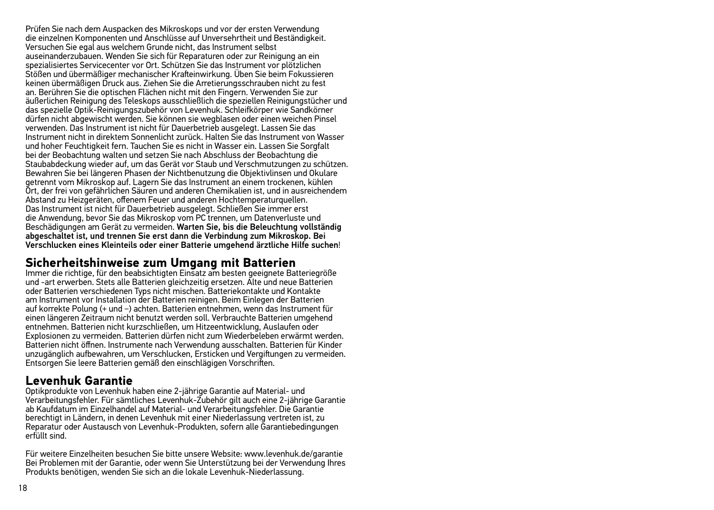Prüfen Sie nach dem Auspacken des Mikroskops und vor der ersten Verwendung die einzelnen Komponenten und Anschlüsse auf Unversehrtheit und Beständigkeit. Versuchen Sie egal aus welchem Grunde nicht, das Instrument selbst auseinanderzubauen. Wenden Sie sich für Reparaturen oder zur Reinigung an ein spezialisiertes Servicecenter vor Ort. Schützen Sie das Instrument vor plötzlichen Stößen und übermäßiger mechanischer Krafteinwirkung. Üben Sie beim Fokussieren keinen übermäßigen Druck aus. Ziehen Sie die Arretierungsschrauben nicht zu fest an. Berühren Sie die optischen Flächen nicht mit den Fingern. Verwenden Sie zur äußerlichen Reinigung des Teleskops ausschließlich die speziellen Reinigungstücher und das spezielle Optik-Reinigungszubehör von Levenhuk. Schleifkörper wie Sandkörner dürfen nicht abgewischt werden. Sie können sie wegblasen oder einen weichen Pinsel verwenden. Das Instrument ist nicht für Dauerbetrieb ausgelegt. Lassen Sie das Instrument nicht in direktem Sonnenlicht zurück. Halten Sie das Instrument von Wasser und hoher Feuchtigkeit fern. Tauchen Sie es nicht in Wasser ein. Lassen Sie Sorgfalt bei der Beobachtung walten und setzen Sie nach Abschluss der Beobachtung die Staubabdeckung wieder auf, um das Gerät vor Staub und Verschmutzungen zu schützen. Bewahren Sie bei längeren Phasen der Nichtbenutzung die Objektivlinsen und Okulare getrennt vom Mikroskop auf. Lagern Sie das Instrument an einem trockenen, kühlen Ort, der frei von gefährlichen Säuren und anderen Chemikalien ist, und in ausreichendem Abstand zu Heizgeräten, offenem Feuer und anderen Hochtemperaturquellen. Das Instrument ist nicht für Dauerbetrieb ausgelegt. Schließen Sie immer erst die Anwendung, bevor Sie das Mikroskop vom PC trennen, um Datenverluste und Beschädigungen am Gerät zu vermeiden. Warten Sie, bis die Beleuchtung vollständig abgeschaltet ist, und trennen Sie erst dann die Verbindung zum Mikroskop. Bei Verschlucken eines Kleinteils oder einer Batterie umgehend ärztliche Hilfe suchen!

## **Sicherheitshinweise zum Umgang mit Batterien**

Immer die richtige, für den beabsichtigten Einsatz am besten geeignete Batteriegröße und -art erwerben. Stets alle Batterien gleichzeitig ersetzen. Alte und neue Batterien oder Batterien verschiedenen Typs nicht mischen. Batteriekontakte und Kontakte am Instrument vor Installation der Batterien reinigen. Beim Einlegen der Batterien auf korrekte Polung (+ und −) achten. Batterien entnehmen, wenn das Instrument für einen längeren Zeitraum nicht benutzt werden soll. Verbrauchte Batterien umgehend entnehmen. Batterien nicht kurzschließen, um Hitzeentwicklung, Auslaufen oder Explosionen zu vermeiden. Batterien dürfen nicht zum Wiederbeleben erwärmt werden. Batterien nicht öffnen. Instrumente nach Verwendung ausschalten. Batterien für Kinder unzugänglich aufbewahren, um Verschlucken, Ersticken und Vergiftungen zu vermeiden. Entsorgen Sie leere Batterien gemäß den einschlägigen Vorschriften.

### **Levenhuk Garantie**

Optikprodukte von Levenhuk haben eine 2-jährige Garantie auf Material- und Verarbeitungsfehler. Für sämtliches Levenhuk-Zubehör gilt auch eine 2-jährige Garantie ab Kaufdatum im Einzelhandel auf Material- und Verarbeitungsfehler. Die Garantie berechtigt in Ländern, in denen Levenhuk mit einer Niederlassung vertreten ist, zu Reparatur oder Austausch von Levenhuk-Produkten, sofern alle Garantiebedingungen erfüllt sind.

Für weitere Einzelheiten besuchen Sie bitte unsere Website: www.levenhuk.de/garantie Bei Problemen mit der Garantie, oder wenn Sie Unterstützung bei der Verwendung Ihres Produkts benötigen, wenden Sie sich an die lokale Levenhuk-Niederlassung.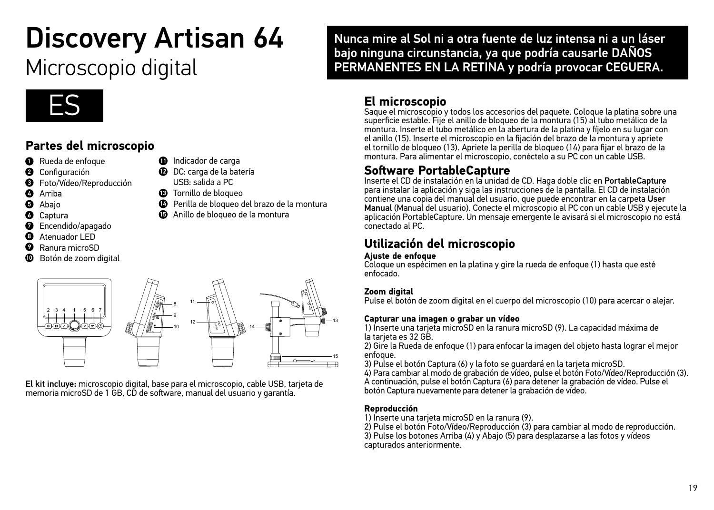# Discovery Artisan 64

## Microscopio digital



## **Partes del microscopio**

- **O** Rueda de enfoque
- Configuración
- Foto/Vídeo/Reproducción €
- Ø Arriba
- Abajo
- ◑ Captura
- Encendido/apagado
- $\bullet$ Atenuador LED
- Ω Ranura microSD
- Botón de zoom digital



- **D** DC: carga de la batería USB: salida a PC
- **<sup>6</sup>** Tornillo de bloqueo
- Perilla de bloqueo del brazo de la montura
- $\bullet$  Anillo de bloqueo de la montura



El kit incluye: microscopio digital, base para el microscopio, cable USB, tarjeta de memoria microSD de 1 GB, CD de software, manual del usuario y garantía.

Nunca mire al Sol ni a otra fuente de luz intensa ni a un láser bajo ninguna circunstancia, ya que podría causarle DAÑOS PERMANENTES EN LA RETINA y podría provocar CEGUERA.

## **El microscopio**

Saque el microscopio y todos los accesorios del paquete. Coloque la platina sobre una superficie estable. Fije el anillo de bloqueo de la montura (15) al tubo metálico de la montura. Inserte el tubo metálico en la abertura de la platina y fíjelo en su lugar con el anillo (15). Inserte el microscopio en la fijación del brazo de la montura y apriete el tornillo de bloqueo (13). Apriete la perilla de bloqueo (14) para fijar el brazo de la montura. Para alimentar el microscopio, conéctelo a su PC con un cable USB.

## **Software PortableCapture**

Inserte el CD de instalación en la unidad de CD. Haga doble clic en PortableCapture para instalar la aplicación y siga las instrucciones de la pantalla. El CD de instalación contiene una copia del manual del usuario, que puede encontrar en la carpeta User Manual (Manual del usuario). Conecte el microscopio al PC con un cable USB y ejecute la aplicación PortableCapture. Un mensaje emergente le avisará si el microscopio no está conectado al PC.

## **Utilización del microscopio**

#### **Ajuste de enfoque**

Coloque un espécimen en la platina y gire la rueda de enfoque (1) hasta que esté enfocado.

#### **Zoom digital**

Pulse el botón de zoom digital en el cuerpo del microscopio (10) para acercar o alejar.

#### **Capturar una imagen o grabar un vídeo**

1) Inserte una tarjeta microSD en la ranura microSD (9). La capacidad máxima de la tarjeta es 32 GB.

2) Gire la Rueda de enfoque (1) para enfocar la imagen del objeto hasta lograr el mejor enfoque.

3) Pulse el botón Captura (6) y la foto se guardará en la tarjeta microSD.

4) Para cambiar al modo de grabación de vídeo, pulse el botón Foto/Vídeo/Reproducción (3). A continuación, pulse el botón Captura (6) para detener la grabación de vídeo. Pulse el botón Captura nuevamente para detener la grabación de vídeo.

#### **Reproducción**

1) Inserte una tarjeta microSD en la ranura (9).

2) Pulse el botón Foto/Vídeo/Reproducción (3) para cambiar al modo de reproducción. 3) Pulse los botones Arriba (4) y Abajo (5) para desplazarse a las fotos y vídeos capturados anteriormente.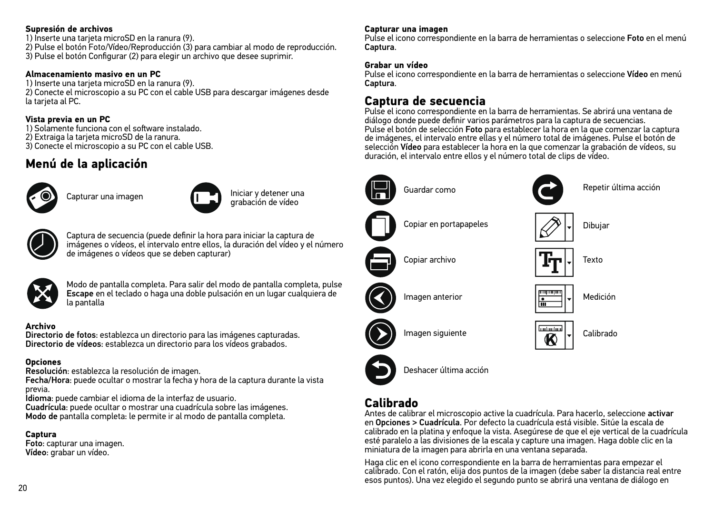#### **Supresión de archivos**

1) Inserte una tarjeta microSD en la ranura (9).

2) Pulse el botón Foto/Vídeo/Reproducción (3) para cambiar al modo de reproducción. 3) Pulse el botón Configurar (2) para elegir un archivo que desee suprimir.

#### **Almacenamiento masivo en un PC**

1) Inserte una tarjeta microSD en la ranura (9).

2) Conecte el microscopio a su PC con el cable USB para descargar imágenes desde la tarjeta al PC.

#### **Vista previa en un PC**

1) Solamente funciona con el software instalado.

2) Extraiga la tarjeta microSD de la ranura.

3) Conecte el microscopio a su PC con el cable USB.

## **Menú de la aplicación**





Capturar una imagen **Iniciar y detener una** grabación de vídeo



Captura de secuencia (puede definir la hora para iniciar la captura de imágenes o vídeos, el intervalo entre ellos, la duración del vídeo y el número de imágenes o vídeos que se deben capturar)



Modo de pantalla completa. Para salir del modo de pantalla completa, pulse Escape en el teclado o haga una doble pulsación en un lugar cualquiera de la pantalla

#### **Archivo**

Directorio de fotos: establezca un directorio para las imágenes capturadas. Directorio de vídeos: establezca un directorio para los vídeos grabados.

#### **Opciones**

Resolución: establezca la resolución de imagen.

Fecha/Hora: puede ocultar o mostrar la fecha y hora de la captura durante la vista previa.

Idioma: puede cambiar el idioma de la interfaz de usuario.

Cuadrícula: puede ocultar o mostrar una cuadrícula sobre las imágenes. Modo de pantalla completa: le permite ir al modo de pantalla completa.

#### **Captura**

Foto: capturar una imagen. Vídeo: grabar un vídeo.

#### **Capturar una imagen**

Pulse el icono correspondiente en la barra de herramientas o seleccione Foto en el menú Captura.

#### **Grabar un vídeo**

Pulse el icono correspondiente en la barra de herramientas o seleccione Vídeo en menú Captura.

## **Captura de secuencia**

Pulse el icono correspondiente en la barra de herramientas. Se abrirá una ventana de diálogo donde puede definir varios parámetros para la captura de secuencias. Pulse el botón de selección Foto para establecer la hora en la que comenzar la captura de imágenes, el intervalo entre ellas y el número total de imágenes. Pulse el botón de selección Vídeo para establecer la hora en la que comenzar la grabación de vídeos, su duración, el intervalo entre ellos y el número total de clips de vídeo.



Repetir última acción





Medición





## **Calibrado**

Antes de calibrar el microscopio active la cuadrícula. Para hacerlo, seleccione activar en Opciones > Cuadrícula. Por defecto la cuadrícula está visible. Sitúe la escala de calibrado en la platina y enfoque la vista. Asegúrese de que el eje vertical de la cuadrícula esté paralelo a las divisiones de la escala y capture una imagen. Haga doble clic en la miniatura de la imagen para abrirla en una ventana separada.

Haga clic en el icono correspondiente en la barra de herramientas para empezar el calibrado. Con el ratón, elija dos puntos de la imagen (debe saber la distancia real entre esos puntos). Una vez elegido el segundo punto se abrirá una ventana de diálogo en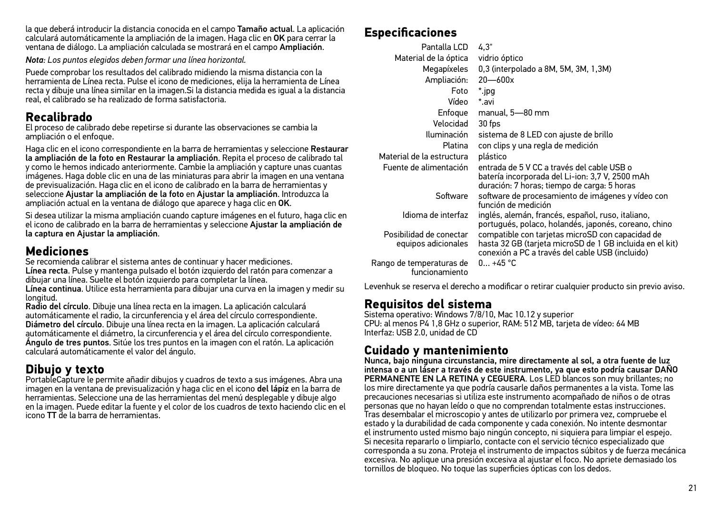la que deberá introducir la distancia conocida en el campo Tamaño actual. La aplicación calculará automáticamente la ampliación de la imagen. Haga clic en OK para cerrar la ventana de diálogo. La ampliación calculada se mostrará en el campo Ampliación.

*Nota: Los puntos elegidos deben formar una línea horizontal.*

Puede comprobar los resultados del calibrado midiendo la misma distancia con la herramienta de Línea recta. Pulse el icono de mediciones, elija la herramienta de Línea recta y dibuje una línea similar en la imagen.Si la distancia medida es igual a la distancia real, el calibrado se ha realizado de forma satisfactoria.

## **Recalibrado**

El proceso de calibrado debe repetirse si durante las observaciones se cambia la ampliación o el enfoque.

Haga clic en el icono correspondiente en la barra de herramientas y seleccione Restaurar la ampliación de la foto en Restaurar la ampliación. Repita el proceso de calibrado tal y como le hemos indicado anteriormente. Cambie la ampliación y capture unas cuantas imágenes. Haga doble clic en una de las miniaturas para abrir la imagen en una ventana de previsualización. Haga clic en el icono de calibrado en la barra de herramientas y seleccione Ajustar la ampliación de la foto en Ajustar la ampliación. Introduzca la ampliación actual en la ventana de diálogo que aparece y haga clic en OK.

Si desea utilizar la misma ampliación cuando capture imágenes en el futuro, haga clic en el icono de calibrado en la barra de herramientas y seleccione Ajustar la ampliación de la captura en Ajustar la ampliación.

## **Mediciones**

Se recomienda calibrar el sistema antes de continuar y hacer mediciones. Línea recta. Pulse y mantenga pulsado el botón izquierdo del ratón para comenzar a dibujar una línea. Suelte el botón izquierdo para completar la línea.

Línea continua. Utilice esta herramienta para dibujar una curva en la imagen y medir su longitud.

Radio del círculo. Dibuje una línea recta en la imagen. La aplicación calculará automáticamente el radio, la circunferencia y el área del círculo correspondiente. Diámetro del círculo. Dibuje una línea recta en la imagen. La aplicación calculará automáticamente el diámetro, la circunferencia y el área del círculo correspondiente. Ángulo de tres puntos. Sitúe los tres puntos en la imagen con el ratón. La aplicación calculará automáticamente el valor del ángulo.

## **Dibujo y texto**

PortableCapture le permite añadir dibujos y cuadros de texto a sus imágenes. Abra una imagen en la ventana de previsualización y haga clic en el icono del lápiz en la barra de herramientas. Seleccione una de las herramientas del menú desplegable y dibuje algo en la imagen. Puede editar la fuente y el color de los cuadros de texto haciendo clic en el icono TT de la barra de herramientas.

## **Especificaciones**

| Pantalla LCD<br>Material de la óptica<br>Megapíxeles | 4.3"<br>vidrio óptico<br>0,3 (interpolado a 8M, 5M, 3M, 1,3M)                                                                                                   |
|------------------------------------------------------|-----------------------------------------------------------------------------------------------------------------------------------------------------------------|
| Ampliación:                                          | $20 - 600x$                                                                                                                                                     |
| Foto                                                 | *.jpg                                                                                                                                                           |
| Vídeo                                                | * avi                                                                                                                                                           |
| Enfoque                                              | manual, 5-80 mm                                                                                                                                                 |
| Velocidad                                            | 30 fps                                                                                                                                                          |
| Iluminación                                          | sistema de 8 LED con ajuste de brillo                                                                                                                           |
| Platina                                              | con clips y una regla de medición                                                                                                                               |
| Material de la estructura                            | plástico                                                                                                                                                        |
| Fuente de alimentación                               | entrada de 5 V CC a través del cable USB o<br>batería incorporada del Li-ion: 3,7 V, 2500 mAh<br>duración: 7 horas; tiempo de carga: 5 horas                    |
| Software                                             | software de procesamiento de imágenes y vídeo con<br>función de medición                                                                                        |
| Idioma de interfaz                                   | inglés, alemán, francés, español, ruso, italiano,<br>portugués, polaco, holandés, japonés, coreano, chino                                                       |
| Posibilidad de conectar<br>equipos adicionales       | compatible con tarjetas microSD con capacidad de<br>hasta 32 GB (tarjeta microSD de 1 GB incluida en el kit)<br>conexión a PC a través del cable USB (incluido) |
| Rango de temperaturas de<br>funcionamiento           | $0+45 °C$                                                                                                                                                       |

Levenhuk se reserva el derecho a modificar o retirar cualquier producto sin previo aviso.

## **Requisitos del sistema**

Sistema operativo: Windows 7/8/10, Mac 10.12 y superior CPU: al menos P4 1,8 GHz o superior, RAM: 512 MB, tarjeta de vídeo: 64 MB Interfaz: USB 2.0, unidad de CD

## **Cuidado y mantenimiento**

Nunca, bajo ninguna circunstancia, mire directamente al sol, a otra fuente de luz intensa o a un láser a través de este instrumento, ya que esto podría causar DAÑO PERMANENTE EN LA RETINA y CEGUERA. Los LED blancos son muy brillantes; no los mire directamente ya que podría causarle daños permanentes a la vista. Tome las precauciones necesarias si utiliza este instrumento acompañado de niños o de otras personas que no hayan leído o que no comprendan totalmente estas instrucciones. Tras desembalar el microscopio y antes de utilizarlo por primera vez, compruebe el estado y la durabilidad de cada componente y cada conexión. No intente desmontar el instrumento usted mismo bajo ningún concepto, ni siquiera para limpiar el espejo. Si necesita repararlo o limpiarlo, contacte con el servicio técnico especializado que corresponda a su zona. Proteja el instrumento de impactos súbitos y de fuerza mecánica excesiva. No aplique una presión excesiva al ajustar el foco. No apriete demasiado los tornillos de bloqueo. No toque las superficies ópticas con los dedos.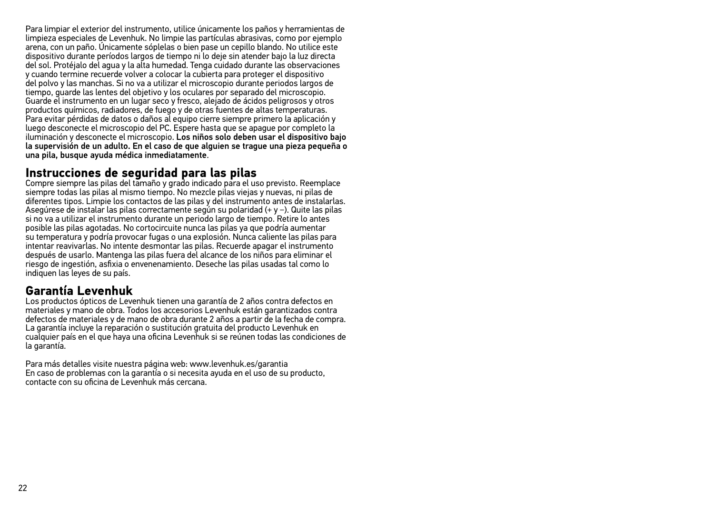Para limpiar el exterior del instrumento, utilice únicamente los paños y herramientas de limpieza especiales de Levenhuk. No limpie las partículas abrasivas, como por ejemplo arena, con un paño. Únicamente sóplelas o bien pase un cepillo blando. No utilice este dispositivo durante períodos largos de tiempo ni lo deje sin atender bajo la luz directa del sol. Protéjalo del agua y la alta humedad. Tenga cuidado durante las observaciones y cuando termine recuerde volver a colocar la cubierta para proteger el dispositivo del polvo y las manchas. Si no va a utilizar el microscopio durante periodos largos de tiempo, guarde las lentes del objetivo y los oculares por separado del microscopio. Guarde el instrumento en un lugar seco y fresco, alejado de ácidos peligrosos y otros productos químicos, radiadores, de fuego y de otras fuentes de altas temperaturas. Para evitar pérdidas de datos o daños al equipo cierre siempre primero la aplicación y luego desconecte el microscopio del PC. Espere hasta que se apague por completo la iluminación y desconecte el microscopio. Los niños solo deben usar el dispositivo bajo la supervisión de un adulto. En el caso de que alguien se trague una pieza pequeña o una pila, busque ayuda médica inmediatamente.

### **Instrucciones de seguridad para las pilas**

Compre siempre las pilas del tamaño y grado indicado para el uso previsto. Reemplace siempre todas las pilas al mismo tiempo. No mezcle pilas viejas y nuevas, ni pilas de diferentes tipos. Limpie los contactos de las pilas y del instrumento antes de instalarlas. Asegúrese de instalar las pilas correctamente según su polaridad (+ y −). Quite las pilas si no va a utilizar el instrumento durante un periodo largo de tiempo. Retire lo antes posible las pilas agotadas. No cortocircuite nunca las pilas ya que podría aumentar su temperatura y podría provocar fugas o una explosión. Nunca caliente las pilas para intentar reavivarlas. No intente desmontar las pilas. Recuerde apagar el instrumento después de usarlo. Mantenga las pilas fuera del alcance de los niños para eliminar el riesgo de ingestión, asfixia o envenenamiento. Deseche las pilas usadas tal como lo indiquen las leyes de su país.

## **Garantía Levenhuk**

Los productos ópticos de Levenhuk tienen una garantía de 2 años contra defectos en materiales y mano de obra. Todos los accesorios Levenhuk están garantizados contra defectos de materiales y de mano de obra durante 2 años a partir de la fecha de compra. La garantía incluye la reparación o sustitución gratuita del producto Levenhuk en cualquier país en el que haya una oficina Levenhuk si se reúnen todas las condiciones de la garantía.

Para más detalles visite nuestra página web: www.levenhuk.es/garantia En caso de problemas con la garantía o si necesita ayuda en el uso de su producto, contacte con su oficina de Levenhuk más cercana.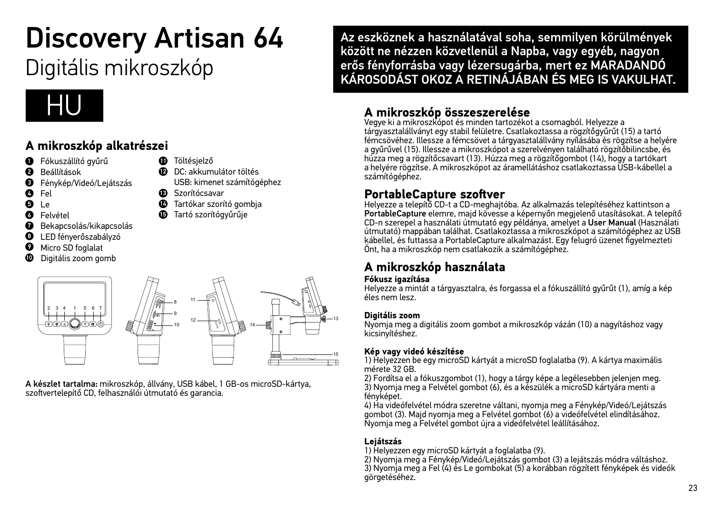## Discovery Artisan 64 Digitális mikroszkóp

## HU

## **A mikroszkóp alkatrészei**

- **O** Fókuszállító gyűrű
- Beállítások
- Fénykép/Videó/Lejátszás
- Ø Fel
- $\bullet$ Le
- O Felvétel
- Bekapcsolás/kikapcsolás
- O LED fényerőszabályzó
- Micro SD foglalat O
- Digitális zoom gomb



- USB: kimenet számítógéphez
- **B** Szorítócsavar
- $\bullet$  Tartókar szorító gombia
- Tartó szorítógyűrűje



A készlet tartalma: mikroszkóp, állvány, USB kábel, 1 GB-os microSD-kártya, szoftvertelepítő CD, felhasználói útmutató és garancia.

Az eszköznek a használatával soha, semmilyen körülmények között ne nézzen közvetlenül a Napba, vagy egyéb, nagyon erős fényforrásba vagy lézersugárba, mert ez MARADANDÓ KÁROSODÁST OKOZ A RETINÁJÁBAN ÉS MEG IS VAKULHAT.

## **A mikroszkóp összeszerelése**

Vegye ki a mikroszkópot és minden tartozékot a csomagból. Helyezze a tárgyasztalállványt egy stabil felületre. Csatlakoztassa a rögzítőgyűrűt (15) a tartó fémcsövéhez. Illessze a fémcsövet a tárgyasztalállvány nyílásába és rögzítse a helyére a gyűrűvel (15). Illessze a mikroszkópot a szerelvényen található rögzítőbilincsbe, és húzza meg a rögzítőcsavart (13). Húzza meg a rögzítőgombot (14), hogy a tartókart a helyére rögzítse. A mikroszkópot az áramellátáshoz csatlakoztassa USB-kábellel a számítógéphez.

## **PortableCapture szoftver**

Helyezze a telepítő CD-t a CD-meghajtóba. Az alkalmazás telepítéséhez kattintson a PortableCapture elemre, majd kövesse a képernyőn megjelenő utasításokat. A telepítő CD-n szerepel a használati útmutató egy példánya, amelyet a User Manual (Használati útmutató) mappában találhat. Csatlakoztassa a mikroszkópot a számítógéphez az USB kábellel, és futtassa a PortableCapture alkalmazást. Egy felugró üzenet figyelmezteti Önt, ha a mikroszkóp nem csatlakozik a számítógéphez.

## **A mikroszkóp használata**

#### **Fókusz igazítása**

Helyezze a mintát a tárgyasztalra, és forgassa el a fókuszállító gyűrűt (1), amíg a kép éles nem lesz.

#### **Digitális zoom**

Nyomja meg a digitális zoom gombot a mikroszkóp vázán (10) a nagyításhoz vagy kicsinyítéshez.

#### **Kép vagy videó készítése**

1) Helyezzen be egy microSD kártyát a microSD foglalatba (9). A kártya maximális mérete 32 GB.

2) Fordítsa el a fókuszgombot (1), hogy a tárgy képe a legélesebben jelenjen meg. 3) Nyomja meg a Felvétel gombot (6), és a készülék a microSD kártyára menti a fényképet.

4) Ha videófelvétel módra szeretne váltani, nyomja meg a Fénykép/Videó/Lejátszás gombot (3). Majd nyomja meg a Felvétel gombot (6) a videófelvétel elindításához. Nyomja meg a Felvétel gombot újra a videófelvétel leállításához.

#### **Lejátszás**

1) Helyezzen egy microSD kártyát a foglalatba (9).

2) Nyomja meg a Fénykép/Videó/Lejátszás gombot (3) a lejátszás módra váltáshoz. 3) Nyomja meg a Fel (4) és Le gombokat (5) a korábban rögzített fényképek és videók görgetéséhez.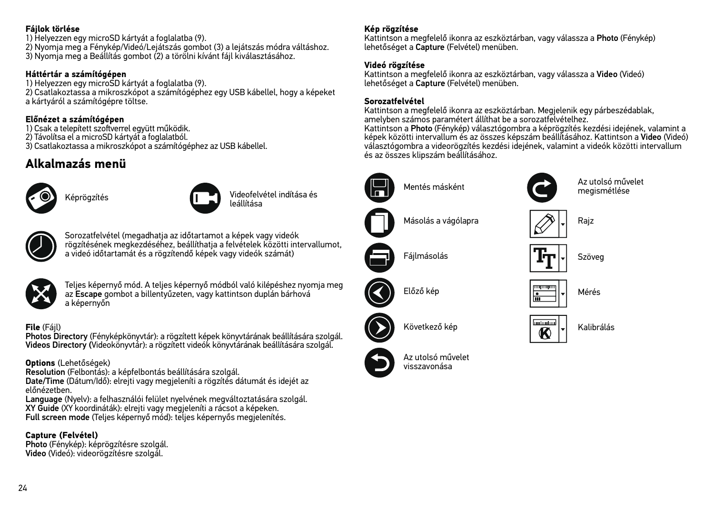#### **Fájlok törlése**

1) Helyezzen egy microSD kártyát a foglalatba (9). 2) Nyomja meg a Fénykép/Videó/Lejátszás gombot (3) a lejátszás módra váltáshoz. 3) Nyomja meg a Beállítás gombot (2) a törölni kívánt fájl kiválasztásához.

#### **Háttértár a számítógépen**

1) Helyezzen egy microSD kártyát a foglalatba (9). 2) Csatlakoztassa a mikroszkópot a számítógéphez egy USB kábellel, hogy a képeket a kártyáról a számítógépre töltse.

#### **Előnézet a számítógépen**

1) Csak a telepített szoftverrel együtt működik.

2) Távolítsa el a microSD kártyát a foglalatból.

3) Csatlakoztassa a mikroszkópot a számítógéphez az USB kábellel.

## **Alkalmazás menü**





Képrögzítés Videofelvétel indítása és leállítása



Sorozatfelvétel (megadhatja az időtartamot a képek vagy videók rögzítésének megkezdéséhez, beállíthatja a felvételek közötti intervallumot, a videó időtartamát és a rögzítendő képek vagy videók számát)



Teljes képernyő mód. A teljes képernyő módból való kilépéshez nyomja meg az Escape gombot a billentyűzeten, vagy kattintson duplán bárhová a képernyőn

#### **File** (Fájl)

Photos Directory (Fényképkönyvtár): a rögzített képek könyvtárának beállítására szolgál. Videos Directory (Videokönyvtár): a rögzített videók könyvtárának beállítására szolgál.

#### **Options** (Lehetőségek)

Resolution (Felbontás): a képfelbontás beállítására szolgál.

Date/Time (Dátum/Idő): elrejti vagy megjeleníti a rögzítés dátumát és idejét az előnézetben.

Language (Nyelv): a felhasználói felület nyelvének megváltoztatására szolgál. XY Guide (XY koordináták): elrejti vagy megjeleníti a rácsot a képeken. Full screen mode (Teljes képernyő mód): teljes képernyős megjelenítés.

#### **Capture (Felvétel)**

Photo (Fénykép): képrögzítésre szolgál. Video (Videó): videorögzítésre szolgál.



Kattintson a megfelelő ikonra az eszköztárban, vagy válassza a Photo (Fénykép) lehetőséget a Capture (Felvétel) menüben.

#### **Videó rögzítése**

Kattintson a megfelelő ikonra az eszköztárban, vagy válassza a Video (Videó) lehetőséget a Capture (Felvétel) menüben.

#### **Sorozatfelvétel**

Kattintson a megfelelő ikonra az eszköztárban. Megjelenik egy párbeszédablak, amelyben számos paramétert állíthat be a sorozatfelvételhez.

Kattintson a Photo (Fénykép) választógombra a képrögzítés kezdési idejének, valamint a képek közötti intervallum és az összes képszám beállításához. Kattintson a Video (Videó) választógombra a videorögzítés kezdési idejének, valamint a videók közötti intervallum és az összes klipszám beállításához.



Az utolsó művelet megismétlése



Szöveg

أستأسناسنا

Mérés

Kalibrálás

visszavonása



Az utolsó művelet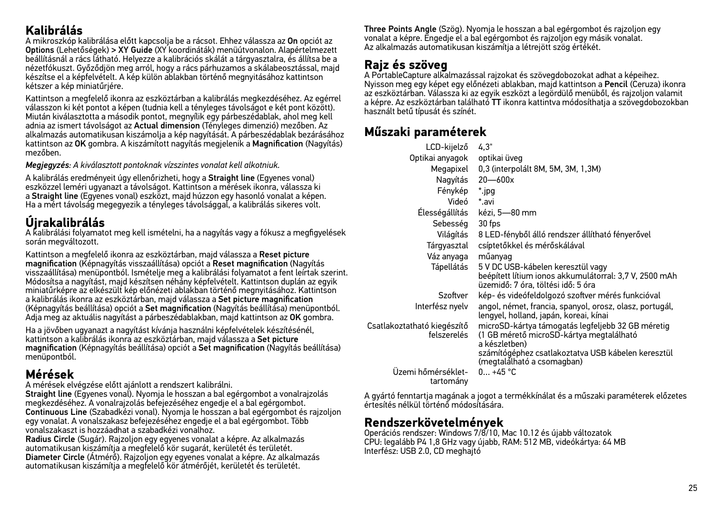## **Kalibrálás**

A mikroszkóp kalibrálása előtt kapcsolja be a rácsot. Ehhez válassza az On opciót az Options (Lehetőségek) > XY Guide (XY koordináták) menüútvonalon. Alapértelmezett beállításnál a rács látható. Helyezze a kalibrációs skálát a tárgyasztalra, és állítsa be a nézetfókuszt. Győződjön meg arról, hogy a rács párhuzamos a skálabeosztással, majd készítse el a képfelvételt. A kép külön ablakban történő megnyitásához kattintson kétszer a kép miniatűrjére.

Kattintson a megfelelő ikonra az eszköztárban a kalibrálás megkezdéséhez. Az egérrel válasszon ki két pontot a képen (tudnia kell a tényleges távolságot e két pont között). Miután kiválasztotta a második pontot, megnyílik egy párbeszédablak, ahol meg kell adnia az ismert távolságot az Actual dimension (Tényleges dimenzió) mezőben. Az alkalmazás automatikusan kiszámolja a kép nagyítását. A párbeszédablak bezárásához kattintson az OK gombra. A kiszámított nagyítás megjelenik a Magnification (Nagyítás) mezőben.

*Megjegyzés: A kiválasztott pontoknak vízszintes vonalat kell alkotniuk.*

A kalibrálás eredményeit úgy ellenőrizheti, hogy a Straight line (Egyenes vonal) eszközzel leméri ugyanazt a távolságot. Kattintson a mérések ikonra, válassza ki a Straight line (Egyenes vonal) eszközt, majd húzzon egy hasonló vonalat a képen. Ha a mért távolság megegyezik a tényleges távolsággal, a kalibrálás sikeres volt.

## **Újrakalibrálás**

A kalibrálási folyamatot meg kell ismételni, ha a nagyítás vagy a fókusz a megfigyelések során megváltozott.

Kattintson a megfelelő ikonra az eszköztárban, majd válassza a Reset picture magnification (Képnagyítás visszaállítása) opciót a Reset magnification (Nagyítás visszaállítása) menüpontból. Ismételje meg a kalibrálási folyamatot a fent leírtak szerint. Módosítsa a nagyítást, majd készítsen néhány képfelvételt. Kattintson duplán az egyik miniatűrképre az elkészült kép előnézeti ablakban történő megnyitásához. Kattintson a kalibrálás ikonra az eszköztárban, majd válassza a Set picture magnification (Képnagyítás beállítása) opciót a Set magnification (Nagyítás beállítása) menüpontból. Adja meg az aktuális nagyítást a párbeszédablakban, majd kattintson az OK gombra.

Ha a jövőben ugyanazt a nagyítást kívánja használni képfelvételek készítésénél, kattintson a kalibrálás ikonra az eszköztárban, majd válassza a Set picture magnification (Képnagyítás beállítása) opciót a Set magnification (Nagyítás beállítása) menüpontból.

## **Mérések**

A mérések elvégzése előtt ajánlott a rendszert kalibrálni.

Straight line (Egyenes vonal). Nyomja le hosszan a bal egérgombot a vonalrajzolás megkezdéséhez. A vonalrajzolás befejezéséhez engedje el a bal egérgombot. Continuous Line (Szabadkézi vonal). Nyomja le hosszan a bal egérgombot és rajzoljon egy vonalat. A vonalszakasz befejezéséhez engedje el a bal egérgombot. Több vonalszakaszt is hozzáadhat a szabadkézi vonalhoz.

Radius Circle (Sugár). Rajzoljon egy egyenes vonalat a képre. Az alkalmazás automatikusan kiszámítja a megfelelő kör sugarát, kerületét és területét. Diameter Circle (Átmérő). Rajzoljon egy egyenes vonalat a képre. Az alkalmazás automatikusan kiszámítja a megfelelő kör átmérőjét, kerületét és területét.

Three Points Angle (Szög). Nyomja le hosszan a bal egérgombot és rajzoljon egy vonalat a képre. Engedje el a bal egérgombot és rajzoljon egy másik vonalat. Az alkalmazás automatikusan kiszámítja a létrejött szög értékét.

## **Rajz és szöveg**

A PortableCapture alkalmazással rajzokat és szövegdobozokat adhat a képeihez. Nyisson meg egy képet egy előnézeti ablakban, majd kattintson a Pencil (Ceruza) ikonra az eszköztárban. Válassza ki az egyik eszközt a legördülő menüből, és rajzoljon valamit a képre. Az eszköztárban található TT ikonra kattintva módosíthatja a szövegdobozokban használt betű típusát és színét.

## **Műszaki paraméterek**

| LCD-kijelző                           | 4.3"                                                                                                                              |
|---------------------------------------|-----------------------------------------------------------------------------------------------------------------------------------|
| Optikai anyagok                       | optikai üveg                                                                                                                      |
| Megapixel                             | 0,3 (interpolált 8M, 5M, 3M, 1,3M)                                                                                                |
| Nagyítás                              | $20 - 600x$                                                                                                                       |
| Fénykép                               | * jpg                                                                                                                             |
| Videó                                 | *.avi                                                                                                                             |
| Élességállítás                        | kézi, 5—80 mm                                                                                                                     |
| Sebesség                              | 30 fps                                                                                                                            |
| Világítás                             | 8 LED-fényből álló rendszer állítható fényerővel                                                                                  |
| Tárgyasztal                           | csíptetőkkel és mérőskálával                                                                                                      |
| Váz anyaga                            | műanyag                                                                                                                           |
| Tápellátás                            | 5 V DC USB-kábelen keresztül vagy<br>beépített lítium ionos akkumulátorral: 3,7 V, 2500 mAh<br>üzemidő: 7 óra, töltési idő: 5 óra |
| Szoftver                              | kép- és videófeldolgozó szoftver mérés funkcióval                                                                                 |
| Interfész nyelv                       | angol, német, francia, spanyol, orosz, olasz, portugál,<br>lengyel, holland, japán, koreai, kínai                                 |
| akoztatható kiegészítő<br>felszerelés | microSD-kártya támogatás legfeljebb 32 GB méretig<br>(1 GB mérető microSD-kártya megtalálható<br>a készletben)                    |
|                                       | számítógéphez csatlakoztatva USB kábelen keresztül<br>(megtalálható a csomagban)                                                  |
| Üzemi hőmérséklet-<br>tartomány       | $0 + 45 °C$                                                                                                                       |

A gyártó fenntartja magának a jogot a termékkínálat és a műszaki paraméterek előzetes értesítés nélkül történő módosítására.

## **Rendszerkövetelmények**

Csatla

Operációs rendszer: Windows 7/8/10, Mac 10.12 és újabb változatok CPU: legalább P4 1,8 GHz vagy újabb, RAM: 512 MB, videókártya: 64 MB Interfész: USB 2.0, CD meghajtó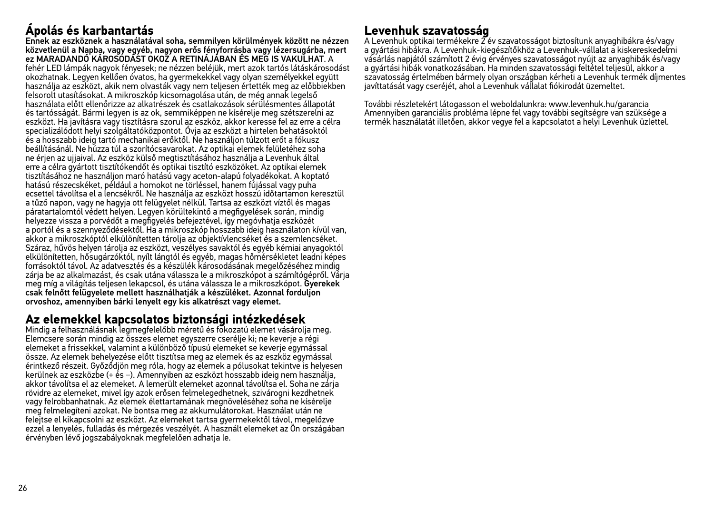## **Ápolás és karbantartás**

Ennek az eszköznek a használatával soha, semmilyen körülmények között ne nézzen közvetlenül a Napba, vagy egyéb, nagyon erős fényforrásba vagy lézersugárba, mert ez MARADANDÓ KÁROSODÁST OKOZ A RETINÁJÁBAN ÉS MEG IS VAKULHAT. A fehér LED lámpák nagyok fényesek; ne nézzen beléjük, mert azok tartós látáskárosodást okozhatnak. Legyen kellően óvatos, ha gyermekekkel vagy olyan személyekkel együtt használja az eszközt, akik nem olvasták vagy nem teljesen értették meg az előbbiekben felsorolt utasításokat. A mikroszkóp kicsomagolása után, de még annak legelső használata előtt ellenőrizze az alkatrészek és csatlakozások sérülésmentes állapotát és tartósságát. Bármi legyen is az ok, semmiképpen ne kísérelje meg szétszerelni az eszközt. Ha javításra vagy tisztításra szorul az eszköz, akkor keresse fel az erre a célra specializálódott helyi szolgáltatóközpontot. Óvja az eszközt a hirtelen behatásoktól és a hosszabb ideig tartó mechanikai erőktől. Ne használjon túlzott erőt a fókusz beállításánál. Ne húzza túl a szorítócsavarokat. Az optikai elemek felületéhez soha ne érjen az ujjaival. Az eszköz külső megtisztításához használja a Levenhuk által erre a célra gyártott tisztítókendőt és optikai tisztító eszközöket. Az optikai elemek tisztításához ne használjon maró hatású vagy aceton-alapú folyadékokat. A koptató hatású részecskéket, például a homokot ne törléssel, hanem fújással vagy puha ecsettel távolítsa el a lencsékről. Ne használja az eszközt hosszú időtartamon keresztül a tűző napon, vagy ne hagyja ott felügyelet nélkül. Tartsa az eszközt víztől és magas páratartalomtól védett helyen. Legyen körültekintő a megfigyelések során, mindig helyezze vissza a porvédőt a megfigyelés befejeztével, így megóvhatja eszközét a portól és a szennyeződésektől. Ha a mikroszkóp hosszabb ideig használaton kívül van, akkor a mikroszkóptól elkülönítetten tárolja az objektívlencséket és a szemlencséket. Száraz, hűvös helyen tárolja az eszközt, veszélyes savaktól és egyéb kémiai anyagoktól elkülönítetten, hősugárzóktól, nyílt lángtól és egyéb, magas hőmérsékletet leadni képes forrásoktól távol. Az adatvesztés és a készülék károsodásának megelőzéséhez mindig zárja be az alkalmazást, és csak utána válassza le a mikroszkópot a számítógépről. Várja meg míg a világítás teljesen lekapcsol, és utána válassza le a mikroszkópot. Gyerekek csak felnőtt felügyelete mellett használhatják a készüléket. Azonnal forduljon orvoshoz, amennyiben bárki lenyelt egy kis alkatrészt vagy elemet.

## **Az elemekkel kapcsolatos biztonsági intézkedések**

Mindig a felhasználásnak legmegfelelőbb méretű és fokozatú elemet vásárolja meg. Elemcsere során mindig az összes elemet egyszerre cserélje ki; ne keverje a régi elemeket a frissekkel, valamint a különböző típusú elemeket se keverje egymással össze. Az elemek behelyezése előtt tisztítsa meg az elemek és az eszköz egymással érintkező részeit. Győződjön meg róla, hogy az elemek a pólusokat tekintve is helyesen kerülnek az eszközbe (+ és −). Amennyiben az eszközt hosszabb ideig nem használja, akkor távolítsa el az elemeket. A lemerült elemeket azonnal távolítsa el. Soha ne zárja rövidre az elemeket, mivel így azok erősen felmelegedhetnek, szivárogni kezdhetnek vagy felrobbanhatnak. Az elemek élettartamának megnöveléséhez soha ne kísérelje meg felmelegíteni azokat. Ne bontsa meg az akkumulátorokat. Használat után ne felejtse el kikapcsolni az eszközt. Az elemeket tartsa gyermekektől távol, megelőzve ezzel a lenyelés, fulladás és mérgezés veszélyét. A használt elemeket az Ön országában érvényben lévő jogszabályoknak megfelelően adhatja le.

## **Levenhuk szavatosság**

A Levenhuk optikai termékekre 2 év szavatosságot biztosítunk anyaghibákra és/vagy a gyártási hibákra. A Levenhuk-kiegészítőkhöz a Levenhuk-vállalat a kiskereskedelmi vásárlás napjától számított 2 évig érvényes szavatosságot nyújt az anyaghibák és/vagy a gyártási hibák vonatkozásában. Ha minden szavatossági feltétel teljesül, akkor a szavatosság értelmében bármely olyan országban kérheti a Levenhuk termék díjmentes javíttatását vagy cseréjét, ahol a Levenhuk vállalat fiókirodát üzemeltet.

További részletekért látogasson el weboldalunkra: www.levenhuk.hu/garancia Amennyiben garanciális probléma lépne fel vagy további segítségre van szüksége a termék használatát illetően, akkor vegye fel a kapcsolatot a helyi Levenhuk üzlettel.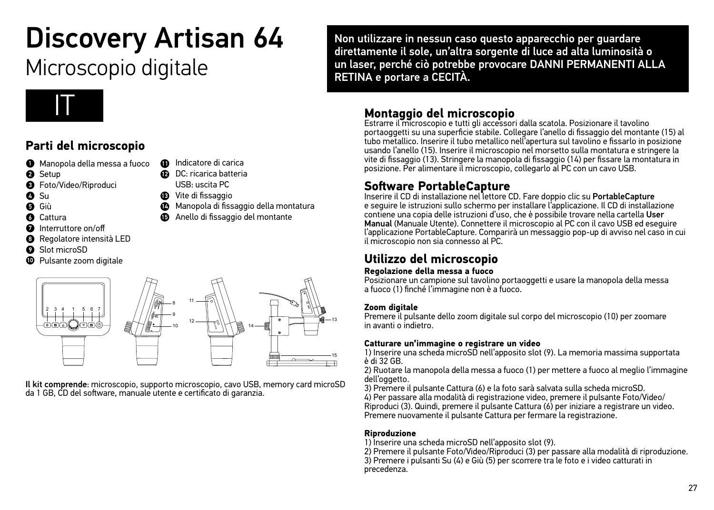## Discovery Artisan 64 Microscopio digitale



## **Parti del microscopio**

- Manopola della messa a fuoco
- **2** Setup
- **6** Foto/Video/Riproduci
- A Su
- Giù
- A Cattura
- **O** Interruttore on/off
- Regolatore intensità LED
- **O** Slot microSD
- **<sup>1</sup>** Pulsante zoom digitale



- **B** Vite di fissaggio
- **<sup>6</sup>** Manopola di fissaggio della montatura
- **6** Anello di fissaggio del montante



Il kit comprende: microscopio, supporto microscopio, cavo USB, memory card microSD da 1 GB, CD del software, manuale utente e certificato di garanzia.

Non utilizzare in nessun caso questo apparecchio per guardare direttamente il sole, un'altra sorgente di luce ad alta luminosità o un laser, perché ciò potrebbe provocare DANNI PERMANENTI ALLA RETINA e portare a CECITÀ.

## **Montaggio del microscopio**

Estrarre il microscopio e tutti gli accessori dalla scatola. Posizionare il tavolino portaoggetti su una superficie stabile. Collegare l'anello di fissaggio del montante (15) al tubo metallico. Inserire il tubo metallico nell'apertura sul tavolino e fissarlo in posizione usando l'anello (15). Inserire il microscopio nel morsetto sulla montatura e stringere la vite di fissaggio (13). Stringere la manopola di fissaggio (14) per fissare la montatura in posizione. Per alimentare il microscopio, collegarlo al PC con un cavo USB.

## **Software PortableCapture**

Inserire il CD di installazione nel lettore CD. Fare doppio clic su PortableCapture e seguire le istruzioni sullo schermo per installare l'applicazione. Il CD di installazione contiene una copia delle istruzioni d'uso, che è possibile trovare nella cartella User Manual (Manuale Utente). Connettere il microscopio al PC con il cavo USB ed eseguire l'applicazione PortableCapture. Comparirà un messaggio pop-up di avviso nel caso in cui il microscopio non sia connesso al PC.

## **Utilizzo del microscopio**

#### **Regolazione della messa a fuoco**

Posizionare un campione sul tavolino portaoggetti e usare la manopola della messa a fuoco (1) finché l'immagine non è a fuoco.

#### **Zoom digitale**

Premere il pulsante dello zoom digitale sul corpo del microscopio (10) per zoomare in avanti o indietro.

#### **Catturare un'immagine o registrare un video**

1) Inserire una scheda microSD nell'apposito slot (9). La memoria massima supportata è di 32 GB.

2) Ruotare la manopola della messa a fuoco (1) per mettere a fuoco al meglio l'immagine dell'oggetto.

3) Premere il pulsante Cattura (6) e la foto sarà salvata sulla scheda microSD. 4) Per passare alla modalità di registrazione video, premere il pulsante Foto/Video/ Riproduci (3). Quindi, premere il pulsante Cattura (6) per iniziare a registrare un video. Premere nuovamente il pulsante Cattura per fermare la registrazione.

#### **Riproduzione**

1) Inserire una scheda microSD nell'apposito slot (9).

2) Premere il pulsante Foto/Video/Riproduci (3) per passare alla modalità di riproduzione. 3) Premere i pulsanti Su (4) e Giù (5) per scorrere tra le foto e i video catturati in precedenza.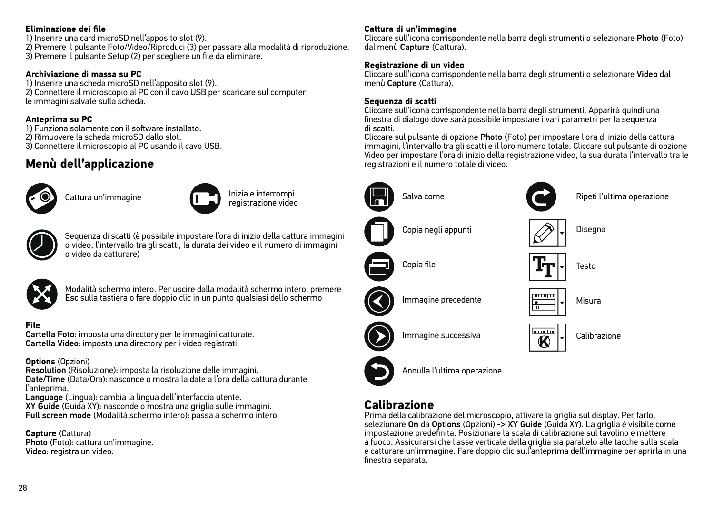#### **Eliminazione dei file**

1) Inserire una card microSD nell'apposito slot (9).

2) Premere il pulsante Foto/Video/Riproduci (3) per passare alla modalità di riproduzione. 3) Premere il pulsante Setup (2) per scegliere un file da eliminare.

#### **Archiviazione di massa su PC**

1) Inserire una scheda microSD nell'apposito slot (9). 2) Connettere il microscopio al PC con il cavo USB per scaricare sul computer le immagini salvate sulla scheda.

#### **Anteprima su PC**

1) Funziona solamente con il software installato.

2) Rimuovere la scheda microSD dallo slot.

3) Connettere il microscopio al PC usando il cavo USB.

## **Menù dell'applicazione**





Cattura un'immagine **Inizia e interrompi** registrazione video



Sequenza di scatti (è possibile impostare l'ora di inizio della cattura immagini o video, l'intervallo tra gli scatti, la durata dei video e il numero di immagini o video da catturare)



Modalità schermo intero. Per uscire dalla modalità schermo intero, premere Esc sulla tastiera o fare doppio clic in un punto qualsiasi dello schermo

#### **File**

Cartella Foto: imposta una directory per le immagini catturate. Cartella Video: imposta una directory per i video registrati.

#### **Options** (Opzioni)

Resolution (Risoluzione): imposta la risoluzione delle immagini. Date/Time (Data/Ora): nasconde o mostra la date a l'ora della cattura durante

l'anteprima.

Language (Lingua): cambia la lingua dell'interfaccia utente.

XY Guide (Guida XY): nasconde o mostra una griglia sulle immagini. Full screen mode (Modalità schermo intero): passa a schermo intero.

**Capture** (Cattura) Photo (Foto): cattura un'immagine. Video: registra un video.

#### **Cattura di un'immagine**

Cliccare sull'icona corrispondente nella barra degli strumenti o selezionare Photo (Foto) dal menù Capture (Cattura).

#### **Registrazione di un video**

Cliccare sull'icona corrispondente nella barra degli strumenti o selezionare Video dal menù Capture (Cattura).

#### **Sequenza di scatti**

Cliccare sull'icona corrispondente nella barra degli strumenti. Apparirà quindi una finestra di dialogo dove sarà possibile impostare i vari parametri per la sequenza di scatti.

Cliccare sul pulsante di opzione Photo (Foto) per impostare l'ora di inizio della cattura immagini, l'intervallo tra gli scatti e il loro numero totale. Cliccare sul pulsante di opzione Video per impostare l'ora di inizio della registrazione video, la sua durata l'intervallo tra le registrazioni e il numero totale di video.















Calibrazione

**Calibrazione**

Prima della calibrazione del microscopio, attivare la griglia sul display. Per farlo, selezionare On da Options (Opzioni) -> XY Guide (Guida XY). La griglia è visibile come impostazione predefinita. Posizionare la scala di calibrazione sul tavolino e mettere a fuoco. Assicurarsi che l'asse verticale della griglia sia parallelo alle tacche sulla scala e catturare un'immagine. Fare doppio clic sull'anteprima dell'immagine per aprirla in una finestra separata.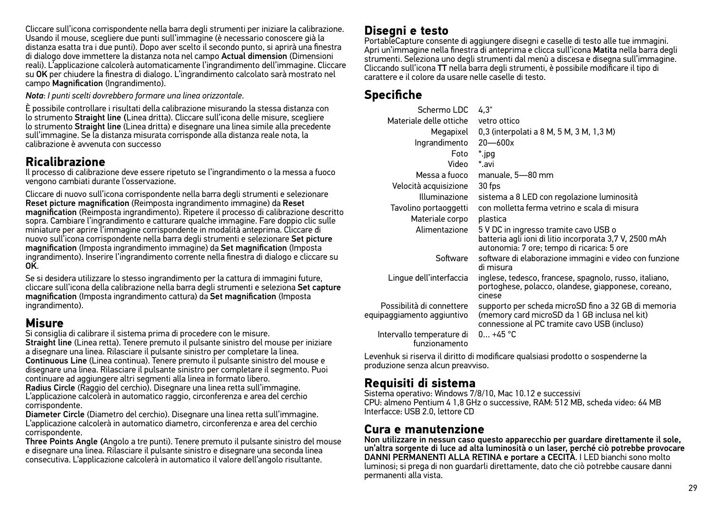Cliccare sull'icona corrispondente nella barra degli strumenti per iniziare la calibrazione. Usando il mouse, scegliere due punti sull'immagine (è necessario conoscere già la distanza esatta tra i due punti). Dopo aver scelto il secondo punto, si aprirà una finestra di dialogo dove immettere la distanza nota nel campo Actual dimension (Dimensioni reali). L'applicazione calcolerà automaticamente l'ingrandimento dell'immagine. Cliccare su OK per chiudere la finestra di dialogo. L'ingrandimento calcolato sarà mostrato nel campo Magnification (Ingrandimento).

*Nota*: *I punti scelti dovrebbero formare una linea orizzontale*.

È possibile controllare i risultati della calibrazione misurando la stessa distanza con lo strumento Straight line (Linea dritta). Cliccare sull'icona delle misure, scegliere lo strumento Straight line (Linea dritta) e disegnare una linea simile alla precedente sull'immagine. Se la distanza misurata corrisponde alla distanza reale nota, la calibrazione è avvenuta con successo

## **Ricalibrazione**

Il processo di calibrazione deve essere ripetuto se l'ingrandimento o la messa a fuoco vengono cambiati durante l'osservazione.

Cliccare di nuovo sull'icona corrispondente nella barra degli strumenti e selezionare Reset picture magnification (Reimposta ingrandimento immagine) da Reset magnification (Reimposta ingrandimento). Ripetere il processo di calibrazione descritto sopra. Cambiare l'ingrandimento e catturare qualche immagine. Fare doppio clic sulle miniature per aprire l'immagine corrispondente in modalità anteprima. Cliccare di nuovo sull'icona corrispondente nella barra degli strumenti e selezionare Set picture magnification (Imposta ingrandimento immagine) da Set magnification (Imposta ingrandimento). Inserire l'ingrandimento corrente nella finestra di dialogo e cliccare su OK.

Se si desidera utilizzare lo stesso ingrandimento per la cattura di immagini future, cliccare sull'icona della calibrazione nella barra degli strumenti e seleziona Set capture magnification (Imposta ingrandimento cattura) da Set magnification (Imposta ingrandimento).

## **Misure**

Si consiglia di calibrare il sistema prima di procedere con le misure.

Straight line (Linea retta). Tenere premuto il pulsante sinistro del mouse per iniziare a disegnare una linea. Rilasciare il pulsante sinistro per completare la linea. Continuous Line (Linea continua). Tenere premuto il pulsante sinistro del mouse e disegnare una linea. Rilasciare il pulsante sinistro per completare il segmento. Puoi continuare ad aggiungere altri segmenti alla linea in formato libero.

Radius Circle (Raggio del cerchio). Disegnare una linea retta sull'immagine. L'applicazione calcolerà in automatico raggio, circonferenza e area del cerchio corrispondente.

Diameter Circle (Diametro del cerchio). Disegnare una linea retta sull'immagine. L'applicazione calcolerà in automatico diametro, circonferenza e area del cerchio corrispondente.

Three Points Angle (Angolo a tre punti). Tenere premuto il pulsante sinistro del mouse e disegnare una linea. Rilasciare il pulsante sinistro e disegnare una seconda linea consecutiva. L'applicazione calcolerà in automatico il valore dell'angolo risultante.

## **Disegni e testo**

PortableCapture consente di aggiungere disegni e caselle di testo alle tue immagini. Apri un'immagine nella finestra di anteprima e clicca sull'icona Matita nella barra degli strumenti. Seleziona uno degli strumenti dal menù a discesa e disegna sull'immagine. Cliccando sull'icona TT nella barra degli strumenti, è possibile modificare il tipo di carattere e il colore da usare nelle caselle di testo.

## **Specifiche**

| Schermo LDC<br>Materiale delle ottiche               | 4,3"<br>vetro ottico                                                                                                                                 |
|------------------------------------------------------|------------------------------------------------------------------------------------------------------------------------------------------------------|
| Megapixel                                            | 0,3 (interpolati a 8 M, 5 M, 3 M, 1,3 M)                                                                                                             |
| Ingrandimento                                        | $20 - 600x$                                                                                                                                          |
| Foto                                                 | *.jpg                                                                                                                                                |
| Video                                                | * avi                                                                                                                                                |
| Messa a funco                                        | manuale, 5-80 mm                                                                                                                                     |
| Velocità acquisizione                                | 30 fps                                                                                                                                               |
| Illuminazione                                        | sistema a 8 LED con regolazione luminosità                                                                                                           |
| Tavolino portaoggetti                                | con molletta ferma vetrino e scala di misura                                                                                                         |
| Materiale corpo                                      | plastica                                                                                                                                             |
| Alimentazione                                        | 5 V DC in ingresso tramite cavo USB o<br>batteria agli ioni di litio incorporata 3,7 V, 2500 mAh<br>autonomia: 7 ore; tempo di ricarica: 5 ore       |
| Software                                             | software di elaborazione immagini e video con funzione<br>di misura                                                                                  |
| Lingue dell'interfaccia                              | inglese, tedesco, francese, spagnolo, russo, italiano,<br>portoghese, polacco, olandese, giapponese, coreano,<br>cinese                              |
| Possibilità di connettere<br>ipaggiamento aggiuntivo | supporto per scheda microSD fino a 32 GB di memoria<br>(memory card microSD da 1 GB inclusa nel kit)<br>connessione al PC tramite cavo USB (incluso) |
| Intervallo temperature di<br>funzionamento           | $0 + 45$ °C                                                                                                                                          |
|                                                      |                                                                                                                                                      |

Levenhuk si riserva il diritto di modificare qualsiasi prodotto o sospenderne la produzione senza alcun preavviso.

## **Requisiti di sistema**

equi

Sistema operativo: Windows 7/8/10, Mac 10.12 e successivi CPU: almeno Pentium 4 1,8 GHz o successive, RAM: 512 MB, scheda video: 64 MB Interfacce: USB 2.0, lettore CD

## **Cura e manutenzione**

Non utilizzare in nessun caso questo apparecchio per guardare direttamente il sole, un'altra sorgente di luce ad alta luminosità o un laser, perché ciò potrebbe provocare DANNI PERMANENTI ALLA RETINA e portare a CECITÀ. I LED bianchi sono molto luminosi; si prega di non guardarli direttamente, dato che ciò potrebbe causare danni permanenti alla vista.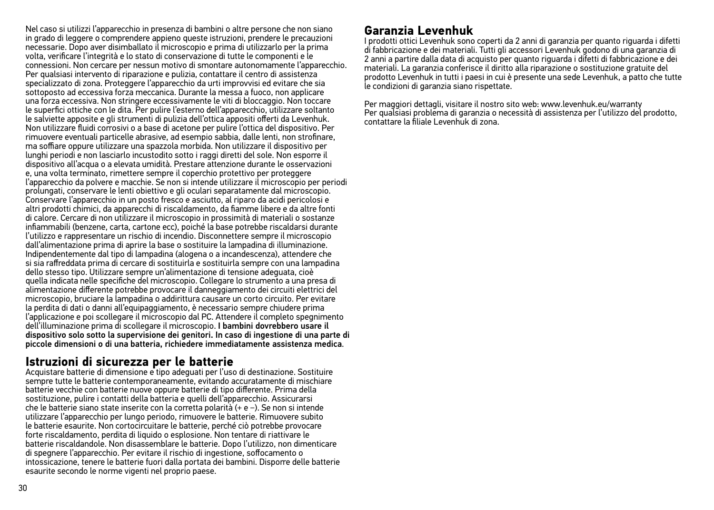Nel caso si utilizzi l'apparecchio in presenza di bambini o altre persone che non siano in grado di leggere o comprendere appieno queste istruzioni, prendere le precauzioni necessarie. Dopo aver disimballato il microscopio e prima di utilizzarlo per la prima volta, verificare l'integrità e lo stato di conservazione di tutte le componenti e le connessioni. Non cercare per nessun motivo di smontare autonomamente l'apparecchio. Per qualsiasi intervento di riparazione e pulizia, contattare il centro di assistenza specializzato di zona. Proteggere l'apparecchio da urti improvvisi ed evitare che sia sottoposto ad eccessiva forza meccanica. Durante la messa a fuoco, non applicare una forza eccessiva. Non stringere eccessivamente le viti di bloccaggio. Non toccare le superfici ottiche con le dita. Per pulire l'esterno dell'apparecchio, utilizzare soltanto le salviette apposite e gli strumenti di pulizia dell'ottica appositi offerti da Levenhuk. Non utilizzare fluidi corrosivi o a base di acetone per pulire l'ottica del dispositivo. Per rimuovere eventuali particelle abrasive, ad esempio sabbia, dalle lenti, non strofinare, ma soffiare oppure utilizzare una spazzola morbida. Non utilizzare il dispositivo per lunghi periodi e non lasciarlo incustodito sotto i raggi diretti del sole. Non esporre il dispositivo all'acqua o a elevata umidità. Prestare attenzione durante le osservazioni e, una volta terminato, rimettere sempre il coperchio protettivo per proteggere l'apparecchio da polvere e macchie. Se non si intende utilizzare il microscopio per periodi prolungati, conservare le lenti obiettivo e gli oculari separatamente dal microscopio. Conservare l'apparecchio in un posto fresco e asciutto, al riparo da acidi pericolosi e altri prodotti chimici, da apparecchi di riscaldamento, da fiamme libere e da altre fonti di calore. Cercare di non utilizzare il microscopio in prossimità di materiali o sostanze infiammabili (benzene, carta, cartone ecc), poiché la base potrebbe riscaldarsi durante l'utilizzo e rappresentare un rischio di incendio. Disconnettere sempre il microscopio dall'alimentazione prima di aprire la base o sostituire la lampadina di illuminazione. Indipendentemente dal tipo di lampadina (alogena o a incandescenza), attendere che si sia raffreddata prima di cercare di sostituirla e sostituirla sempre con una lampadina dello stesso tipo. Utilizzare sempre un'alimentazione di tensione adeguata, cioè quella indicata nelle specifiche del microscopio. Collegare lo strumento a una presa di alimentazione differente potrebbe provocare il danneggiamento dei circuiti elettrici del microscopio, bruciare la lampadina o addirittura causare un corto circuito. Per evitare la perdita di dati o danni all'equipaggiamento, è necessario sempre chiudere prima l'applicazione e poi scollegare il microscopio dal PC. Attendere il completo spegnimento dell'illuminazione prima di scollegare il microscopio. I bambini dovrebbero usare il dispositivo solo sotto la supervisione dei genitori. In caso di ingestione di una parte di piccole dimensioni o di una batteria, richiedere immediatamente assistenza medica.

## **Istruzioni di sicurezza per le batterie**

Acquistare batterie di dimensione e tipo adeguati per l'uso di destinazione. Sostituire sempre tutte le batterie contemporaneamente, evitando accuratamente di mischiare batterie vecchie con batterie nuove oppure batterie di tipo differente. Prima della sostituzione, pulire i contatti della batteria e quelli dell'apparecchio. Assicurarsi che le batterie siano state inserite con la corretta polarità (+ e −). Se non si intende utilizzare l'apparecchio per lungo periodo, rimuovere le batterie. Rimuovere subito le batterie esaurite. Non cortocircuitare le batterie, perché ciò potrebbe provocare forte riscaldamento, perdita di liquido o esplosione. Non tentare di riattivare le batterie riscaldandole. Non disassemblare le batterie. Dopo l'utilizzo, non dimenticare di spegnere l'apparecchio. Per evitare il rischio di ingestione, soffocamento o intossicazione, tenere le batterie fuori dalla portata dei bambini. Disporre delle batterie esaurite secondo le norme vigenti nel proprio paese.

### **Garanzia Levenhuk**

I prodotti ottici Levenhuk sono coperti da 2 anni di garanzia per quanto riguarda i difetti di fabbricazione e dei materiali. Tutti gli accessori Levenhuk godono di una garanzia di 2 anni a partire dalla data di acquisto per quanto riguarda i difetti di fabbricazione e dei materiali. La garanzia conferisce il diritto alla riparazione o sostituzione gratuite del prodotto Levenhuk in tutti i paesi in cui è presente una sede Levenhuk, a patto che tutte le condizioni di garanzia siano rispettate.

Per maggiori dettagli, visitare il nostro sito web: www.levenhuk.eu/warranty Per qualsiasi problema di garanzia o necessità di assistenza per l'utilizzo del prodotto, contattare la filiale Levenhuk di zona.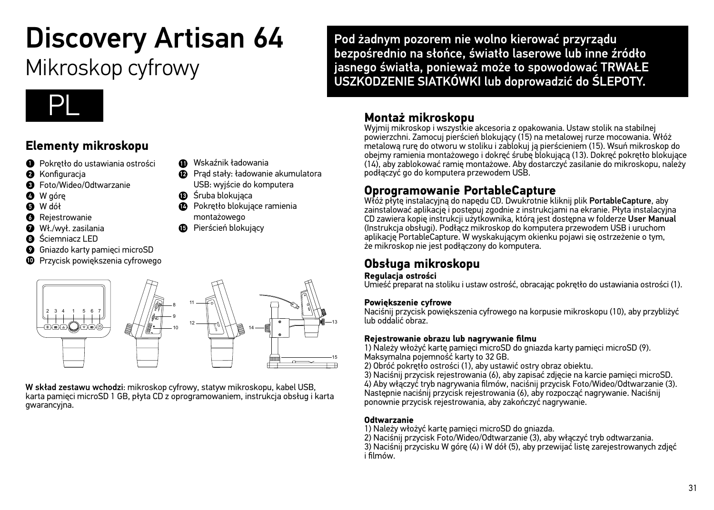## Discovery Artisan 64 Mikroskop cyfrowy



## **Elementy mikroskopu**

- Pokrętło do ustawiania ostrości
- **@** Konfiguracia
- **6** Foto/Wideo/Odtwarzanie
- **@** W góre
- **O** W dół
- **O** Rejestrowanie
- Wł./wył. zasilania
- **O** Ściemniacz LED
- **O** Gniazdo karty pamieci microSD
- **<sup>1</sup>** Przycisk powiększenia cyfrowego
- Wskaźnik ładowania
- Prąd stały: ładowanie akumulatora USB: wyjście do komputera
- **B** Śruba blokująca
- **<sup>1</sup>** Pokretło blokujące ramienia montażowego
- **<sup>B</sup>** Pierścień blokujący

#### DC/USB 14 8 9 10 12 2 3 4 1 5 6 7 15 13 11

W skład zestawu wchodzi: mikroskop cyfrowy, statyw mikroskopu, kabel USB, karta pamięci microSD 1 GB, płyta CD z oprogramowaniem, instrukcja obsług i karta gwarancyjna.

Pod żadnym pozorem nie wolno kierować przyrządu bezpośrednio na słońce, światło laserowe lub inne źródło jasnego światła, ponieważ może to spowodować TRWAŁE USZKODZENIE SIATKÓWKI lub doprowadzić do ŚLEPOTY.

## **Montaż mikroskopu**

Wyjmij mikroskop i wszystkie akcesoria z opakowania. Ustaw stolik na stabilnej powierzchni. Zamocuj pierścień blokujący (15) na metalowej rurze mocowania. Włóż metalową rurę do otworu w stoliku i zablokuj ją pierścieniem (15). Wsuń mikroskop do obejmy ramienia montażowego i dokręć śrubę blokującą (13). Dokręć pokrętło blokujące (14), aby zablokować ramię montażowe. Aby dostarczyć zasilanie do mikroskopu, należy podłączyć go do komputera przewodem USB.

## **Oprogramowanie PortableCapture**

Włóż płytę instalacyjną do napędu CD. Dwukrotnie kliknij plik PortableCapture, aby zainstalować aplikację i postępuj zgodnie z instrukcjami na ekranie. Płyta instalacyjna CD zawiera kopię instrukcji użytkownika, którą jest dostępna w folderze User Manual (Instrukcja obsługi). Podłącz mikroskop do komputera przewodem USB i uruchom aplikację PortableCapture. W wyskakującym okienku pojawi się ostrzeżenie o tym, że mikroskop nie jest podłączony do komputera.

## **Obsługa mikroskopu**

#### **Regulacja ostrości**

Umieść preparat na stoliku i ustaw ostrość, obracając pokrętło do ustawiania ostrości (1).

#### **Powiększenie cyfrowe**

Naciśnij przycisk powiększenia cyfrowego na korpusie mikroskopu (10), aby przybliżyć lub oddalić obraz.

#### **Rejestrowanie obrazu lub nagrywanie filmu**

1) Należy włożyć kartę pamięci microSD do gniazda karty pamięci microSD (9). Maksymalna pojemność karty to 32 GB.

2) Obróć pokrętło ostrości (1), aby ustawić ostry obraz obiektu.

3) Naciśnij przycisk rejestrowania (6), aby zapisać zdjęcie na karcie pamięci microSD. 4) Aby włączyć tryb nagrywania filmów, naciśnij przycisk Foto/Wideo/Odtwarzanie (3). Następnie naciśnij przycisk rejestrowania (6), aby rozpocząć nagrywanie. Naciśnij ponownie przycisk rejestrowania, aby zakończyć nagrywanie.

#### **Odtwarzanie**

1) Należy włożyć kartę pamięci microSD do gniazda.

2) Naciśnij przycisk Foto/Wideo/Odtwarzanie (3), aby włączyć tryb odtwarzania. 3) Naciśnij przycisku W górę (4) i W dół (5), aby przewijać listę zarejestrowanych zdjęć i filmów.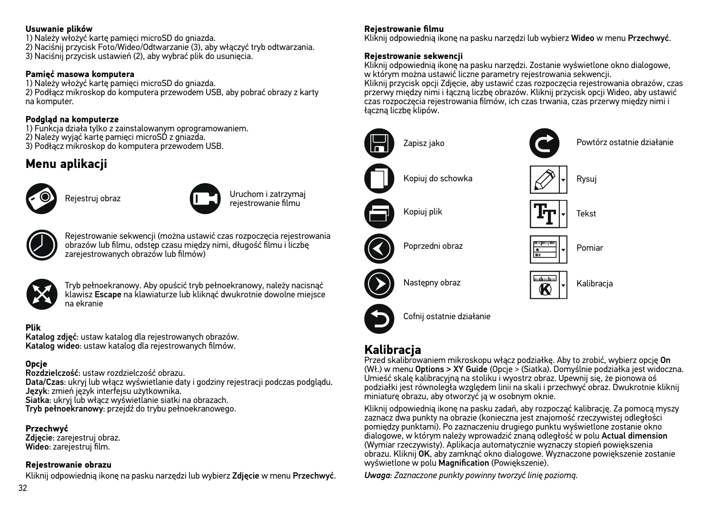#### **Usuwanie plików**

1) Należy włożyć kartę pamięci microSD do gniazda. 2) Naciśnij przycisk Foto/Wideo/Odtwarzanie (3), aby włączyć tryb odtwarzania. 3) Naciśnij przycisk ustawień (2), aby wybrać plik do usunięcia.

#### **Pamięć masowa komputera**

1) Należy włożyć kartę pamięci microSD do gniazda. 2) Podłącz mikroskop do komputera przewodem USB, aby pobrać obrazy z karty na komputer.

#### **Podgląd na komputerze**

1) Funkcja działa tylko z zainstalowanym oprogramowaniem.

- 2) Należy wyjąć kartę pamięci microSD z gniazda.
- 3) Podłącz mikroskop do komputera przewodem USB.

## **Menu aplikacji**





Rejestruj obraz Uruchom i zatrzymaj rejestrowanie filmu



Rejestrowanie sekwencji (można ustawić czas rozpoczęcia rejestrowania obrazów lub filmu, odstęp czasu między nimi, długość filmu i liczbę zarejestrowanych obrazów lub filmów)



Tryb pełnoekranowy. Aby opuścić tryb pełnoekranowy, należy nacisnąć klawisz Escape na klawiaturze lub kliknąć dwukrotnie dowolne miejsce na ekranie

#### **Plik**

Katalog zdjęć: ustaw katalog dla rejestrowanych obrazów. Katalog wideo: ustaw katalog dla rejestrowanych filmów.

#### **Opcje**

Rozdzielczość: ustaw rozdzielczość obrazu. Data/Czas: ukryj lub włącz wyświetlanie daty i godziny rejestracji podczas podglądu. Język: zmień język interfejsu użytkownika. Siatka: ukryj lub włącz wyświetlanie siatki na obrazach. Tryb pełnoekranowy: przejdź do trybu pełnoekranowego.

#### **Przechwyć**

Zdiecie: zarejestruj obraz. Wideo: zarejestruj film.

#### **Rejestrowanie obrazu**

Kliknij odpowiednią ikonę na pasku narzędzi lub wybierz Zdjęcie w menu Przechwyć.

#### **Rejestrowanie filmu**

Kliknij odpowiednią ikonę na pasku narzędzi lub wybierz Wideo w menu Przechwyć.

#### **Rejestrowanie sekwencji**

Kliknij odpowiednią ikonę na pasku narzędzi. Zostanie wyświetlone okno dialogowe, w którym można ustawić liczne parametry rejestrowania sekwencji.

Kliknij przycisk opcji Zdjęcie, aby ustawić czas rozpoczęcia rejestrowania obrazów, czas przerwy między nimi i łączną liczbę obrazów. Kliknij przycisk opcji Wideo, aby ustawić czas rozpoczęcia rejestrowania filmów, ich czas trwania, czas przerwy między nimi i łączną liczbę klipów.



## **Kalibracja**

Przed skalibrowaniem mikroskopu włącz podziałkę. Aby to zrobić, wybierz opcję On (Wł.) w menu Options > XY Guide (Opcje > (Siatka). Domyślnie podziałka jest widoczna. Umieść skalę kalibracyjną na stoliku i wyostrz obraz. Upewnij się, że pionowa oś podziałki jest równoległa względem linii na skali i przechwyć obraz. Dwukrotnie kliknij miniaturę obrazu, aby otworzyć ją w osobnym oknie.

Kliknij odpowiednią ikonę na pasku zadań, aby rozpocząć kalibrację. Za pomocą myszy zaznacz dwa punkty na obrazie (konieczna jest znajomość rzeczywistej odległości) pomiędzy punktami). Po zaznaczeniu drugiego punktu wyświetlone zostanie okno dialogowe, w którym należy wprowadzić znaną odległość w polu Actual dimension (Wymiar rzeczywisty). Aplikacja automatycznie wyznaczy stopień powiększenia obrazu. Kliknij OK, aby zamknąć okno dialogowe. Wyznaczone powiększenie zostanie wyświetlone w polu Magnification (Powiększenie).

*Uwaga: Zaznaczone punkty powinny tworzyć linię poziomą.*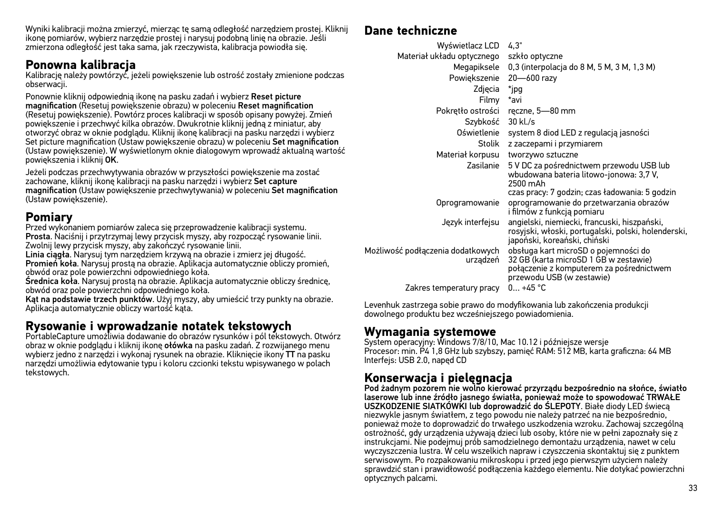Wyniki kalibracji można zmierzyć, mierząc tę samą odległość narzędziem prostej. Kliknij ikonę pomiarów, wybierz narzędzie prostej i narysuj podobną linię na obrazie. Jeśli zmierzona odległość jest taka sama, jak rzeczywista, kalibracja powiodła się.

## **Ponowna kalibracja**

Kalibrację należy powtórzyć, jeżeli powiększenie lub ostrość zostały zmienione podczas obserwacji.

Ponownie kliknij odpowiednią ikonę na pasku zadań i wybierz Reset picture magnification (Resetuj powiększenie obrazu) w poleceniu Reset magnification (Resetuj powiększenie). Powtórz proces kalibracji w sposób opisany powyżej. Zmień powiększenie i przechwyć kilka obrazów. Dwukrotnie kliknij jedną z miniatur, aby otworzyć obraz w oknie podglądu. Kliknij ikonę kalibracji na pasku narzędzi i wybierz Set picture magnification (Ustaw powiększenie obrazu) w poleceniu Set magnification (Ustaw powiększenie). W wyświetlonym oknie dialogowym wprowadź aktualną wartość powiększenia i kliknij OK.

Jeżeli podczas przechwytywania obrazów w przyszłości powiększenie ma zostać zachowane, kliknij ikonę kalibracji na pasku narzędzi i wybierz Set capture magnification (Ustaw powiększenie przechwytywania) w poleceniu Set magnification (Ustaw powiększenie).

## **Pomiary**

Przed wykonaniem pomiarów zaleca się przeprowadzenie kalibracji systemu. Prosta. Naciśnij i przytrzymaj lewy przycisk myszy, aby rozpocząć rysowanie linii. Zwolnij lewy przycisk myszy, aby zakończyć rysowanie linii.

Linia ciągła. Narysuj tym narzędziem krzywą na obrazie i zmierz jej długość. Promień koła. Narysuj prostą na obrazie. Aplikacja automatycznie obliczy promień, obwód oraz pole powierzchni odpowiedniego koła.

Średnica koła. Narysuj prostą na obrazie. Aplikacja automatycznie obliczy średnicę, obwód oraz pole powierzchni odpowiedniego koła.

Kąt na podstawie trzech punktów. Użyj myszy, aby umieścić trzy punkty na obrazie. Aplikacja automatycznie obliczy wartość kąta.

## **Rysowanie i wprowadzanie notatek tekstowych**

PortableCapture umożliwia dodawanie do obrazów rysunków i pól tekstowych. Otwórz obraz w oknie podglądu i kliknij ikonę ołówka na pasku zadań. Z rozwijanego menu wybierz jedno z narzędzi i wykonaj rysunek na obrazie. Kliknięcie ikony TT na pasku narzędzi umożliwia edytowanie typu i koloru czcionki tekstu wpisywanego w polach tekstowych.

## **Dane techniczne**

| Wyświetlacz LCD                               | 4.3"                                                                                                                                                   |
|-----------------------------------------------|--------------------------------------------------------------------------------------------------------------------------------------------------------|
| Materiał układu optycznego szkło optyczne     |                                                                                                                                                        |
|                                               | Megapiksele 0,3 (interpolacja do 8 M, 5 M, 3 M, 1,3 M)                                                                                                 |
| Powiekszenie                                  | $20 - 600$ razy                                                                                                                                        |
| Zdjęcia                                       | *ipg                                                                                                                                                   |
| Filmy                                         | *avi                                                                                                                                                   |
| Pokretło ostrości                             | reczne, 5-80 mm                                                                                                                                        |
| Szybkość                                      | 30 kl./s                                                                                                                                               |
| Oświetlenie                                   | system 8 diod LED z regulacją jasności                                                                                                                 |
| Stolik                                        | z zaczepami i przymiarem                                                                                                                               |
| Materiał korpusu                              | tworzywo sztuczne                                                                                                                                      |
| Zasilanie                                     | 5 V DC za pośrednictwem przewodu USB lub<br>wbudowana bateria litowo-jonowa: 3,7 V,<br>2500 mAh<br>czas pracy: 7 godzin; czas ładowania: 5 godzin      |
| Oprogramowanie                                | oprogramowanie do przetwarzania obrazów<br>i filmów z funkcją pomiaru                                                                                  |
| Język interfejsu                              | angielski, niemiecki, francuski, hiszpański,<br>rosyjski, włoski, portugalski, polski, holenderski,<br>japoński, koreański, chiński                    |
| Możliwość podłączenia dodatkowych<br>urządzeń | obsługa kart microSD o pojemności do<br>32 GB (karta microSD 1 GB w zestawie)<br>połączenie z komputerem za pośrednictwem<br>przewodu USB (w zestawie) |
| Zakres temperatury pracy                      | $0 + 45 °C$                                                                                                                                            |

Levenhuk zastrzega sobie prawo do modyfikowania lub zakończenia produkcji dowolnego produktu bez wcześniejszego powiadomienia.

## **Wymagania systemowe**

System operacyjny: Windows 7/8/10, Mac 10.12 i późniejsze wersje Procesor: min. P4 1,8 GHz lub szybszy, pamięć RAM: 512 MB, karta graficzna: 64 MB Interfejs: USB 2.0, napęd CD

## **Konserwacja i pielęgnacja**

Pod żadnym pozorem nie wolno kierować przyrządu bezpośrednio na słońce, światło laserowe lub inne źródło jasnego światła, ponieważ może to spowodować TRWAŁE USZKODZENIE SIATKÓWKI lub doprowadzić do ŚLEPOTY. Białe diody LED świecą niezwykle jasnym światłem, z tego powodu nie należy patrzeć na nie bezpośrednio, ponieważ może to doprowadzić do trwałego uszkodzenia wzroku. Zachowaj szczególną ostrożność, gdy urządzenia używają dzieci lub osoby, które nie w pełni zapoznały się z instrukcjami. Nie podejmuj prób samodzielnego demontażu urządzenia, nawet w celu wyczyszczenia lustra. W celu wszelkich napraw i czyszczenia skontaktuj się z punktem serwisowym. Po rozpakowaniu mikroskopu i przed jego pierwszym użyciem należy sprawdzić stan i prawidłowość podłączenia każdego elementu. Nie dotykać powierzchni optycznych palcami.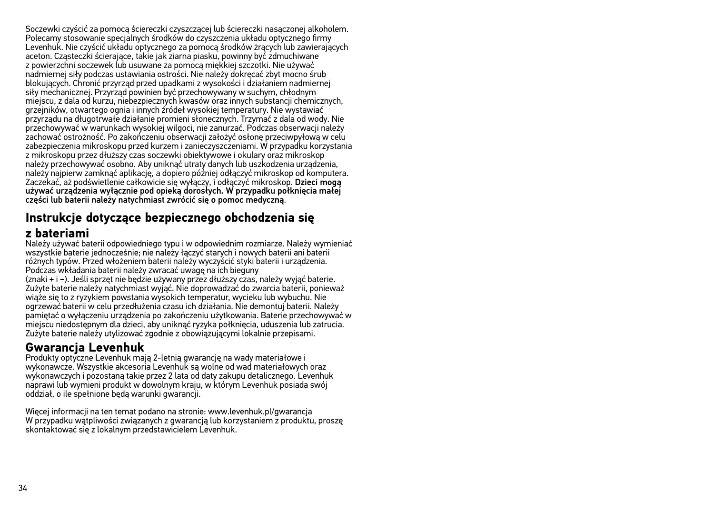Soczewki czyścić za pomocą ściereczki czyszczącej lub ściereczki nasączonej alkoholem. Polecamy stosowanie specjalnych środków do czyszczenia układu optycznego firmy Levenhuk. Nie czyścić układu optycznego za pomocą środków żrących lub zawierających aceton. Cząsteczki ścierające, takie jak ziarna piasku, powinny być zdmuchiwane z powierzchni soczewek lub usuwane za pomocą miękkiej szczotki. Nie używać nadmiernej siły podczas ustawiania ostrości. Nie należy dokręcać zbyt mocno śrub blokujących. Chronić przyrząd przed upadkami z wysokości i działaniem nadmiernej siły mechanicznej. Przyrząd powinien być przechowywany w suchym, chłodnym miejscu, z dala od kurzu, niebezpiecznych kwasów oraz innych substancji chemicznych, grzejników, otwartego ognia i innych źródeł wysokiej temperatury. Nie wystawiać przyrządu na długotrwałe działanie promieni słonecznych. Trzymać z dala od wody. Nie przechowywać w warunkach wysokiej wilgoci, nie zanurzać. Podczas obserwacji należy zachować ostrożność. Po zakończeniu obserwacji założyć osłonę przeciwpyłową w celu zabezpieczenia mikroskopu przed kurzem i zanieczyszczeniami. W przypadku korzystania z mikroskopu przez dłuższy czas soczewki obiektywowe i okulary oraz mikroskop należy przechowywać osobno. Aby uniknąć utraty danych lub uszkodzenia urządzenia, należy najpierw zamknąć aplikację, a dopiero później odłączyć mikroskop od komputera. Zaczekać, aż podświetlenie całkowicie się wyłączy, i odłączyć mikroskop. Dzieci mogą używać urządzenia wyłącznie pod opieką dorosłych. W przypadku połknięcia małej części lub baterii należy natychmiast zwrócić się o pomoc medyczną.

## **Instrukcje dotyczące bezpiecznego obchodzenia się**

### **z bateriami**

Należy używać baterii odpowiedniego typu i w odpowiednim rozmiarze. Należy wymieniać wszystkie baterie jednocześnie; nie należy łączyć starych i nowych baterii ani baterii różnych typów. Przed włożeniem baterii należy wyczyścić styki baterii i urządzenia. Podczas wkładania baterii należy zwracać uwagę na ich bieguny (znaki + i −). Jeśli sprzęt nie będzie używany przez dłuższy czas, należy wyjąć baterie. Zużyte baterie należy natychmiast wyjąć. Nie doprowadzać do zwarcia baterii, ponieważ wiąże się to z ryzykiem powstania wysokich temperatur, wycieku lub wybuchu. Nie ogrzewać baterii w celu przedłużenia czasu ich działania. Nie demontuj baterii. Należy pamiętać o wyłączeniu urządzenia po zakończeniu użytkowania. Baterie przechowywać w miejscu niedostępnym dla dzieci, aby uniknąć ryzyka połknięcia, uduszenia lub zatrucia. Zużyte baterie należy utylizować zgodnie z obowiązującymi lokalnie przepisami.

## **Gwarancja Levenhuk**

Produkty optyczne Levenhuk mają 2-letnią gwarancję na wady materiałowe i wykonawcze. Wszystkie akcesoria Levenhuk są wolne od wad materiałowych oraz wykonawczych i pozostaną takie przez 2 lata od daty zakupu detalicznego. Levenhuk naprawi lub wymieni produkt w dowolnym kraju, w którym Levenhuk posiada swój oddział, o ile spełnione będą warunki gwarancji.

Więcej informacji na ten temat podano na stronie: www.levenhuk.pl/gwarancja W przypadku wątpliwości związanych z gwarancją lub korzystaniem z produktu, proszę skontaktować się z lokalnym przedstawicielem Levenhuk.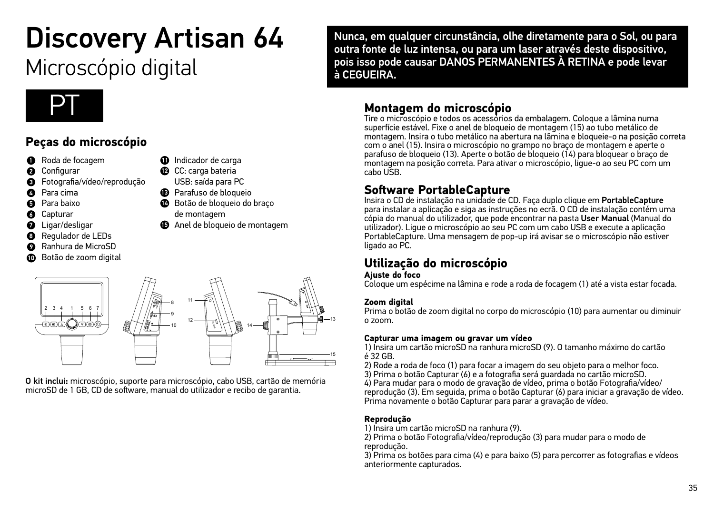## Discovery Artisan 64 Microscópio digital



## **Peças do microscópio**

- **O** Roda de focagem
- ø **Configurar**
- **O** Fotografia/vídeo/reprodução
- **O** Para cima
- A Para baixo
- ◶ **Capturar**
- **O** Ligar/desligar
- **Regulador de LEDs**
- Ranhura de MicroSD
- Botão de zoom digital



- USB: saída para PC
- **B** Parafuso de bloqueio
- **B** Botão de bloqueio do braco de montagem
- Anel de bloqueio de montagem



O kit inclui: microscópio, suporte para microscópio, cabo USB, cartão de memória microSD de 1 GB, CD de software, manual do utilizador e recibo de garantia.

 Nunca, em qualquer circunstância, olhe diretamente para o Sol, ou para outra fonte de luz intensa, ou para um laser através deste dispositivo, pois isso pode causar DANOS PERMANENTES À RETINA e pode levar à CEGUEIRA.

## **Montagem do microscópio**

Tire o microscópio e todos os acessórios da embalagem. Coloque a lâmina numa superfície estável. Fixe o anel de bloqueio de montagem (15) ao tubo metálico de montagem. Insira o tubo metálico na abertura na lâmina e bloqueie-o na posição correta com o anel (15). Insira o microscópio no grampo no braço de montagem e aperte o parafuso de bloqueio (13). Aperte o botão de bloqueio (14) para bloquear o braço de montagem na posição correta. Para ativar o microscópio, ligue-o ao seu PC com um cabo USB.

## **Software PortableCapture**

Insira o CD de instalação na unidade de CD. Faça duplo clique em PortableCapture para instalar a aplicação e siga as instruções no ecrã. O CD de instalação contém uma cópia do manual do utilizador, que pode encontrar na pasta User Manual (Manual do utilizador). Ligue o microscópio ao seu PC com um cabo USB e execute a aplicação PortableCapture. Uma mensagem de pop-up irá avisar se o microscópio não estiver ligado ao PC.

## **Utilização do microscópio**

#### **Ajuste do foco**

Coloque um espécime na lâmina e rode a roda de focagem (1) até a vista estar focada.

#### **Zoom digital**

Prima o botão de zoom digital no corpo do microscópio (10) para aumentar ou diminuir o zoom.

#### **Capturar uma imagem ou gravar um vídeo**

1) Insira um cartão microSD na ranhura microSD (9). O tamanho máximo do cartão é 32 GB.

2) Rode a roda de foco (1) para focar a imagem do seu objeto para o melhor foco. 3) Prima o botão Capturar (6) e a fotografia será guardada no cartão microSD.

4) Para mudar para o modo de gravação de vídeo, prima o botão Fotografia/vídeo/ reprodução (3). Em seguida, prima o botão Capturar (6) para iniciar a gravação de vídeo. Prima novamente o botão Capturar para parar a gravação de vídeo.

#### **Reprodução**

1) Insira um cartão microSD na ranhura (9).

2) Prima o botão Fotografia/vídeo/reprodução (3) para mudar para o modo de reprodução.

3) Prima os botões para cima (4) e para baixo (5) para percorrer as fotografias e vídeos anteriormente capturados.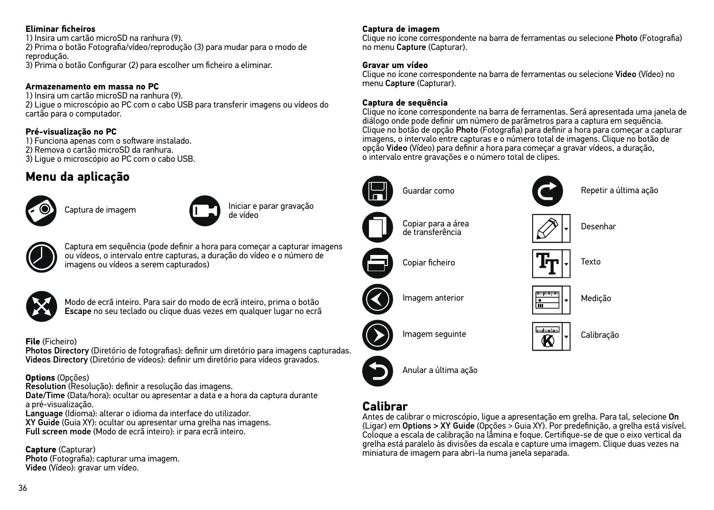#### **Eliminar ficheiros**

1) Insira um cartão microSD na ranhura (9). 2) Prima o botão Fotografia/vídeo/reprodução (3) para mudar para o modo de reprodução. 3) Prima o botão Configurar (2) para escolher um ficheiro a eliminar.

#### **Armazenamento em massa no PC**

1) Insira um cartão microSD na ranhura (9). 2) Ligue o microscópio ao PC com o cabo USB para transferir imagens ou vídeos do cartão para o computador.

#### **Pré-visualização no PC**

1) Funciona apenas com o software instalado.

- 2) Remova o cartão microSD da ranhura.
- 3) Ligue o microscópio ao PC com o cabo USB.

## **Menu da aplicação**









Captura em sequência (pode definir a hora para começar a capturar imagens ou vídeos, o intervalo entre capturas, a duração do vídeo e o número de imagens ou vídeos a serem capturados)



Modo de ecrã inteiro. Para sair do modo de ecrã inteiro, prima o botão Escape no seu teclado ou clique duas vezes em qualquer lugar no ecrã

#### **File** (Ficheiro)

Photos Directory (Diretório de fotografias): definir um diretório para imagens capturadas. Videos Directory (Diretório de vídeos): definir um diretório para vídeos gravados.

#### **Options** (Opções)

Resolution (Resolução): definir a resolução das imagens.

Date/Time (Data/hora): ocultar ou apresentar a data e a hora da captura durante a pré-visualização.

Language (Idioma): alterar o idioma da interface do utilizador. XY Guide (Guia XY): ocultar ou apresentar uma grelha nas imagens. Full screen mode (Modo de ecrã inteiro): ir para ecrã inteiro.

#### **Capture** (Capturar)

Photo (Fotografia): capturar uma imagem. Video (Vídeo): gravar um vídeo.

#### **Captura de imagem**

Clique no ícone correspondente na barra de ferramentas ou selecione Photo (Fotografia) no menu Capture (Capturar).

#### **Gravar um vídeo**

Clique no ícone correspondente na barra de ferramentas ou selecione Video (Vídeo) no menu Capture (Capturar).

#### **Captura de sequência**

Clique no ícone correspondente na barra de ferramentas. Será apresentada uma janela de diálogo onde pode definir um número de parâmetros para a captura em sequência. Clique no botão de opção Photo (Fotografia) para definir a hora para começar a capturar imagens, o intervalo entre capturas e o número total de imagens. Clique no botão de opção Video (Vídeo) para definir a hora para começar a gravar vídeos, a duração, o intervalo entre gravações e o número total de clipes.



Repetir a última ação



Desenhar

mmmm



Medição

Imagem seguinte





Anular a última ação

## **Calibrar**

Antes de calibrar o microscópio, ligue a apresentação em grelha. Para tal, selecione On (Ligar) em Options > XY Guide (Opções > Guia XY). Por predefinição, a grelha está visível. Coloque a escala de calibração na lâmina e foque. Certifique-se de que o eixo vertical da grelha está paralelo às divisões da escala e capture uma imagem. Clique duas vezes na miniatura de imagem para abri-la numa janela separada.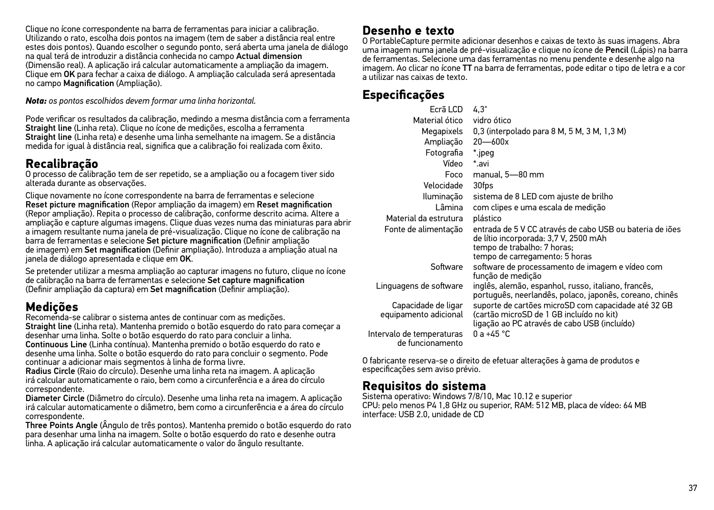Clique no ícone correspondente na barra de ferramentas para iniciar a calibração. Utilizando o rato, escolha dois pontos na imagem (tem de saber a distância real entre estes dois pontos). Quando escolher o segundo ponto, será aberta uma janela de diálogo na qual terá de introduzir a distância conhecida no campo Actual dimension (Dimensão real). A aplicação irá calcular automaticamente a ampliação da imagem. Clique em OK para fechar a caixa de diálogo. A ampliação calculada será apresentada no campo Magnification (Ampliação).

*Nota: os pontos escolhidos devem formar uma linha horizontal.*

Pode verificar os resultados da calibração, medindo a mesma distância com a ferramenta Straight line (Linha reta). Clique no ícone de medições, escolha a ferramenta Straight line (Linha reta) e desenhe uma linha semelhante na imagem. Se a distância medida for igual à distância real, significa que a calibração foi realizada com êxito.

## **Recalibração**

O processo de calibração tem de ser repetido, se a ampliação ou a focagem tiver sido alterada durante as observações.

Clique novamente no ícone correspondente na barra de ferramentas e selecione Reset picture magnification (Repor ampliação da imagem) em Reset magnification (Repor ampliação). Repita o processo de calibração, conforme descrito acima. Altere a ampliação e capture algumas imagens. Clique duas vezes numa das miniaturas para abrir a imagem resultante numa janela de pré-visualização. Clique no ícone de calibração na barra de ferramentas e selecione Set picture magnification (Definir ampliação de imagem) em Set magnification (Definir ampliação). Introduza a ampliação atual na janela de diálogo apresentada e clique em OK.

Se pretender utilizar a mesma ampliação ao capturar imagens no futuro, clique no ícone de calibração na barra de ferramentas e selecione Set capture magnification (Definir ampliação da captura) em Set magnification (Definir ampliação).

## **Medições**

Recomenda-se calibrar o sistema antes de continuar com as medições. Straight line (Linha reta). Mantenha premido o botão esquerdo do rato para começar a desenhar uma linha. Solte o botão esquerdo do rato para concluir a linha. Continuous Line (Linha contínua). Mantenha premido o botão esquerdo do rato e desenhe uma linha. Solte o botão esquerdo do rato para concluir o segmento. Pode continuar a adicionar mais segmentos à linha de forma livre.

Radius Circle (Raio do círculo). Desenhe uma linha reta na imagem. A aplicação irá calcular automaticamente o raio, bem como a circunferência e a área do círculo correspondente.

Diameter Circle (Diâmetro do círculo). Desenhe uma linha reta na imagem. A aplicação irá calcular automaticamente o diâmetro, bem como a circunferência e a área do círculo correspondente.

Three Points Angle (Ângulo de três pontos). Mantenha premido o botão esquerdo do rato para desenhar uma linha na imagem. Solte o botão esquerdo do rato e desenhe outra linha. A aplicação irá calcular automaticamente o valor do ângulo resultante.

## **Desenho e texto**

O PortableCapture permite adicionar desenhos e caixas de texto às suas imagens. Abra uma imagem numa janela de pré-visualização e clique no ícone de Pencil (Lápis) na barra de ferramentas. Selecione uma das ferramentas no menu pendente e desenhe algo na imagem. Ao clicar no ícone TT na barra de ferramentas, pode editar o tipo de letra e a cor a utilizar nas caixas de texto.

## **Especificações**

| Ecrã LCD                                      | 4,3"                                                                                                                                                               |
|-----------------------------------------------|--------------------------------------------------------------------------------------------------------------------------------------------------------------------|
| Material ótico vidro ótico                    |                                                                                                                                                                    |
|                                               | Megapixels 0,3 (interpolado para 8 M, 5 M, 3 M, 1,3 M)                                                                                                             |
| Ampliação                                     | $20 - 600x$                                                                                                                                                        |
| Fotografia                                    | * ipeg                                                                                                                                                             |
| Vídeo                                         | * avi                                                                                                                                                              |
| Foco                                          | manual. 5-80 mm                                                                                                                                                    |
| Velocidade                                    | 30fps                                                                                                                                                              |
| Iluminação                                    | sistema de 8 LED com ajuste de brilho                                                                                                                              |
| Lâmina                                        | com clipes e uma escala de medição                                                                                                                                 |
| Material da estrutura                         | plástico                                                                                                                                                           |
| Fonte de alimentação                          | entrada de 5 V CC através de cabo USB ou bateria de jões<br>de lítio incorporada: 3,7 V, 2500 mAh<br>tempo de trabalho: 7 horas;<br>tempo de carregamento: 5 horas |
| Software                                      | software de processamento de imagem e vídeo com<br>função de medição                                                                                               |
| Linguagens de software                        | inglês, alemão, espanhol, russo, italiano, francês,<br>português, neerlandês, polaco, japonês, coreano, chinês                                                     |
| Capacidade de ligar                           | suporte de cartões microSD com capacidade até 32 GB                                                                                                                |
| equipamento adicional                         | (cartão microSD de 1 GB incluído no kit)<br>ligação ao PC através de cabo USB (incluído)                                                                           |
| Intervalo de temperaturas<br>de funcionamento | 0 a +45 $^{\circ}$ C                                                                                                                                               |

O fabricante reserva-se o direito de efetuar alterações à gama de produtos e especificações sem aviso prévio.

## **Requisitos do sistema**

Sistema operativo: Windows 7/8/10, Mac 10.12 e superior CPU: pelo menos P4 1,8 GHz ou superior, RAM: 512 MB, placa de vídeo: 64 MB interface: USB 2.0, unidade de CD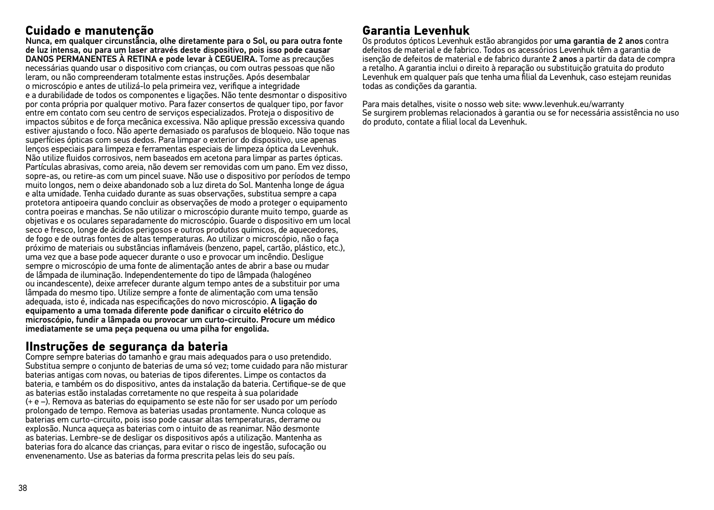## **Cuidado e manutenção**

Nunca, em qualquer circunstância, olhe diretamente para o Sol, ou para outra fonte de luz intensa, ou para um laser através deste dispositivo, pois isso pode causar DANOS PERMANENTES À RETINA e pode levar à CEGUEIRA. Tome as precauções necessárias quando usar o dispositivo com crianças, ou com outras pessoas que não leram, ou não compreenderam totalmente estas instruções. Após desembalar o microscópio e antes de utilizá-lo pela primeira vez, verifique a integridade e a durabilidade de todos os componentes e ligações. Não tente desmontar o dispositivo por conta própria por qualquer motivo. Para fazer consertos de qualquer tipo, por favor entre em contato com seu centro de serviços especializados. Proteja o dispositivo de impactos súbitos e de força mecânica excessiva. Não aplique pressão excessiva quando estiver ajustando o foco. Não aperte demasiado os parafusos de bloqueio. Não toque nas superfícies ópticas com seus dedos. Para limpar o exterior do dispositivo, use apenas lenços especiais para limpeza e ferramentas especiais de limpeza óptica da Levenhuk. Não utilize fluidos corrosivos, nem baseados em acetona para limpar as partes ópticas. Partículas abrasivas, como areia, não devem ser removidas com um pano. Em vez disso, sopre-as, ou retire-as com um pincel suave. Não use o dispositivo por períodos de tempo muito longos, nem o deixe abandonado sob a luz direta do Sol. Mantenha longe de água e alta umidade. Tenha cuidado durante as suas observações, substitua sempre a capa protetora antipoeira quando concluir as observações de modo a proteger o equipamento contra poeiras e manchas. Se não utilizar o microscópio durante muito tempo, guarde as objetivas e os oculares separadamente do microscópio. Guarde o dispositivo em um local seco e fresco, longe de ácidos perigosos e outros produtos químicos, de aquecedores, de fogo e de outras fontes de altas temperaturas. Ao utilizar o microscópio, não o faça próximo de materiais ou substâncias inflamáveis (benzeno, papel, cartão, plástico, etc.), uma vez que a base pode aquecer durante o uso e provocar um incêndio. Desligue sempre o microscópio de uma fonte de alimentação antes de abrir a base ou mudar de lâmpada de iluminação. Independentemente do tipo de lâmpada (halogéneo ou incandescente), deixe arrefecer durante algum tempo antes de a substituir por uma lâmpada do mesmo tipo. Utilize sempre a fonte de alimentação com uma tensão adequada, isto é, indicada nas especificações do novo microscópio. A ligação do equipamento a uma tomada diferente pode danificar o circuito elétrico do microscópio, fundir a lâmpada ou provocar um curto-circuito. Procure um médico imediatamente se uma peça pequena ou uma pilha for engolida.

## **IInstruções de segurança da bateria**

Compre sempre baterias do tamanho e grau mais adequados para o uso pretendido. Substitua sempre o conjunto de baterias de uma só vez; tome cuidado para não misturar baterias antigas com novas, ou baterias de tipos diferentes. Limpe os contactos da bateria, e também os do dispositivo, antes da instalação da bateria. Certifique-se de que as baterias estão instaladas corretamente no que respeita à sua polaridade (+ e –). Remova as baterias do equipamento se este não for ser usado por um período prolongado de tempo. Remova as baterias usadas prontamente. Nunca coloque as baterias em curto-circuito, pois isso pode causar altas temperaturas, derrame ou explosão. Nunca aqueça as baterias com o intuito de as reanimar. Não desmonte as baterias. Lembre-se de desligar os dispositivos após a utilização. Mantenha as baterias fora do alcance das crianças, para evitar o risco de ingestão, sufocação ou envenenamento. Use as baterias da forma prescrita pelas leis do seu país.

**Garantia Levenhuk**<br>Os produtos ópticos Levenhuk estão abrangidos por uma garantia de 2 anos contra Os produtos ópticos Levenhuk estão abrangidos por uma garantia de 2 anos contra defeitos de material e de fabrico. Todos os acessórios Levenhuk têm a garantia de isenção de defeitos de material e de fabrico durante 2 anos a partir da data de compra a retalho. A garantia inclui o direito à reparação ou substituição gratuita do produto Levenhuk em qualquer país que tenha uma filial da Levenhuk, caso estejam reunidas todas as condições da garantia.

Para mais detalhes, visite o nosso web site: www.levenhuk.eu/warranty Se surgirem problemas relacionados à garantia ou se for necessária assistência no uso do produto, contate a filial local da Levenhuk.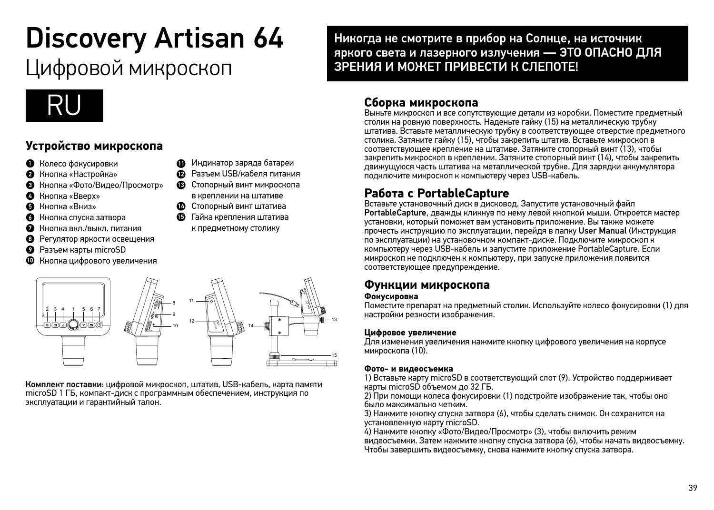## Discovery Artisan 64 Цифровой микроскоп

## RU

## **Устройство микроскопа**

- Колесо фокусировки
- $\bullet$  Кнопка «Настройка»
- Кнопка «Фото/Видео/Просмотр» A
- ◙ Кнопка «Вверх»
- $\bigcirc$  Кнопка «Вниз»
- Кнопка спуска затвора
- Кнопка вкл./выкл. питания
- Регулятор яркости освещения
- **•** Разъем карты microSD
- Кнопка цифрового увеличения ⋒
- Индикатор заряда батареи
- മ Разъем USB/кабеля питания
- Стопорный винт микроскопа в креплении на штативе
- ☎ Стопорный винт штатива
- Гайка крепления штатива к предметному столику



Комплект поставки: цифровой микроскоп, штатив, USB-кабель, карта памяти microSD 1 ГБ, компакт-диск с программным обеспечением, инструкция по эксплуатации и гарантийный талон.

## Никогда не смотрите в прибор на Солнце, на источник яркого света и лазерного излучения — ЭТО ОПАСНО ДЛЯ ЗРЕНИЯ И МОЖЕТ ПРИВЕСТИ К СЛЕПОТЕ!

## **Сборка микроскопа**

Выньте микроскоп и все сопутствующие детали из коробки. Поместите предметный столик на ровную поверхность. Наденьте гайку (15) на металлическую трубку штатива. Вставьте металлическую трубку в соответствующее отверстие предметного столика. Затяните гайку (15), чтобы закрепить штатив. Вставьте микроскоп в соответствующее крепление на штативе. Затяните стопорный винт (13), чтобы закрепить микроскоп в креплении. Затяните стопорный винт (14), чтобы закрепить движущуюся часть штатива на металлической трубке. Для зарядки аккумулятора подключите микроскоп к компьютеру через USB-кабель.

## **Работа с PortableCapture**

Вставьте установочный диск в дисковод. Запустите установочный файл PortableCapture, дважды кликнув по нему левой кнопкой мыши. Откроется мастер установки, который поможет вам установить приложение. Вы также можете прочесть инструкцию по эксплуатации, перейдя в папку User Manual (Инструкция по эксплуатации) на установочном компакт-диске. Подключите микроскоп к компьютеру через USB-кабель и запустите приложение PortableCapture. Если микроскоп не подключен к компьютеру, при запуске приложения появится соответствующее предупреждение.

## **Функции микроскопа**

#### **Фокусировка**

Поместите препарат на предметный столик. Используйте колесо фокусировки (1) для настройки резкости изображения.

#### **Цифровое увеличение**

Для изменения увеличения нажмите кнопку цифрового увеличения на корпусе микроскопа (10).

#### **Фото- и видеосъемка**

1) Вставьте карту microSD в соответствующий слот (9). Устройство поддерживает карты microSD объемом до 32 ГБ.

2) При помощи колеса фокусировки (1) подстройте изображение так, чтобы оно было максимально четким.

3) Нажмите кнопку спуска затвора (6), чтобы сделать снимок. Он сохранится на установленную карту microSD.

4) Нажмите кнопку «Фото/Видео/Просмотр» (3), чтобы включить режим видеосъемки. Затем нажмите кнопку спуска затвора (6), чтобы начать видеосъемку. Чтобы завершить видеосъемку, снова нажмите кнопку спуска затвора.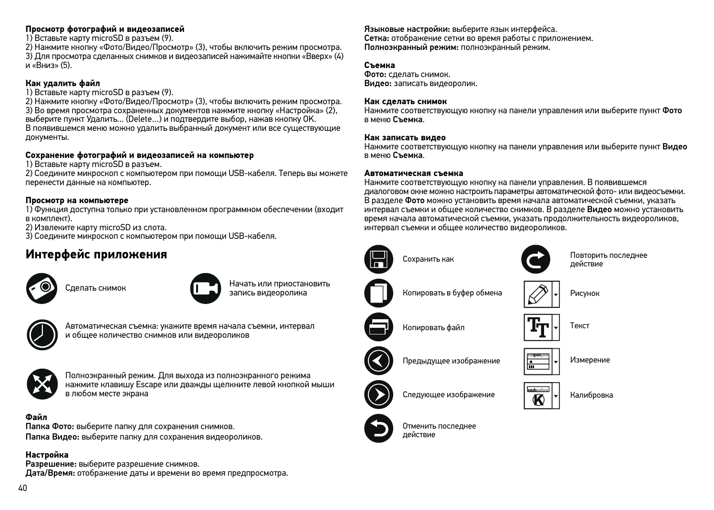#### **Просмотр фотографий и видеозаписей**

1) Вставьте карту microSD в разъем (9).

2) Нажмите кнопку «Фото/Видео/Просмотр» (3), чтобы включить режим просмотра. 3) Для просмотра сделанных снимков и видеозаписей нажимайте кнопки «Вверх» (4) и «Вниз» (5).

#### **Как удалить файл**

1) Вставьте карту microSD в разъем (9).

2) Нажмите кнопку «Фото/Видео/Просмотр» (3), чтобы включить режим просмотра. 3) Во время просмотра сохраненных документов нажмите кнопку «Настройка» (2), выберите пункт Удалить... (Delete…) и подтвердите выбор, нажав кнопку OK. В появившемся меню можно удалить выбранный документ или все существующие документы.

#### **Сохранение фотографий и видеозаписей на компьютер**

1) Вставьте карту microSD в разъем.

2) Соедините микроскоп с компьютером при помощи USB-кабеля. Теперь вы можете перенести данные на компьютер.

#### **Просмотр на компьютере**

1) Функция доступна только при установленном программном обеспечении (входит в комплект).

2) Извлеките карту microSD из слота.

3) Соедините микроскоп с компьютером при помощи USB-кабеля.

## **Интерфейс приложения**





Слепать снимок Начать или приостановить запись видеоролика



Автоматическая съемка: укажите время начала съемки, интервал и общее количество снимков или видеороликов



Полноэкранный режим. Для выхода из полноэкранного режима нажмите клавишу Escape или дважды щелкните левой кнопкой мыши в любом месте экрана

#### **Файл**

Папка Фото: выберите папку для сохранения снимков. Папка Видео: выберите папку для сохранения видеороликов.

#### **Настройка**

Разрешение: выберите разрешение снимков.

Дата/Время: отображение даты и времени во время предпросмотра.

Языковые настройки: выберите язык интерфейса. Сетка: отображение сетки во время работы с приложением. Полноэкранный режим: полноэкранный режим.

#### **Съемка**

Фото: сделать снимок. Видео: записать видеоролик.

#### **Как сделать снимок**

Нажмите соответствующую кнопку на панели управления или выберите пункт Фото в меню Съемка.

#### **Как записать видео**

Нажмите соответствующую кнопку на панели управления или выберите пункт **Видео**<br>в меню Съемка.

#### **Автоматическая съемка**

Нажмите соответствующую кнопку на панели управления. В появившемся диалоговом окне можно настроить параметры автоматической фото- или видеосъемки. В разделе Фото можно установить время начала автоматической съемки, указать интервал съемки и общее количество снимков. В разделе Видео можно установить время начала автоматической съемки, указать продолжительность видеороликов, интервал съемки и общее количество видеороликов.



Предыдущее изображение



Текст

Измерение

Рисунок

Повторить последнее действие



mmmm

أستسلسا Ø





Отменить последнее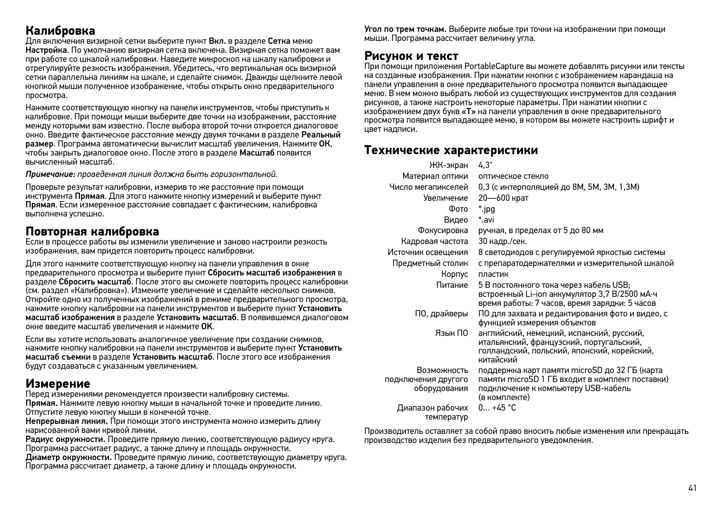**Калибровка**<br>Для включения визирной сетки выберите пункт Вкл. в разделе Сетка меню Настройка. По умолчанию визирная сетка включена. Визирная сетка поможет вам при работе со шкалой калибровки. Наведите микроскоп на шкалу калибровки и отрегулируйте резкость изображения. Убедитесь, что вертикальная ось визирной сетки параллельна линиям на шкале, и сделайте снимок. Дважды щелкните левой кнопкой мыши полученное изображение, чтобы открыть окно предварительного просмотра.

Нажмите соответствующую кнопку на панели инструментов, чтобы приступить к калибровке. При помощи мыши выберите две точки на изображении, расстояние между которыми вам известно. После выбора второй точки откроется диалоговое окно. Введите фактическое расстояние между двумя точками в разделе Реальный<br>размер. Программа автоматически вычислит масштаб увеличения. Нажмите ОК чтобы закрыть диалоговое окно. После этого в разделе **Масштаб** появится.<br>Вычисленный масштаб

*Примечание: проведенная линия должна быть горизонтальной.*

Проверьте результат калибровки, измерив то же расстояние при помощи инструмента Прямая. Для этого нажмите кнопку измерений и выберите пункт Прямая. Если измеренное расстояние совпадает с фактическим, калибровка выполнена успешно.

## **Повторная калибровка**

Если в процессе работы вы изменили увеличение и заново настроили резкость изображения, вам придется повторить процесс калибровки.

Для этого нажмите соответствующую кнопку на панели управления в окне<br>предварительного просмотра и выберите пункт **Сбросить масштаб изображения** в разделе Сбросить масштаб. После этого вы сможете повторить процесс калибровки (см. раздел «Калибровка»). Измените увеличение и сделайте несколько снимков. Откройте одно из полученных изображений в режиме предварительного просмотра, нажмите кнопку калибровки на панели инструментов и выберите пункт Установить масштаб изображения в разделе Установить масштаб. В появившемся диалоговом окне введите масштаб увеличения и нажмите OK.

Если вы хотите использовать аналогичное увеличение при создании снимков, нажмите кнопку калибровки на панели инструментов и выберите пункт Установить масштаб съемки в разделе Установить масштаб. После этого все изображения будут создаваться с указанным увеличением.

### **Измерение**

Перед измерениями рекомендуется произвести калибровку системы. Прямая. Нажмите левую кнопку мыши в начальной точке и проведите линию. Отпустите левую кнопку мыши в конечной точке.

Непрерывная линия. При помощи этого инструмента можно измерить длину нарисованной вами кривой линии.

Радиус окружности. Проведите прямую линию, соответствующую радиусу круга. Программа рассчитает радиус, а также длину и площадь окружности. Диаметр окружности. Проведите прямую линию, соответствующую диаметру круга. Программа рассчитает диаметр, а также длину и площадь окружности.

Угол по трем точкам. Выберите любые три точки на изображении при помощи мыши. Программа рассчитает величину угла.

#### **Рисунок и текст**

При помощи приложения PortableCapture вы можете добавлять рисунки или тексты на созданные изображения. При нажатии кнопки с изображением карандаша на панели управления в окне предварительного просмотра появится выпадающее меню. В нем можно выбрать любой из существующих инструментов для создания рисунков, а также настроить некоторые параметры. При нажатии кнопки с изображением двух букв «Т» на панели управления в окне предварительного просмотра появится выпадающее меню, в котором вы можете настроить шрифт и цвет надписи.

#### **Технические характеристики**

| ЖК-экран                            | 4.3"                                                                                                                                              |
|-------------------------------------|---------------------------------------------------------------------------------------------------------------------------------------------------|
| Материал оптики                     | оптическое стекло                                                                                                                                 |
| Число мегапикселей                  | 0,3 (с интерполяцией до 8М, 5М, 3М, 1,3М)                                                                                                         |
| Увеличение                          | 20-600 крат                                                                                                                                       |
| Фото                                | * jpg                                                                                                                                             |
| Видео                               | *.avi                                                                                                                                             |
| Фокусировка                         | ручная, в пределах от 5 до 80 мм                                                                                                                  |
| Кадровая частота                    | 30 кадр./сек.                                                                                                                                     |
| Источник освещения                  | 8 светодиодов с регулируемой яркостью системы                                                                                                     |
| Предметный столик                   | с препаратодержателями и измерительной шкалой                                                                                                     |
| Корпус                              | пластик                                                                                                                                           |
| Питание                             | 5 В постоянного тока через кабель USB;<br>встроенный Li-ion аккумулятор 3,7 В/2500 мА-ч<br>время работы: 7 часов, время зарядки: 5 часов          |
| ПО, драйверы                        | ПО для захвата и редактирования фото и видео, с<br>функцией измерения объектов                                                                    |
| Язык ПО                             | английский, немецкий, испанский, русский,<br>итальянский, французский, португальский,<br>голландский, польский, японский, корейский,<br>китайский |
| Возможность                         | поддержка карт памяти microSD до 32 ГБ (карта                                                                                                     |
| подключения другого<br>оборудования | памяти microSD 1 ГБ входит в комплект поставки)<br>подключение к компьютеру USB-кабель<br>(в комплекте)                                           |
| Диапазон рабочих                    | $0 + 45 °C$                                                                                                                                       |
| температур                          |                                                                                                                                                   |

Производитель оставляет за собой право вносить любые изменения или прекращать производство изделия без предварительного уведомления.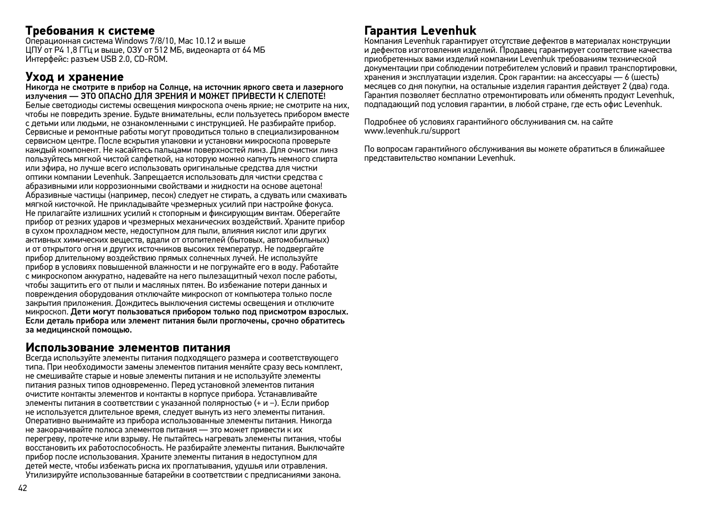#### **Требования к системе**

Операционная система Windows 7/8/10, Mac 10.12 и выше ЦПУ от P4 1,8 ГГц и выше, ОЗУ от 512 МБ, видеокарта от 64 МБ Интерфейс: разъем USB 2.0, CD-ROM.

### **Уход и хранение**

Никогда не смотрите в прибор на Солнце, на источник яркого света и лазерного излучения — ЭТО ОПАСНО ДЛЯ ЗРЕНИЯ И МОЖЕТ ПРИВЕСТИ К СЛЕПОТЕ! Белые светодиоды системы освещения микроскопа очень яркие; не смотрите на них, чтобы не повредить зрение. Будьте внимательны, если пользуетесь прибором вместе с детьми или людьми, не ознакомленными с инструкцией. Не разбирайте прибор. Сервисные и ремонтные работы могут проводиться только в специализированном сервисном центре. После вскрытия упаковки и установки микроскопа проверьте каждый компонент. Не касайтесь пальцами поверхностей линз. Для очистки линз пользуйтесь мягкой чистой салфеткой, на которую можно капнуть немного спирта или эфира, но лучше всего использовать оригинальные средства для чистки оптики компании Levenhuk. Запрещается использовать для чистки средства с абразивными или коррозионными свойствами и жидкости на основе ацетона! Абразивные частицы (например, песок) следует не стирать, а сдувать или смахивать мягкой кисточкой. Не прикладывайте чрезмерных усилий при настройке фокуса. Не прилагайте излишних усилий к стопорным и фиксирующим винтам. Оберегайте прибор от резких ударов и чрезмерных механических воздействий. Храните прибор в сухом прохладном месте, недоступном для пыли, влияния кислот или других активных химических веществ, вдали от отопителей (бытовых, автомобильных) и от открытого огня и других источников высоких температур. Не подвергайте прибор длительному воздействию прямых солнечных лучей. Не используйте прибор в условиях повышенной влажности и не погружайте его в воду. Работайте с микроскопом аккуратно, надевайте на него пылезащитный чехол после работы, чтобы защитить его от пыли и масляных пятен. Во избежание потери данных и повреждения оборудования отключайте микроскоп от компьютера только после закрытия приложения. Дождитесь выключения системы освещения и отключите микроскоп. Дети могут пользоваться прибором только под присмотром взрослых. Если деталь прибора или элемент питания были проглочены, срочно обратитесь за медицинской помощью.

#### **Использование элементов питания**

Всегда используйте элементы питания подходящего размера и соответствующего типа. При необходимости замены элементов питания меняйте сразу весь комплект, не смешивайте старые и новые элементы питания и не используйте элементы питания разных типов одновременно. Перед установкой элементов питания очистите контакты элементов и контакты в корпусе прибора. Устанавливайте элементы питания в соответствии с указанной полярностью (+ и −). Если прибор не используется длительное время, следует вынуть из него элементы питания. Оперативно вынимайте из прибора использованные элементы питания. Никогда не закорачивайте полюса элементов питания — это может привести к их перегреву, протечке или взрыву. Не пытайтесь нагревать элементы питания, чтобы восстановить их работоспособность. Не разбирайте элементы питания. Выключайте прибор после использования. Храните элементы питания в недоступном для детей месте, чтобы избежать риска их проглатывания, удушья или отравления. Утилизируйте использованные батарейки в соответствии с предписаниями закона.

## **Гарантия Levenhuk**

Компания Levenhuk гарантирует отсутствие дефектов в материалах конструкции и дефектов изготовления изделий. Продавец гарантирует соответствие качества приобретенных вами изделий компании Levenhuk требованиям технической документации при соблюдении потребителем условий и правил транспортировки, хранения и эксплуатации изделия. Срок гарантии: на аксессуары — 6 (шесть) месяцев со дня покупки, на остальные изделия гарантия действует 2 (два) года. Гарантия позволяет бесплатно отремонтировать или обменять продукт Levenhuk, подпадающий под условия гарантии, в любой стране, где есть офис Levenhuk.

Подробнее об условиях гарантийного обслуживания см. на сайте www.levenhuk.ru/support

По вопросам гарантийного обслуживания вы можете обратиться в ближайшее представительство компании Levenhuk.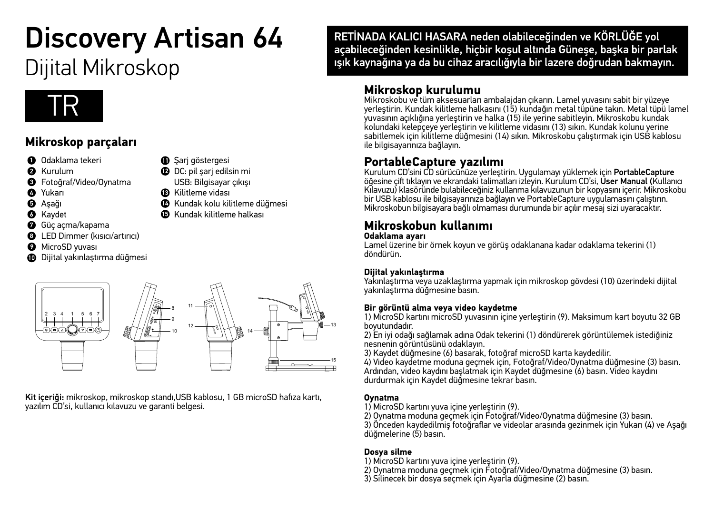## Discovery Artisan 64 Dijital Mikroskop



## **Mikroskop parçaları**

- O Odaklama tekeri
- **A** Kurulum
- **6** Fotoăraf/Video/Ovnatma
- Ø Yukarı
- **O** Asağı
- **6** Kaydet
- Güç açma/kapama
- **O** LED Dimmer (kısıcı/artırıcı)
- **O** MicroSD vuvası
- **10** Dijital yakınlaştırma düğmesi



- USB: Bilgisayar çıkışı
- **B** Kilitleme vidası
- Kundak kolu kilitleme düğmesi
- **B** Kundak kilitleme halkası

11 8 2 3 4 1 5 6 7 9  $\sum_{\text{where}}$ 13 12 DC/USB 10 14 15

Kit içeriği: mikroskop, mikroskop standı,USB kablosu, 1 GB microSD hafıza kartı, yazılım CD'si, kullanıcı kılavuzu ve garanti belgesi.

 RETİNADA KALICI HASARA neden olabileceğinden ve KÖRLÜĞE yol açabileceğinden kesinlikle, hiçbir koşul altında Güneşe, başka bir parlak ışık kaynağına ya da bu cihaz aracılığıyla bir lazere doğrudan bakmayın.

## **Mikroskop kurulumu**

Mikroskobu ve tüm aksesuarları ambalajdan çıkarın. Lamel yuvasını sabit bir yüzeye yerleştirin. Kundak kilitleme halkasını (15) kundağın metal tüpüne takın. Metal tüpü lamel yuvasının açıklığına yerleştirin ve halka (15) ile yerine sabitleyin. Mikroskobu kundak kolundaki kelepçeye yerleştirin ve kilitleme vidasını (13) sıkın. Kundak kolunu yerine sabitlemek için kilitleme düğmesini (14) sıkın. Mikroskobu çalıştırmak için USB kablosu ile bilgisayarınıza bağlayın.

**PortableCapture yazılımı** Kurulum CD'sini CD sürücünüze yerleştirin. Uygulamayı yüklemek için PortableCapture öğesine çift tıklayın ve ekrandaki talimatları izleyin. Kurulum CD'si, User Manual (Kullanıcı Kılavuzu) klasöründe bulabileceğiniz kullanma kılavuzunun bir kopyasını içerir. Mikroskobu bir USB kablosu ile bilgisayarınıza bağlayın ve PortableCapture uygulamasını çalıştırın. Mikroskobun bilgisayara bağlı olmaması durumunda bir açılır mesaj sizi uyaracaktır.

## **Mikroskobun kullanımı**

#### **Odaklama ayarı**

Lamel üzerine bir örnek koyun ve görüş odaklanana kadar odaklama tekerini (1) döndürün.

#### **Dijital yakınlaştırma**

Yakınlaştırma veya uzaklaştırma yapmak için mikroskop gövdesi (10) üzerindeki dijital yakınlaştırma düğmesine basın.

#### **Bir görüntü alma veya video kaydetme**

1) MicroSD kartını microSD yuvasının içine yerleştirin (9). Maksimum kart boyutu 32 GB boyutundadır.

2) En iyi odağı sağlamak adına Odak tekerini (1) döndürerek görüntülemek istediğiniz nesnenin görüntüsünü odaklayın.

3) Kaydet düğmesine (6) basarak, fotoğraf microSD karta kaydedilir.

4) Video kaydetme moduna geçmek için, Fotoğraf/Video/Oynatma düğmesine (3) basın. Ardından, video kaydını başlatmak için Kaydet düğmesine (6) basın. Video kaydını durdurmak için Kaydet düğmesine tekrar basın.

#### **Oynatma**

1) MicroSD kartını yuva içine yerleştirin (9).

2) Oynatma moduna geçmek için Fotoğraf/Video/Oynatma düğmesine (3) basın.

3) Önceden kaydedilmiş fotoğraflar ve videolar arasında gezinmek için Yukarı (4) ve Aşağı düğmelerine (5) basın.

#### **Dosya silme**

- 1) MicroSD kartını yuva içine yerleştirin (9).
- 2) Oynatma moduna geçmek için Fotoğraf/Video/Oynatma düğmesine (3) basın.
- 3) Silinecek bir dosya seçmek için Ayarla düğmesine (2) basın.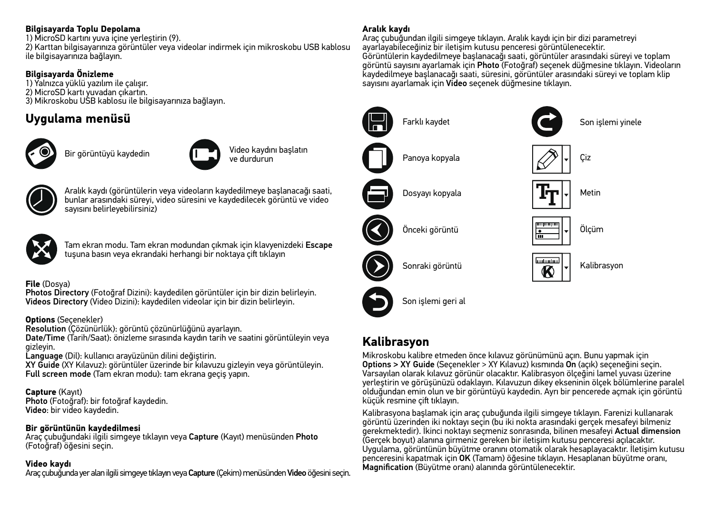#### **Bilgisayarda Toplu Depolama**

1) MicroSD kartını yuva içine yerleştirin (9). 2) Karttan bilgisayarınıza görüntüler veya videolar indirmek için mikroskobu USB kablosu ile bilgisayarınıza bağlayın.

#### **Bilgisayarda Önizleme**

1) Yalnızca yüklü yazılım ile çalışır.

2) MicroSD kartı yuvadan çıkartın.

3) Mikroskobu USB kablosu ile bilgisayarınıza bağlayın.

## **Uygulama menüsü**



Bir görüntüyü kaydedin Video kaydını başlatın





Aralık kaydı (görüntülerin veya videoların kaydedilmeye başlanacağı saati, bunlar arasındaki süreyi, video süresini ve kaydedilecek görüntü ve video sayısını belirleyebilirsiniz)



Tam ekran modu. Tam ekran modundan çıkmak için klavyenizdeki Escape tuşuna basın veya ekrandaki herhangi bir noktaya çift tıklayın

#### **File** (Dosya)

Photos Directory (Fotoğraf Dizini): kaydedilen görüntüler için bir dizin belirleyin. Videos Directory (Video Dizini): kaydedilen videolar için bir dizin belirleyin.

#### **Options** (Seçenekler)

Resolution (Çözünürlük): görüntü çözünürlüğünü ayarlayın.

Date/Time (Tarih/Saat): önizleme sırasında kaydın tarih ve saatini görüntüleyin veya gizleyin.

Language (Dil): kullanıcı arayüzünün dilini değiştirin.

XY Guide (XY Kılavuz): görüntüler üzerinde bir kılavuzu gizleyin veya görüntüleyin. Full screen mode (Tam ekran modu): tam ekrana geçiş yapın.

#### **Capture** (Kayıt)

Photo (Fotoğraf): bir fotoğraf kaydedin. Video: bir video kaydedin.

#### **Bir görüntünün kaydedilmesi**

Araç çubuğundaki ilgili simgeye tıklayın veya Capture (Kayıt) menüsünden Photo (Fotoğraf) öğesini seçin.

#### **Video kaydı**

Araç çubuğunda yer alan ilgili simgeye tıklayın veya Capture (Çekim) menüsünden Video öğesini seçin.

#### **Aralık kaydı**

Araç çubuğundan ilgili simgeye tıklayın. Aralık kaydı için bir dizi parametreyi ayarlayabileceğiniz bir iletişim kutusu penceresi görüntülenecektir. Görüntülerin kaydedilmeye başlanacağı saati, görüntüler arasındaki süreyi ve toplam görüntü sayısını ayarlamak için Photo (Fotoğraf) seçenek düğmesine tıklayın. Videoların kaydedilmeye başlanacağı saati, süresini, görüntüler arasındaki süreyi ve toplam klip sayısını ayarlamak için Video seçenek düğmesine tıklayın.



## **Kalibrasyon**

Mikroskobu kalibre etmeden önce kılavuz görünümünü açın. Bunu yapmak için Options > XY Guide (Seçenekler > XY Kılavuz) kısmında On (açık) seçeneğini seçin. Varsayılan olarak kılavuz görünür olacaktır. Kalibrasyon ölçeğini lamel yuvası üzerine yerleştirin ve görüşünüzü odaklayın. Kılavuzun dikey ekseninin ölçek bölümlerine paralel olduğundan emin olun ve bir görüntüyü kaydedin. Ayrı bir pencerede açmak için görüntü küçük resmine çift tıklayın.

Kalibrasyona başlamak için araç çubuğunda ilgili simgeye tıklayın. Farenizi kullanarak görüntü üzerinden iki noktayı seçin (bu iki nokta arasındaki gerçek mesafeyi bilmeniz gerekmektedir). İkinci noktayı seçmeniz sonrasında, bilinen mesafeyi Actual dimension (Gerçek boyut) alanına girmeniz gereken bir iletişim kutusu penceresi açılacaktır. Uygulama, görüntünün büyütme oranını otomatik olarak hesaplayacaktır. İletişim kutusu penceresini kapatmak için OK (Tamam) öğesine tıklayın. Hesaplanan büyütme oranı, Magnification (Büyütme oranı) alanında görüntülenecektir.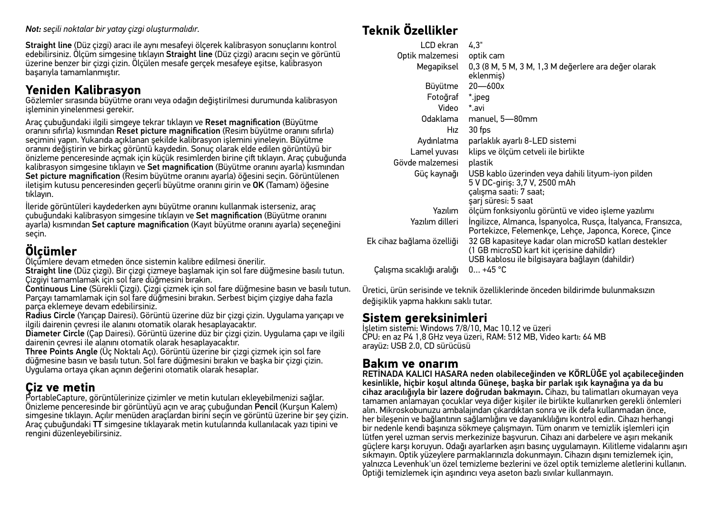*Not: seçili noktalar bir yatay çizgi oluşturmalıdır.*

Straight line (Düz çizgi) aracı ile aynı mesafeyi ölçerek kalibrasyon sonuçlarını kontrol<br>edebilirsiniz. Ölçüm simgesine tıklayın Straight line (Düz çizgi) aracını seçin ve görüntü<br>üzerine benzer bir cizgi cizin. Ölcülen m başarıyla tamamlanmıştır.

## **Yeniden Kalibrasyon**

Gözlemler sırasında büyütme oranı veya odağın değiştirilmesi durumunda kalibrasyon işleminin yinelenmesi gerekir.

Araç çubuğundaki ilgili simgeye tekrar tıklayın ve Reset magnification (Büyütme oranını sıfırla) kısmından Reset picture magnification (Resim büyütme oranını sıfırla) seçimini yapın. Yukarıda açıklanan şekilde kalibrasyon işlemini yineleyin. Büyütme oranını değiştirin ve birkaç görüntü kaydedin. Sonuç olarak elde edilen görüntüyü bir önizleme penceresinde açmak için küçük resimlerden birine çift tıklayın. Araç çubuğunda kalibrasyon simgesine tıklayın ve Set magnification (Büyütme oranını ayarla) kısmından Set picture magnification (Resim büyütme oranını ayarla) öğesini seçin. Görüntülenen iletişim kutusu penceresinden geçerli büyütme oranını girin ve OK (Tamam) öğesine tıklayın.

İleride görüntüleri kaydederken aynı büyütme oranını kullanmak isterseniz, araç çubuğundaki kalibrasyon simgesine tıklayın ve Set magnification (Büyütme oranını ayarla) kısmından Set capture magnification (Kayıt büyütme oranını ayarla) seçeneğini seçin.

## **Ölçümler**

Ölçümlere devam etmeden önce sistemin kalibre edilmesi önerilir.

Straight line (Düz çizgi). Bir çizgi çizmeye başlamak için sol fare düğmesine basılı tutun. Çizgiyi tamamlamak için sol fare düğmesini bırakın.

Continuous Line (Sürekli Çizgi). Çizgi çizmek için sol fare düğmesine basın ve basılı tutun. Parçayı tamamlamak için sol fare düğmesini bırakın. Serbest biçim çizgiye daha fazla parça eklemeye devam edebilirsiniz.

Radius Circle (Yarıçap Dairesi). Görüntü üzerine düz bir çizgi çizin. Uygulama yarıçapı ve ilgili dairenin çevresi ile alanını otomatik olarak hesaplayacaktır.

Diameter Circle (Çap Dairesi). Görüntü üzerine düz bir çizgi çizin. Uygulama çapı ve ilgili dairenin çevresi ile alanını otomatik olarak hesaplayacaktır.

Three Points Angle (Üç Noktalı Açı). Görüntü üzerine bir çizgi çizmek için sol fare düğmesine basın ve basılı tutun. Sol fare düğmesini bırakın ve başka bir çizgi çizin. Uygulama ortaya çıkan açının değerini otomatik olarak hesaplar.

## **Çiz ve metin**

PortableCapture, görüntülerinize çizimler ve metin kutuları ekleyebilmenizi sağlar. Önizleme penceresinde bir görüntüyü açın ve araç çubuğundan Pencil (Kurşun Kalem) simgesine tıklayın. Açılır menüden araçlardan birini seçin ve görüntü üzerine bir şey çizin. Araç çubuğundaki TT simgesine tıklayarak metin kutularında kullanılacak yazı tipini ve rengini düzenleyebilirsiniz.

## **Teknik Özellikler**

| LCD ekran                 | 4,3"                                                                                                                                                   |
|---------------------------|--------------------------------------------------------------------------------------------------------------------------------------------------------|
| Optik malzemesi           | optik cam                                                                                                                                              |
| Megapiksel                | 0,3 (8 M, 5 M, 3 M, 1,3 M değerlere ara değer olarak<br>eklenmiş)                                                                                      |
| Büyütme                   | $20 - 600x$                                                                                                                                            |
| Fotoğraf                  | *.jpeg                                                                                                                                                 |
| Video                     | *.avi                                                                                                                                                  |
| Odaklama                  | manuel, 5-80mm                                                                                                                                         |
| Hız                       | 30 fps                                                                                                                                                 |
| Aydınlatma                | parlaklık ayarlı 8-LED sistemi                                                                                                                         |
| Lamel yuvası              | klips ve ölçüm cetveli ile birlikte                                                                                                                    |
| Gövde malzemesi           | plastik                                                                                                                                                |
| Güç kaynağı               | USB kablo üzerinden veya dahili lityum-iyon pilden<br>5 V DC-giriş: 3,7 V, 2500 mAh<br>calışma saati: 7 saat;<br>sarį süresi: 5 saat                   |
| Yazılım                   | ölçüm fonksiyonlu görüntü ve video işleme yazılımı                                                                                                     |
| Yazılım dilleri           | Ingilizce, Almanca, Ispanyolca, Rusca, Italyanca, Fransızca,<br>Portekizce, Felemenkçe, Lehçe, Japonca, Korece, Çince                                  |
| Ek cihaz bağlama özelliği | 32 GB kapasiteye kadar olan microSD katları destekler<br>(1 GB microSD kart kit icerisine dahildir)<br>USB kablosu ile bilgisayara bağlayın (dahildir) |
| Çalışma sıcaklığı aralığı | $0 + 45 °C$                                                                                                                                            |

Üretici, ürün serisinde ve teknik özelliklerinde önceden bildirimde bulunmaksızın değişiklik yapma hakkını saklı tutar.

#### **Sistem gereksinimleri**

İşletim sistemi: Windows 7/8/10, Mac 10.12 ve üzeri CPU: en az P4 1,8 GHz veya üzeri, RAM: 512 MB, Video kartı: 64 MB arayüz: USB 2.0, CD sürücüsü

## **Bakım ve onarım**

RETİNADA KALICI HASARA neden olabileceğinden ve KÖRLÜĞE yol açabileceğinden kesinlikle, hiçbir koşul altında Güneşe, başka bir parlak ışık kaynağına ya da bu cihaz aracılığıyla bir lazere doğrudan bakmayın. Cihazı, bu talimatları okumayan veya tamamen anlamayan çocuklar veya diğer kişiler ile birlikte kullanırken gerekli önlemleri alın. Mikroskobunuzu ambalajından çıkardıktan sonra ve ilk defa kullanmadan önce, her bileşenin ve bağlantının sağlamlığını ve dayanıklılığını kontrol edin. Cihazı herhangi bir nedenle kendi başınıza sökmeye çalışmayın. Tüm onarım ve temizlik işlemleri için lütfen yerel uzman servis merkezinize başvurun. Cihazı ani darbelere ve aşırı mekanik güçlere karşı koruyun. Odağı ayarlarken aşırı basınç uygulamayın. Kilitleme vidalarını aşırı sıkmayın. Optik yüzeylere parmaklarınızla dokunmayın. Cihazın dışını temizlemek için, yalnızca Levenhuk'un özel temizleme bezlerini ve özel optik temizleme aletlerini kullanın. Optiği temizlemek için aşındırıcı veya aseton bazlı sıvılar kullanmayın.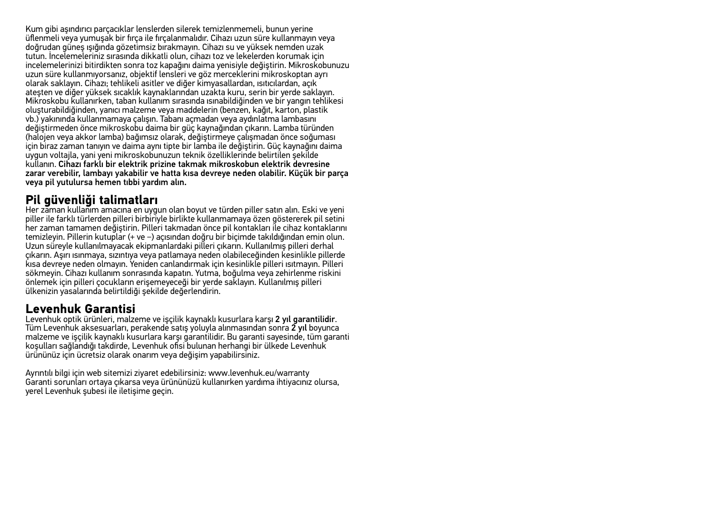Kum gibi aşındırıcı parçacıklar lenslerden silerek temizlenmemeli, bunun yerine üflenmeli veya yumuşak bir fırça ile fırçalanmalıdır. Cihazı uzun süre kullanmayın veya doğrudan güneş ışığında gözetimsiz bırakmayın. Cihazı su ve yüksek nemden uzak tutun. İncelemeleriniz sırasında dikkatli olun, cihazı toz ve lekelerden korumak için incelemelerinizi bitirdikten sonra toz kapağını daima yenisiyle değiştirin. Mikroskobunuzu uzun süre kullanmıyorsanız, objektif lensleri ve göz merceklerini mikroskoptan ayrı olarak saklayın. Cihazı; tehlikeli asitler ve diğer kimyasallardan, ısıtıcılardan, açık ateşten ve diğer yüksek sıcaklık kaynaklarından uzakta kuru, serin bir yerde saklayın. Mikroskobu kullanırken, taban kullanım sırasında ısınabildiğinden ve bir yangın tehlikesi oluşturabildiğinden, yanıcı malzeme veya maddelerin (benzen, kağıt, karton, plastik vb.) yakınında kullanmamaya çalışın. Tabanı açmadan veya aydınlatma lambasını değiştirmeden önce mikroskobu daima bir güç kaynağından çıkarın. Lamba türünden (halojen veya akkor lamba) bağımsız olarak, değiştirmeye çalışmadan önce soğuması için biraz zaman tanıyın ve daima aynı tipte bir lamba ile değiştirin. Güç kaynağını daima uygun voltajla, yani yeni mikroskobunuzun teknik özelliklerinde belirtilen şekilde kullanın. Cihazı farklı bir elektrik prizine takmak mikroskobun elektrik devresine zarar verebilir, lambayı yakabilir ve hatta kısa devreye neden olabilir. Küçük bir parça veya pil yutulursa hemen tıbbi yardım alın.

## **Pil güvenliği talimatları**

Her zaman kullanım amacına en uygun olan boyut ve türden piller satın alın. Eski ve yeni piller ile farklı türlerden pilleri birbiriyle birlikte kullanmamaya özen göstererek pil setini her zaman tamamen değiştirin. Pilleri takmadan önce pil kontakları ile cihaz kontaklarını temizleyin. Pillerin kutuplar (+ ve −) açısından doğru bir biçimde takıldığından emin olun. Uzun süreyle kullanılmayacak ekipmanlardaki pilleri çıkarın. Kullanılmış pilleri derhal çıkarın. Aşırı ısınmaya, sızıntıya veya patlamaya neden olabileceğinden kesinlikle pillerde kısa devreye neden olmayın. Yeniden canlandırmak için kesinlikle pilleri ısıtmayın. Pilleri sökmeyin. Cihazı kullanım sonrasında kapatın. Yutma, boğulma veya zehirlenme riskini önlemek için pilleri çocukların erişemeyeceği bir yerde saklayın. Kullanılmış pilleri ülkenizin yasalarında belirtildiği şekilde değerlendirin.

**Levenhuk Garantisi** Tüm Levenhuk aksesuarları, perakende satış yoluyla alınmasından sonra 2 yıl boyunca malzeme ve işçilik kaynaklı kusurlara karşı garantilidir. Bu garanti sayesinde, tüm garanti koşulları sağlandığı takdirde, Levenhuk ofisi bulunan herhangi bir ülkede Levenhuk ürününüz için ücretsiz olarak onarım veya değişim yapabilirsiniz.

Ayrıntılı bilgi için web sitemizi ziyaret edebilirsiniz: www.levenhuk.eu/warranty Garanti sorunları ortaya çıkarsa veya ürününüzü kullanırken yardıma ihtiyacınız olursa, yerel Levenhuk şubesi ile iletişime geçin.